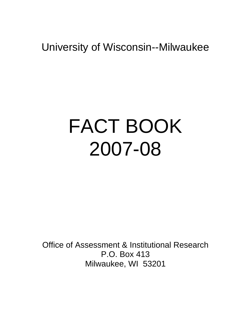# FACT BOOK 2007-08

Office of Assessment & Institutional Research P.O. Box 413 Milwaukee, WI 53201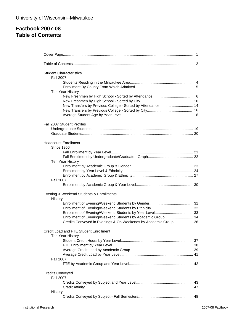## **Factbook 2007-08 Table of Contents**

| <b>Student Characteristics</b><br><b>Fall 2007</b>              |  |
|-----------------------------------------------------------------|--|
|                                                                 |  |
|                                                                 |  |
| Ten Year History                                                |  |
|                                                                 |  |
| New Transfers by Previous College - Sorted by Attendance 14     |  |
|                                                                 |  |
|                                                                 |  |
| Fall 2007 Student Profiles                                      |  |
|                                                                 |  |
|                                                                 |  |
|                                                                 |  |
| <b>Headcount Enrollment</b><br><b>Since 1956</b>                |  |
|                                                                 |  |
|                                                                 |  |
| Ten Year History                                                |  |
|                                                                 |  |
|                                                                 |  |
|                                                                 |  |
| <b>Fall 2007</b>                                                |  |
|                                                                 |  |
| Evening & Weekend Students & Enrollments                        |  |
| History                                                         |  |
|                                                                 |  |
|                                                                 |  |
| Enrollment of Evening/Weekend Students by Academic Group 34     |  |
| Credits Conveyed in Evenings & On Weekends by Academic Group 36 |  |
| Credit Load and FTE Student Enrollment                          |  |
| Ten Year History                                                |  |
|                                                                 |  |
|                                                                 |  |
|                                                                 |  |
|                                                                 |  |
| <b>Fall 2007</b>                                                |  |
|                                                                 |  |
| <b>Credits Conveyed</b>                                         |  |
| <b>Fall 2007</b>                                                |  |
|                                                                 |  |
| History                                                         |  |
|                                                                 |  |
|                                                                 |  |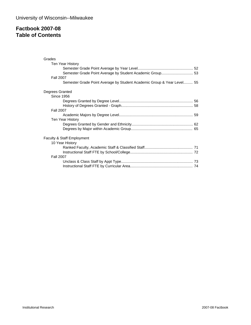## **Factbook 2007-08 Table of Contents**

| Grades<br>Ten Year History                                             |  |
|------------------------------------------------------------------------|--|
|                                                                        |  |
| <b>Fall 2007</b>                                                       |  |
| Semester Grade Point Average by Student Academic Group & Year Level 55 |  |
| Degrees Granted                                                        |  |
| <b>Since 1956</b>                                                      |  |
|                                                                        |  |
|                                                                        |  |
| <b>Fall 2007</b>                                                       |  |
|                                                                        |  |
| Ten Year History                                                       |  |
|                                                                        |  |
|                                                                        |  |
| Faculty & Staff Employment                                             |  |
| 10 Year History                                                        |  |
|                                                                        |  |
| <b>Fall 2007</b>                                                       |  |
|                                                                        |  |
|                                                                        |  |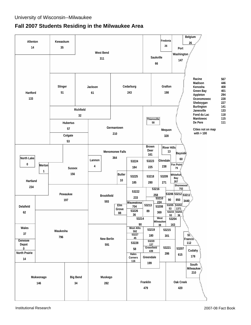## **Fall 2007 Students Residing in the Milwaukee Area**

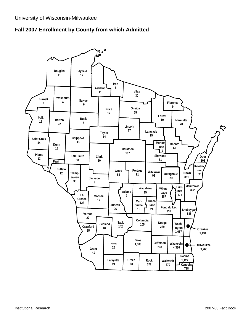

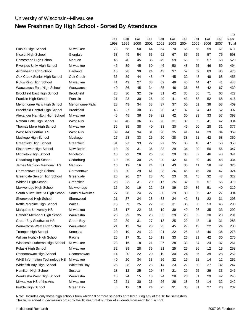# **New Freshmen By High School - Sorted By Attendance**

|                                       |                        | Fall<br>1998 | Fall<br>1999 | Fall<br>2000 | Fall<br>2001 | Fall<br>2002 | Fall<br>2003 | Fall<br>2004 | Fall<br>2005 | Fall<br>2006 | Fall<br>2007 | 10<br>Year<br>Total |
|---------------------------------------|------------------------|--------------|--------------|--------------|--------------|--------------|--------------|--------------|--------------|--------------|--------------|---------------------|
| Pius XI High School                   | Milwaukee              | 72           | 68           | 50           | 44           | 54           | 70           | 65           | 68           | 59           | 61           | 611                 |
| Nicolet High School                   | Glendale               | 58           | 49           | 54           | 55           | 62           | 67           | 65           | 55           | 57           | 76           | 598                 |
| Homestead High School                 | Mequon                 | 45           | 40           | 45           | 36           | 49           | 59           | 65           | 56           | 57           | 68           | 520                 |
| Riverside Univ High School            | Milwaukee              | 45           | 39           | 45           | 60           | 46           | 50           | 48           | 65           | 46           | 50           | 494                 |
| Arrowhead High School                 | Hartland               | 15           | 28           | 39           | 24           | 43           | 37           | 52           | 69           | 83           | 86           | 476                 |
| Oak Creek Senior High School          | Oak Creek              | 36           | 39           | 44           | 48           | 47           | 45           | 32           | 48           | 48           | 68           | 455                 |
| Rufus King High School                | Milwaukee              | 41           | 49           | 27           | 38           | 62           | 49           | 45           | 44           | 47           | 41           | 443                 |
| Wauwatosa East High School            | Wauwatosa              | 40           | 36           | 45           | 34           | 35           | 48           | 36           | 56           | 42           | 67           | 439                 |
| Brookfield East High School           | <b>Brookfield</b>      | 28           | 30           | 32           | 39           | 31           | 42           | 35           | 56           | 71           | 63           | 427                 |
| Franklin High School                  | Franklin               | 21           | 28           | 30           | 26           | 49           | 41           | 43           | 58           | 52           | 68           | 416                 |
| Menomonee Falls High School           | <b>Menomonee Falls</b> | 28           | 43           | 34           | 33           | 37           | 37           | 50           | 51           | 38           | 58           | 409                 |
| <b>Brookfield Central High School</b> | <b>Brookfield</b>      | 45           | 27           | 30           | 36           | 26           | 47           | 37           | 54           | 43           | 52           | 397                 |
| Alexander Hamilton High School        | Milwaukee              | 46           | 45           | 36           | 39           | 32           | 42           | 30           | 33           | 33           | 57           | 393                 |
| Nathan Hale High School               | West Allis             | 39           | 40           | 36           | 35           | 26           | 31           | 39           | 55           | 41           | 42           | 384                 |
| Thomas More High School               | Milwaukee              | 36           | 35           | 38           | 40           | 33           | 30           | 46           | 60           | 28           | 31           | 377                 |
| West Allis Central H S                | <b>West Allis</b>      | 39           | 44           | 34           | 31           | 28           | 35           | 41           | 44           | 39           | 34           | 369                 |
| Muskego High School                   | Muskego                | 27           | 28           | 33           | 25           | 20           | 38           | 38           | 51           | 42           | 58           | 360                 |
| Greenfield High School                | Greenfield             | 31           | 27           | 33           | 27           | 27           | 35           | 35           | 46           | 47           | 50           | 358                 |
| Eisenhower High School                | New Berlin             | 19           | 29           | 31           | 36           | 33           | 29           | 34           | 30           | 50           | 56           | 347                 |
| Middleton High School                 | Middleton              | 16           | 22           | 28           | 26           | 36           | 29           | 33           | 57           | 46           | 48           | 341                 |
| Cedarburg High School                 | Cedarburg              | 19           | 25           | 30           | 25           | 20           | 42           | 41           | 39           | 45           | 48           | 334                 |
| James Madison Memorial H S            | Madison                | 16           | 19           | 16           | 24           | 31           | 43           | 35           | 41           | 58           | 42           | 325                 |
| Germantown High School                | Germantown             | 18           | 20           | 29           | 41           | 23           | 26           | 45           | 45           | 30           | 47           | 324                 |
| Greendale Senior High School          | Greendale              | 28           | 26           | 27           | 23           | 40           | 23           | 31           | 45           | 32           | 47           | 322                 |
| Whitnall High School                  | Greenfield             | 25           | 23           | 31           | 20           | 17           | 25           | 37           | 35           | 51           | 55           | 319                 |
| Mukwonago High School                 | Mukwonago              | 16           | 20           | 19           | 22           | 28           | 39           | 39           | 36           | 51           | 40           | 310                 |
| South Milwaukee Sr High School        | South Milwaukee        | 27           | 28           | 24           | 27           | 30           | 29           | 35           | 35           | 42           | 27           | 304                 |
| Shorewood High School                 | Shorewood              | 21           | 37           | 24           | 28           | 33           | 24           | 42           | 31           | 22           | 31           | 293                 |
| Kettle Moraine High School            | Wales                  | 13           | 9            | 25           | 22           | 23           | 31           | 35           | 36           | 53           | 46           | 293                 |
| Marquette University HS               | Milwaukee              | 16           | 17           | 22           | 36           | 19           | 39           | 49           | 26           | 35           | 33           | 292                 |
| Catholic Memorial High School         | Waukesha               | 23           | 29           | 35           | 28           | 33           | 29           | 26           | 35           | 30           | 23           | 291                 |
| Green Bay Southwest HS                | Green Bay              | 22           | 39           | 31           | 27           | 18           | 25           | 29           | 48           | 18           | 31           | 288                 |
| Wauwatosa West High School            | Wauwatosa              | 21           | 13           | 34           | 23           | 23           | 45           | 29           | 49           | 22           | 24           | 283                 |
| Tremper High School                   | Kenosha                | 20           | 19           | 24           | 22           | 21           | 22           | 25           | 43           | 46           | 36           | 278                 |
| William Horlick High School           | Racine                 | 26           | 17           | 31           | 15           | 19           | 33           | 26           | 31           | 42           | 30           | 270                 |
| Wisconsin Lutheran High School        | Milwaukee              | 23           | 16           | 18           | 21           | 27           | 28           | 33           | 34           | 24           | 37           | 261                 |
| Pulaski High School                   | Milwaukee              | 32           | 39           | 28           | 35           | 21           | 25           | 25           | 26           | 12           | 15           | 258                 |
| Oconomowoc High School                | Oconomowoc             | 14           | 20           | 22           | 20           | 19           | 30           | 24           | 36           | 39           | 28           | 252                 |
| WHS Information Technology HS         | Milwaukee              | 40           | 20           | 34           | 33           | 26           | 32           | 19           | 22           | 14           | 12           | 252                 |
| Whitefish Bay High School             | Whitefish Bay          | 26           | 28           | 22           | 23           | 14           | 23           | 22           | 30           | 27           | 32           | 247                 |
| Hamilton High School                  | <b>Sussex</b>          | 18           | 12           | 25           | 20           | 34           | 21           | 29           | 25           | 29           | 33           | 246                 |
| Waukesha West High School             | Waukesha               | 15           | 24           | 15           | 18           | 24           | 28           | 20           | 31           | 29           | 42           | 246                 |
| Milwaukee HS of the Arts              | Milwaukee              | 26           | 21           | 30           | 26           | 26           | 26           | 18           | 23           | 14           | 32           | 242                 |
| Preble High School                    | Green Bay              | 8            | 12           | 19           | 24           | 25           | 31           | 35           | 31           | 27           | 20           | 232                 |
|                                       |                        |              |              |              |              |              |              |              |              |              |              |                     |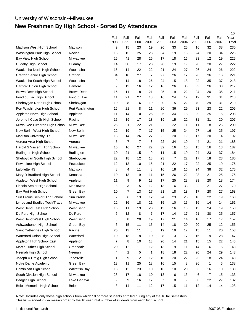## University of Wisconsin--Milwaukee **New Freshmen By High School - Sorted By Attendance**

|                                    |                   | Fall             | Fall                    | Fall           | Fall   | Fall             | Fall | Fall   | Fall   | Fall           | Fall | 10<br>Year |
|------------------------------------|-------------------|------------------|-------------------------|----------------|--------|------------------|------|--------|--------|----------------|------|------------|
|                                    |                   | 1998             | 1999                    | 2000           | 2001   | 2002             | 2003 | 2004   | 2005   | 2006           | 2007 | Total      |
| Madison West High School           | Madison           | 9                | 15                      | 23             | 19     | 20               | 33   | 25     | 16     | 32             | 38   | 230        |
| Washington Park High School        | Racine            | 13               | 15                      | 25             | 23     | 34               | 19   | 18     | 24     | 20             | 34   | 225        |
| Bay View High School               | Milwaukee         | 25               | 41                      | 28             | 26     | 17               | 18   | 16     | 23     | 12             | 19   | 225        |
| Cudahy High School                 | Cudahy            | 14               | 30                      | 17             | 28     | 28               | 19   | 19     | 20     | 20             | 27   | 222        |
| Waukesha North High School         | Waukesha          | 16               | 14                      | 22             | 22     | 21               | 24   | 27     | 26     | 24             | 26   | 222        |
| <b>Grafton Senior High School</b>  | Grafton           | 34               | 10                      | 27             | 7      | 27               | 26   | 12     | 26     | 36             | 16   | 221        |
| Waukesha South High School         | Waukesha          | 9                | 14                      | 18             | 26     | 24               | 15   | 18     | 22     | 35             | 37   | 218        |
| Hartford Union High School         | Hartford          | 9                | 13                      | 16             | 12     | 16               | 26   | 33     | 33     | 26             | 33   | 217        |
| Brown Deer High School             | <b>Brown Deer</b> | 16               | 11                      | 18             | 21     | 25               | 19   | 22     | 24     | 20             | 35   | 211        |
| Fond du Lac High School            | Fond du Lac       | 11               | 21                      | 27             | 13     | 16               | 24   | 17     | 19     | 31             | 31   | 210        |
| Sheboygan North High School        | Sheboygan         | 10               | 8                       | 16             | 19     | 20               | 15   | 22     | 40     | 29             | 31   | 210        |
| Port Washington High School        | Port Washington   | 16               | 21                      | 8              | 11     | 20               | 36   | 29     | 23     | 23             | 22   | 209        |
| Appleton North High School         | Appleton          | 11               | 14                      | 10             | 25     | 26               | 34   | 18     | 29     | 25             | 16   | 208        |
| Jerome I Case Sr High School       | Racine            | 15               | 19                      | 17             | 18     | 19               | 15   | 22     | 31     | 31             | 20   | 207        |
| Milwaukee Lutheran High School     | Milwaukee         | 26               | 21                      | 22             | 21     | 22               | 22   | 11     | 11     | 18             | 26   | 200        |
| New Berlin West High School        | New Berlin        | 22               | 19                      | $\overline{7}$ | 17     | 15               | 25   | 24     | 27     | 16             | 25   | 197        |
| Madison University H S             | Milwaukee         | 13               | 14                      | 26             | 27     | 22               | 20   | 19     | 17     | 20             | 14   | 192        |
| Verona Area High School            | Verona            | 5                | $\overline{7}$          | $\overline{7}$ | 8      | 22               | 34   | 19     | 44     | 21             | 21   | 188        |
| Harold S Vincent High School       | Milwaukee         | 15               | 16                      | 27             | 22     | 32               | 16   | 15     | 15     | 16             | 13   | 187        |
| <b>Burlington High School</b>      | <b>Burlington</b> | 10               | 21                      | 15             | 9      | 11               | 15   | 19     | 24     | 23             | 37   | 184        |
| Sheboygan South High School        | Sheboygan         | 22               | 18                      | 12             | 18     | 23               | 7    | 22     | 17     | 18             | 23   | 180        |
| Pewaukee High School               | Pewaukee          | 12               | 13                      | 10             | 15     | 21               | 22   | 17     | 22     | 25             | 19   | 176        |
| Lafollette HS                      | Madison           | 8                | 4                       | 11             | 8      | 16               | 18   | 16     | 24     | 38             | 32   | 175        |
| Mary D Bradford High School        | Kenosha           | 10               | 13                      | 9              | 11     | 15               | 26   | 22     | 23     | 21             | 25   | 175        |
| Appleton West High School          | Appleton          | 11               | 9                       | 9              | 13     | 17               | 25   | 23     | 29     | 20             | 18   | 174        |
| Lincoln Senior High School         | Manitowoc         | 8                | 3                       | 15             | 12     | 13               | 16   | 33     | 22     | 21             | 27   | 170        |
| Bay Port High School               | Green Bay         | 10               | 7                       | 13             | 17     | 21               | 18   | 18     | 17     | 20             | 27   | 168        |
| Sun Prairie Senior High School     | Sun Prairie       | 2                | 6                       | 13             | 12     | 24               | 23   | 26     | 16     | 22             | 19   | 163        |
| Lynde and Bradley Tech/Trade       | Milwaukee         | 22               | 16                      | 18             | 21     | 15               | 10   | 15     | 16     | 14             | 14   | 161        |
| West Bend East High School         | West Bend         | 16               | 11                      | 13             | 20     | 13               | 16   | 13     | 13     | 24             | 19   | 158        |
| De Pere High School                | De Pere           | 6                | 12                      | 8              | 7      | 17               | 14   | 17     | 21     | 30             | 25   | 157        |
| West Bend West High School         | West Bend         | 8                | 8                       | 20             | 19     | 17               | 21   | 14     | 16     | 17             | 17   | 157        |
| Ashwaubenon High School            | Green Bay         | 6                | 15                      | 11             | 15     | 14               | 18   | $20\,$ | $20\,$ | 25             | 12   | 156        |
| Saint Catherines High School       | Racine            | 25               | 13                      | 11             | 8      | 19               | 19   | 12     | 15     | 11             | 20   | 153        |
| Waterford Union High School        | Waterford         | 10               | 18                      | 8              | 10     | 8                | 13   | 17     | 16     | 19             | 28   | 147        |
| Appleton High School East          | Appleton          | $\boldsymbol{7}$ | 8                       | 10             | 13     | 20               | 14   | 21     | 15     | 15             | 22   | 145        |
| Martin Luther High School          | Greendale         | 20               | 12                      | 11             | 12     | 13               | 19   | 11     | 14     | 16             | 15   | 143        |
| Neenah High School                 | Neenah            | 4                | $\overline{\mathbf{c}}$ | 5              | 1      | 18               | 18   | 22     | 20     | 24             | 29   | 143        |
| Joseph A Craig High School         | Janesville        | 1                | 9                       | $\sqrt{2}$     | 12     | 10               | 20   | 22     | 25     | 18             | 24   | 143        |
| Notre Dame Academy                 | Green Bay         | 13               | 11                      | 25             | $18$   | 16               | 15   | 8      | 26     | $\mathbf{1}$   | 5    | 138        |
| Dominican High School              | Whitefish Bay     | 18               | 12                      | 23             | 10     | 16               | 10   | 20     | 3      | 16             | 10   | 138        |
| South Division High School         | Milwaukee         | 28               | $17$                    | 18             | 10     | 13               | 6    | 13     | 6      | $\overline{7}$ | 15   | 133        |
| Badger High School                 | Lake Geneva       | 9                | 9                       | $16\,$         | $17\,$ | $\boldsymbol{7}$ | 8    | 9      | 8      | 22             | 27   | 132        |
| <b>Beloit Memorial High School</b> | Beloit            | 8                | 14                      | 11             | 12     | $17\,$           | 15   | 11     | 12     | 14             | 14   | 128        |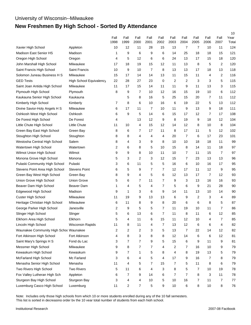# **New Freshmen By High School - Sorted By Attendance**

|                                        |                                |              |                |                         |              |                |                |                         |                |                |                | 10            |
|----------------------------------------|--------------------------------|--------------|----------------|-------------------------|--------------|----------------|----------------|-------------------------|----------------|----------------|----------------|---------------|
|                                        |                                | Fall<br>1998 | Fall<br>1999   | Fall<br>2000            | Fall<br>2001 | Fall<br>2002   | Fall<br>2003   | Fall<br>2004            | Fall<br>2005   | Fall<br>2006   | Fall<br>2007   | Year<br>Total |
| Xavier High School                     | Appleton                       | 10           | 12             | 11                      | 28           | 15             | 13             | $\overline{7}$          | $\overline{7}$ | 10             | 11             | 124           |
| <b>Madison East Senior HS</b>          | Madison                        | 1            | 9              | 6                       | 9            | 6              | 14             | 25                      | 18             | 18             | 15             | 121           |
| Oregon High School                     | Oregon                         | 4            | 5              | 12                      | 6            | 6              | 24             | 13                      | 17             | 15             | 18             | 120           |
| John Marshall High School              | Milwaukee                      | 17           | 18             | 19                      | 15           | 12             | 11             | 13                      | 8              | 5              | 2              | 120           |
| Saint Francis High School              | Saint Francis                  | 10           | 9              | 10                      | 7            | 8              | 13             | 13                      | 17             | 18             | 13             | 118           |
| Solomon Juneau Business H S            | Milwaukee                      | 15           | 17             | 14                      | 14           | 13             | 11             | 15                      | 11             | 4              | 2              | 116           |
| <b>GED Tests</b>                       | <b>High School Equivalency</b> | 22           | 28             | 27                      | 23           | 0              | 2              | $\overline{\mathbf{c}}$ | 3              | 3              | 5              | 115           |
| Saint Joan Antida High School          | Milwaukee                      | 11           | 17             | 15                      | 14           | 11             | 11             | 9                       | 11             | 13             | 3              | 115           |
| Plymouth High School                   | Plymouth                       | 8            | 9              | 7                       | 10           | 12             | 16             | 15                      | 19             | 10             | 6              | 112           |
| Kaukauna Senior High School            | Kaukauna                       |              | 5              | 8                       | 16           | 5              | 25             | 15                      | 20             | 7              | 11             | 112           |
| Kimberly High School                   | Kimberly                       | 7            | 8              | 6                       | 10           | 16             | 6              | 19                      | 22             | 5              | 13             | 112           |
| Divine Savior-Holy Angels H S          | Milwaukee                      | 6            | 17             | 11                      | 7            | 10             | 11             | 9                       | 13             | 9              | 18             | 111           |
| Oshkosh West High School               | Oshkosh                        | 6            | 9              | 5                       | 14           | 6              | 15             | 17                      | 12             | $\overline{7}$ | 17             | 108           |
| De Forest High School                  | De Forest                      | 4            |                | 13                      | 12           | 9              | 8              | 19                      | 9              | 18             | 12             | 104           |
| Little Chute High School               | <b>Little Chute</b>            | 11           | 10             | 4                       | 15           | 12             | 14             | 12                      | 8              | 10             | 8              | 104           |
| Green Bay East High School             | Green Bay                      | 8            | 6              | 7                       | 17           | 11             | 8              | 17                      | 11             | 5              | 12             | 102           |
| Stoughton High School                  | Stoughton                      | 8            | 8              | 4                       | 4            | 4              | 20             | 7                       | 6              | 17             | 23             | 101           |
| Westosha Central High School           | Salem                          | 8            | 4              | 3                       | 9            | 8              | 10             | 10                      | 18             | 18             | 11             | 99            |
| Watertown High School                  | Watertown                      | 2            | 6              | 8                       | 5            | 10             | 15             | 8                       | 14             | 11             | 18             | 97            |
| Wilmot Union High School               | Wilmot                         | 9            | 9              | 8                       | 10           | 11             | 10             | 7                       | 11             | 15             | $\overline{7}$ | 97            |
| Monona Grove High School               | Monona                         | 5            | 3              | $\overline{2}$          | 3            | 12             | 15             | 7                       | 23             | 13             | 13             | 96            |
| Pulaski Community High School          | Pulaski                        | 3            | 6              | 11                      | 5            | 5              | 16             | 6                       | 10             | 16             | 17             | 95            |
| Stevens Point Area High School         | <b>Stevens Point</b>           | 6            | 5              | 9                       | 7            | 7              | 12             | 17                      | 11             | 12             | 9              | 95            |
| Green Bay West High School             | Green Bay                      | 8            | 9              | 4                       | 5            | 6              | 12             | 13                      | 17             | 7              | 12             | 93            |
| Union Grove High School                | <b>Union Grove</b>             | 5            | 6              | $\overline{7}$          | 11           | $\overline{7}$ | 9              | 3                       | 13             | 16             | 16             | 93            |
| Beaver Dam High School                 | <b>Beaver Dam</b>              | 1            | 4              | 5                       | 4            | 7              | 5              | 6                       | 9              | 21             | 28             | 90            |
| Edgewood High School                   | Madison                        | 9            | $\mathbf{1}$   | 3                       | 6            | 9              | 14             | 11                      | 13             | 10             | 14             | 90            |
| Custer High School                     | Milwaukee                      | 11           | 19             | 9                       | 13           | 13             | 6              | 9                       | 2              | 3              | 4              | 89            |
| Heritage Christian High School         | Milwaukee                      | 6            | 11             | 8                       | 9            | 8              | 20             | 6                       | 6              | 8              | 5              | 87            |
| George Parker High School              | Janesville                     | 2            | 9              | 5                       | 5            | 7              | 11             | 19                      | 10             | 11             | 7              | 86            |
| Slinger High School                    | Slinger                        | 5            | 6              | 13                      | 6            | 7              | 11             | 8                       | 11             | 6              | 12             | 85            |
| Elkhorn Area High School               | Elkhorn                        | 5            | 4              | 11                      | 6            | 15             | 11             | 12                      | 10             | 4              | 7              | 85            |
| Lincoln High School                    | <b>Wisconsin Rapids</b>        | 11           | 8              | 11                      | 4            | 7              | 13             | 12                      | 6              | 6              | 4              | 82            |
| Waunakee Community High Schoc Waunakee |                                | 2            | 2              | $\overline{\mathbf{c}}$ | 3            | 5              | 13             | $\overline{7}$          | 22             | 14             | 12             | 82            |
| Fort Atkinson High School              | Fort Atkinson                  | 4            | 8              | 3                       | 8            | 8              | 12             | 14                      | 6              | 6              | 12             | 81            |
| Saint Mary's Springs H S               | Fond du Lac                    | 3            | $\overline{7}$ | $\overline{7}$          | 9            | 5              | 15             | 6                       | 9              | 11             | 9              | 81            |
| Messmer High School                    | Milwaukee                      | 9            | 8              | $\overline{7}$          | 7            | 4              | 2              | 7                       | 16             | 10             | 9              | 79            |
| Kewaskum High School                   | Kewaskum                       | 9            | $\overline{7}$ | 1                       | 5            | 8              | 4              | 8                       | 19             | 13             | 5              | 79            |
| McFarland High School                  | Mc Farland                     | 3            | 6              | 4                       | 5            | 4              | 17             | 9                       | 16             | 7              | 8              | 79            |
| Menasha Senior High School             | Menasha                        | 11           | 4              | 5                       | 7            | 15             | 7              | 5                       | 11             | 8              | 6              | 79            |
| Two Rivers High School                 | <b>Two Rivers</b>              | 5            | 11             | 6                       | 4            | 3              | 8              | 5                       | 7              | 10             | 19             | 78            |
| Fox Valley Lutheran High Sch           | Appleton                       | 6            | $\overline{7}$ | 9                       | 14           | 6              | $\overline{7}$ | $\overline{7}$          | 8              | 3              | 11             | 78            |
| Sturgeon Bay High School               | Sturgeon Bay                   | 3            | 4              | 4                       | 10           | 5              | $10$           | $16\,$                  | 7              | 11             | 7              | 77            |
| Luxemburg Casco High School            | Luxemburg                      | 11           | 2              | $\overline{7}$          | 5            | 9              | $10$           | 6                       | 8              | $10$           | 8              | 76            |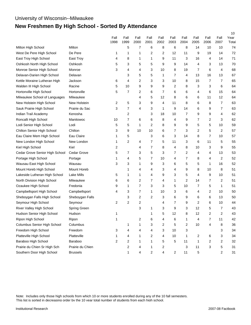## University of Wisconsin--Milwaukee **New Freshmen By High School - Sorted By Attendance**

|                                |                    |              |                         |                  |              |              |                         |                |              |                |                | 10            |
|--------------------------------|--------------------|--------------|-------------------------|------------------|--------------|--------------|-------------------------|----------------|--------------|----------------|----------------|---------------|
|                                |                    | Fall<br>1998 | Fall<br>1999            | Fall<br>2000     | Fall<br>2001 | Fall<br>2002 | Fall<br>2003            | Fall<br>2004   | Fall<br>2005 | Fall<br>2006   | Fall<br>2007   | Year<br>Total |
| Milton High School             | Milton             |              | 5                       | $\overline{7}$   | 6            | 8            | 6                       | 8              | 14           | 10             | 10             | 74            |
| West De Pere High School       | De Pere            | 1            | 1                       | 1                | 2            | 2            | 12                      | 11             | 9            | 19             | 14             | 72            |
| East Troy High School          | East Troy          | 4            | 8                       | 1                | 1            | 9            | 11                      | 3              | 16           | 4              | 14             | 71            |
| Oshkosh North High School      | Oshkosh            | 5            | 3                       | 5                | 5            | 9            | 9                       | 14             | 4            | 3              | 13             | 70            |
| Monroe Senior High School      | Monroe             | 3            | 4                       | 4                | 3            | 10           | 8                       | 19             | 7            | 6              | 4              | 68            |
| Delavan-Darien High School     | Delavan            |              | 3                       | 5                | 5            | 1            | $\overline{7}$          | 4              | 13           | 16             | 13             | 67            |
| Kettle Moraine Lutheran High   | Jackson            | 6            | 4                       | 2                | 3            | 3            | 10                      | 8              | 15           | 7              | 7              | 65            |
| Walden III High School         | Racine             | 5            | 10                      | 9                | 9            | 9            | 2                       | 8              | 3            | 3              | 6              | 64            |
| Hortonville High School        | Hortonville        | 5            | $\overline{7}$          | 2                | 6            | 7            | 6                       | 6              | 4            | 6              | 15             | 64            |
| Milwaukee School of Languages  | Milwaukee          |              |                         | 4                | 5            | 12           | 8                       | 6              | 6            | 11             | 12             | 64            |
| New Holstein High School       | New Holstein       | 2            | 5                       | 3                | 9            | 4            | 11                      | 8              | 6            | 8              | $\overline{7}$ | 63            |
| Sauk Prairie High School       | Prairie du Sac     | 3            | $\overline{7}$          | 4                | 3            | 1            | 9                       | 14             | 6            | 9              | $\overline{7}$ | 63            |
| Indian Trail Academy           | Kenosha            |              | 2                       |                  | 3            | 18           | 10                      | 7              | 9            | 9              | 4              | 62            |
| Roncalli High School           | Manitowoc          | 10           | $\overline{7}$          | 6                | 6            | 8            | 4                       | 9              | 7            | 2              | 3              | 62            |
| Lodi Senior High School        | Lodi               | 5            | 5                       | 1                | 2            | 8            | 9                       | 9              | 5            | 5              | 10             | 59            |
| Chilton Senior High School     | Chilton            | 3            | 9                       | 10               | 10           | 6            | 7                       | 3              | 2            | 5              | 2              | 57            |
| Eau Claire Mem High School     | Eau Claire         | 1            | 5                       |                  | 3            | 6            | 3                       | 14             | 8            | $\overline{7}$ | 10             | 57            |
| New London High School         | New London         | 1            | $\overline{2}$          | 4                | 7            | 5            | 11                      | 3              | 6            | 11             | 5              | 55            |
| Kiel High School               | Kiel               | 2            |                         | 4                | 7            | 8            | 4                       | 8              | 10           | 3              | 9              | 55            |
| Cedar Grove Senior High School | Cedar Grove        | 5            | $\overline{7}$          | 3                | 5            | 3            | 7                       | 2              | 4            | 4              | 13             | 53            |
| Portage High School            | Portage            | 1            | 4                       | 5                | 7            | 10           | 4                       | 7              | 8            | 4              | 2              | 52            |
| Wausau East High School        | Wausau             | 3            | 3                       | 1                | 9            | 3            | 6                       | 5              | 5            | 1              | 16             | 52            |
| Mount Horeb High School        | <b>Mount Horeb</b> |              | 1                       | 4                | 4            | 3            | 4                       | 9              | 8            | 10             | 8              | 51            |
| Lakeside Lutheran High School  | <b>Lake Mills</b>  | 5            | 1                       | 1                | 4            | 9            | 3                       | 5              | 4            | 9              | 10             | 51            |
| North Division High School     | Milwaukee          | 6            | 6                       | $\overline{2}$   | 7            | 4            | 1                       | $\overline{2}$ | 14           | 7              | 2              | 51            |
| Ozaukee High School            | Fredonia           | 9            | 1                       | $\overline{7}$   | 3            | 3            | 5                       | 10             | 7            | 5              | $\mathbf{1}$   | 51            |
| Campbellsport High School      | Campbellsport      | 4            | 3                       | $\overline{7}$   | 1            | 10           | 3                       | 6              | 4            | 2              | 10             | 50            |
| Sheboygan Falls High School    | Sheboygan Falls    |              | 3                       | 2                | 2            | 3            | 6                       | 9              | 6            | 6              | 13             | 50            |
| Seymour High School            | Seymour            | 2            | $\overline{\mathbf{c}}$ | $\boldsymbol{2}$ |              | 4            | 7                       | 9              | 2            | 6              | 10             | 44            |
| River Valley High School       | Spring Green       |              |                         | 3                | 1            | 3            | 9                       | 3              | 12           | 5              | 7              | 43            |
| Hudson Senior High School      | Hudson             | 1            |                         |                  | 1            | 5            | 12                      | 8              | 12           | 2              | 2              | 43            |
| Ripon High School              | Ripon              | 1            |                         | 2                | 6            | 4            | 6                       | 1              | 4            | 7              | 11             | 42            |
| Columbus Senior High School    | Columbus           |              | 1                       | $\mathbf{1}$     | 3            | 2            | 5                       | 2              | 10           | 4              | 8              | 36            |
| Freedom High School            | Freedom            | 3            | 4                       | 4                | 4            | 3            | 10                      | 3              |              |                | 3              | 34            |
| Platteville High School        | Platteville        | 1            | 4                       | $\mathbf{1}$     | 2            | 4            | 10                      | 1              | 2            | 6              | 3              | 34            |
| Baraboo High School            | Baraboo            | 2            | $\boldsymbol{2}$        | 1                | 1            | 5            | 5                       | 11             | 1            | 2              | 2              | 32            |
| Prairie du Chien Sr High Sch   | Prairie du Chien   |              | $\boldsymbol{2}$        | 4                | 1            | 2            |                         | 3              | 11           | 3              | 5              | 31            |
| Southern Door High School      | <b>Brussels</b>    |              | 1                       | 4                | 2            | 4            | $\overline{\mathbf{c}}$ | 11             | 5            |                | 2              | 31            |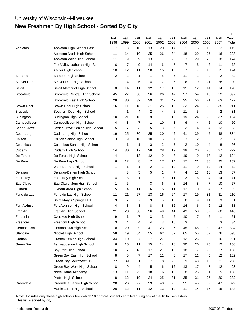# **New Freshmen By High School - Sorted By City**

|                   |                                       |                |                         |              |              |              |              |              |              |                |                | 10            |
|-------------------|---------------------------------------|----------------|-------------------------|--------------|--------------|--------------|--------------|--------------|--------------|----------------|----------------|---------------|
|                   |                                       | Fall<br>1998   | Fall<br>1999            | Fall<br>2000 | Fall<br>2001 | Fall<br>2002 | Fall<br>2003 | Fall<br>2004 | Fall<br>2005 | Fall<br>2006   | Fall<br>2007   | Year<br>Total |
| Appleton          | Appleton High School East             | $\overline{7}$ | 8                       | 10           | 13           | 20           | 14           | 21           | 15           | 15             | 22             | 145           |
|                   | Appleton North High School            | 11             | 14                      | 10           | 25           | 26           | 34           | 18           | 29           | 25             | 16             | 208           |
|                   | Appleton West High School             | 11             | 9                       | 9            | 13           | 17           | 25           | 23           | 29           | 20             | 18             | 174           |
|                   | Fox Valley Lutheran High Sch          | 6              | 7                       | 9            | 14           | 6            | 7            | 7            | 8            | 3              | 11             | 78            |
|                   | Xavier High School                    | 10             | 12                      | 11           | 28           | 15           | 13           | 7            | 7            | 10             | 11             | 124           |
| Baraboo           | Baraboo High School                   | 2              | $\overline{\mathbf{c}}$ | 1            | 1            | 5            | 5            | 11           | 1            | $\overline{c}$ | $\overline{c}$ | 32            |
| Beaver Dam        | Beaver Dam High School                | 1              | 4                       | 5            | 4            | 7            | 5            | 6            | 9            | 21             | 28             | 90            |
| <b>Beloit</b>     | <b>Beloit Memorial High School</b>    | 8              | 14                      | 11           | 12           | 17           | 15           | 11           | 12           | 14             | 14             | 128           |
| <b>Brookfield</b> | <b>Brookfield Central High School</b> | 45             | 27                      | 30           | 36           | 26           | 47           | 37           | 54           | 43             | 52             | 397           |
|                   | <b>Brookfield East High School</b>    | 28             | 30                      | 32           | 39           | 31           | 42           | 35           | 56           | 71             | 63             | 427           |
| <b>Brown Deer</b> | Brown Deer High School                | 16             | 11                      | 18           | 21           | 25           | 19           | 22           | 24           | 20             | 35             | 211           |
| <b>Brussels</b>   | Southern Door High School             |                | 1                       | 4            | 2            | 4            | 2            | 11           | 5            |                | $\overline{2}$ | 31            |
| Burlington        | <b>Burlington High School</b>         | 10             | 21                      | 15           | 9            | 11           | 15           | 19           | 24           | 23             | 37             | 184           |
| Campbellsport     | Campbellsport High School             | 4              | 3                       | 7            | 1            | 10           | 3            | 6            | 4            | 2              | 10             | 50            |
| Cedar Grove       | Cedar Grove Senior High School        | 5              | $\overline{7}$          | 3            | 5            | 3            | 7            | 2            | 4            | 4              | 13             | 53            |
| Cedarburg         | Cedarburg High School                 | 19             | 25                      | 30           | 25           | 20           | 42           | 41           | 39           | 45             | 48             | 334           |
| Chilton           | Chilton Senior High School            | 3              | 9                       | 10           | 10           | 6            | 7            | 3            | 2            | 5              | $\overline{2}$ | 57            |
| Columbus          | Columbus Senior High School           |                | $\mathbf{1}$            | 1            | 3            | 2            | 5            | 2            | 10           | 4              | 8              | 36            |
| Cudahy            | Cudahy High School                    | 14             | 30                      | 17           | 28           | 28           | 19           | 19           | 20           | 20             | 27             | 222           |
| De Forest         | De Forest High School                 | 4              |                         | 13           | 12           | 9            | 8            | 19           | 9            | 18             | 12             | 104           |
| De Pere           | De Pere High School                   | 6              | 12                      | 8            | 7            | 17           | 14           | 17           | 21           | 30             | 25             | 157           |
|                   | West De Pere High School              | 1              | 1                       | 1            | 2            | 2            | 12           | 11           | 9            | 19             | 14             | 72            |
| Delavan           | Delavan-Darien High School            |                | 3                       | 5            | 5            | 1            | 7            | 4            | 13           | 16             | 13             | 67            |
| East Troy         | East Troy High School                 | 4              | 8                       | 1            | 1            | 9            | 11           | 3            | 16           | 4              | 14             | 71            |
| Eau Claire        | Eau Claire Mem High School            | 1              | 5                       |              | 3            | 6            | 3            | 14           | 8            | 7              | 10             | 57            |
| Elkhorn           | Elkhorn Area High School              | 5              | 4                       | 11           | 6            | 15           | 11           | 12           | 10           | 4              | 7              | 85            |
| Fond du Lac       | Fond du Lac High School               | 11             | 21                      | 27           | 13           | 16           | 24           | 17           | 19           | 31             | 31             | 210           |
|                   | Saint Mary's Springs H S              | 3              | 7                       | 7            | 9            | 5            | 15           | 6            | 9            | 11             | 9              | 81            |
| Fort Atkinson     | Fort Atkinson High School             | 4              | 8                       | 3            | 8            | 8            | 12           | 14           | 6            | 6              | 12             | 81            |
| Franklin          | Franklin High School                  | 21             | 28                      | 30           | 26           | 49           | 41           | 43           | 58           | 52             | 68             | 416           |
| Fredonia          | Ozaukee High School                   | 9              | 1                       | 7            | З            | З            | 5            | 10           | 7            | 5              | 1              | 51            |
| Freedom           | Freedom High School                   | 3              | 4                       | 4            | 4            | 3            | 10           | 3            |              |                | 3              | 34            |
| Germantown        | Germantown High School                | 18             | 20                      | 29           | 41           | 23           | 26           | 45           | 45           | 30             | 47             | 324           |
| Glendale          | Nicolet High School                   | 58             | 49                      | 54           | 55           | 62           | 67           | 65           | 55           | 57             | 76             | 598           |
| Grafton           | <b>Grafton Senior High School</b>     | 34             | 10                      | 27           | 7            | 27           | 26           | 12           | 26           | 36             | 16             | 221           |
| Green Bay         | Ashwaubenon High School               | 6              | 15                      | 11           | 15           | 14           | 18           | 20           | 20           | 25             | 12             | 156           |
|                   | Bay Port High School                  | 10             | 7                       | 13           | 17           | 21           | 18           | 18           | 17           | 20             | 27             | 168           |
|                   | Green Bay East High School            | 8              | 6                       | 7            | 17           | 11           | 8            | 17           | 11           | $\,$ 5 $\,$    | 12             | 102           |
|                   | Green Bay Southwest HS                | 22             | 39                      | 31           | 27           | 18           | 25           | 29           | 48           | 18             | 31             | 288           |
|                   | Green Bay West High School            | 8              | 9                       | 4            | 5            | 6            | 12           | 13           | 17           | $\overline{7}$ | 12             | 93            |
|                   | Notre Dame Academy                    | 13             | 11                      | 25           | 18           | 16           | 15           | 8            | 26           | $\mathbf{1}$   | $\,$ 5 $\,$    | 138           |
|                   | Preble High School                    | 8              | 12                      | 19           | 24           | 25           | 31           | 35           | 31           | 27             | $20\,$         | 232           |
| Greendale         | Greendale Senior High School          | 28             | 26                      | 27           | 23           | 40           | 23           | 31           | 45           | 32             | 47             | 322           |
|                   | Martin Luther High School             | 20             | 12                      | 11           | 12           | 13           | 19           | 11           | 14           | 16             | 15             | 143           |

Note: Includes only those high schools from which 10 or more students enrolled during any of the 10 fall semesters. This list is sorted by city.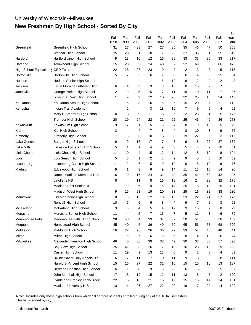# **New Freshmen By High School - Sorted By City**

|                                   |                                | Fall | Fall        | Fall           | Fall | Fall           | Fall | Fall | Fall | Fall           | Fall           | 10<br>Year |
|-----------------------------------|--------------------------------|------|-------------|----------------|------|----------------|------|------|------|----------------|----------------|------------|
|                                   |                                | 1998 | 1999        | 2000           | 2001 | 2002           | 2003 | 2004 | 2005 | 2006           | 2007           | Total      |
| Greenfield                        | Greenfield High School         | 31   | 27          | 33             | 27   | 27             | 35   | 35   | 46   | 47             | 50             | 358        |
|                                   | Whitnall High School           | 25   | 23          | 31             | 20   | 17             | 25   | 37   | 35   | 51             | 55             | 319        |
| Hartford                          | Hartford Union High School     | 9    | 13          | 16             | 12   | 16             | 26   | 33   | 33   | 26             | 33             | 217        |
| Hartland                          | Arrowhead High School          | 15   | 28          | 39             | 24   | 43             | 37   | 52   | 69   | 83             | 86             | 476        |
| High School Equivalency GED Tests |                                | 22   | 28          | 27             | 23   | 0              | 2    | 2    | 3    | 3              | 5              | 115        |
| Hortonville                       | Hortonville High School        | 5    | 7           | 2              | 6    | 7              | 6    | 6    | 4    | 6              | 15             | 64         |
| Hudson                            | Hudson Senior High School      | 1    |             |                | 1    | 5              | 12   | 8    | 12   | 2              | 2              | 43         |
| Jackson                           | Kettle Moraine Lutheran High   | 6    | 4           | 2              | 3    | 3              | 10   | 8    | 15   | 7              | $\overline{7}$ | 65         |
| Janesville                        | George Parker High School      | 2    | 9           | 5              | 5    | $\overline{7}$ | 11   | 19   | 10   | 11             | $\overline{7}$ | 86         |
|                                   | Joseph A Craig High School     | 1    | 9           | 2              | 12   | 10             | 20   | 22   | 25   | 18             | 24             | 143        |
| Kaukauna                          | Kaukauna Senior High School    |      | 5           | 8              | 16   | 5              | 25   | 15   | 20   | $\overline{7}$ | 11             | 112        |
| Kenosha                           | Indian Trail Academy           |      | 2           |                | 3    | 18             | 10   | 7    | 9    | 9              | 4              | 62         |
|                                   | Mary D Bradford High School    | 10   | 13          | 9              | 11   | 15             | 26   | 22   | 23   | 21             | 25             | 175        |
|                                   | <b>Tremper High School</b>     | 20   | 19          | 24             | 22   | 21             | 22   | 25   | 43   | 46             | 36             | 278        |
| Kewaskum                          | Kewaskum High School           | 9    | 7           | 1              | 5    | 8              | 4    | 8    | 19   | 13             | 5              | 79         |
| Kiel                              | Kiel High School               | 2    |             | 4              | 7    | 8              | 4    | 8    | 10   | 3              | 9              | 55         |
| Kimberly                          | Kimberly High School           | 7    | 8           | 6              | 10   | 16             | 6    | 19   | 22   | 5              | 13             | 112        |
| Lake Geneva                       | <b>Badger High School</b>      | 9    | 9           | 16             | 17   | 7              | 8    | 9    | 8    | 22             | 27             | 132        |
| <b>Lake Mills</b>                 | Lakeside Lutheran High School  | 5    | 1           | 1              | 4    | 9              | 3    | 5    | 4    | 9              | 10             | 51         |
| <b>Little Chute</b>               | Little Chute High School       | 11   | 10          | 4              | 15   | 12             | 14   | 12   | 8    | 10             | 8              | 104        |
| Lodi                              | Lodi Senior High School        | 5    | 5           | 1              | 2    | 8              | 9    | 9    | 5    | 5              | 10             | 59         |
| Luxemburg                         | Luxemburg Casco High School    | 11   | 2           | $\overline{7}$ | 5    | 9              | 10   | 6    | 8    | 10             | 8              | 76         |
| Madison                           | Edgewood High School           | 9    | 1           | 3              | 6    | 9              | 14   | 11   | 13   | 10             | 14             | 90         |
|                                   | James Madison Memorial H S     | 16   | 19          | 16             | 24   | 31             | 43   | 35   | 41   | 58             | 42             | 325        |
|                                   | Lafollette HS                  | 8    | 4           | 11             | 8    | 16             | 18   | 16   | 24   | 38             | 32             | 175        |
|                                   | <b>Madison East Senior HS</b>  | 1    | 9           | 6              | 9    | 6              | 14   | 25   | 18   | 18             | 15             | 121        |
|                                   | Madison West High School       | 9    | 15          | 23             | 19   | 20             | 33   | 25   | 16   | 32             | 38             | 230        |
| Manitowoc                         | Lincoln Senior High School     | 8    | 3           | 15             | 12   | 13             | 16   | 33   | 22   | 21             | 27             | 170        |
|                                   | Roncalli High School           | 10   | 7           | 6              | 6    | 8              | 4    | 9    | 7    | 2              | 3              | 62         |
| Mc Farland                        | McFarland High School          | 3    | 6           | 4              | 5    | 4              | 17   | 9    | 16   | 7              | 8              | 79         |
| Menasha                           | Menasha Senior High School     | 11   | 4           | 5              | 7    | 15             | 7    | 5    | 11   | 8              | 6              | 79         |
| Menomonee Falls                   | Menomonee Falls High School    | 28   | 43          | 34             | 33   | 37             | 37   | 50   | 51   | 38             | 58             | 409        |
| Mequon                            | Homestead High School          | 45   | 40          | 45             | 36   | 49             | 59   | 65   | 56   | 57             | 68             | 520        |
| Middleton                         | Middleton High School          | 16   | 22          | 28             | 26   | 36             | 29   | 33   | 57   | 46             | 48             | 341        |
| Milton                            | Milton High School             |      | $\mathbf 5$ | 7              | 6    | 8              | 6    | 8    | 14   | 10             | 10             | 74         |
| Milwaukee                         | Alexander Hamilton High School | 46   | 45          | 36             | 39   | 32             | 42   | 30   | 33   | 33             | 57             | 393        |
|                                   | Bay View High School           | 25   | 41          | 28             | 26   | 17             | 18   | 16   | 23   | 12             | 19             | 225        |
|                                   | Custer High School             | 11   | 19          | 9              | 13   | 13             | 6    | 9    | 2    | 3              | 4              | 89         |
|                                   | Divine Savior-Holy Angels H S  | 6    | 17          | 11             | 7    | 10             | 11   | 9    | 13   | 9              | 18             | 111        |
|                                   | Harold S Vincent High School   | 15   | 16          | 27             | 22   | 32             | 16   | 15   | 15   | 16             | 13             | 187        |
|                                   | Heritage Christian High School | 6    | 11          | 8              | 9    | 8              | 20   | 6    | 6    | 8              | 5              | 87         |
|                                   | John Marshall High School      | 17   | 18          | 19             | 15   | 12             | 11   | 13   | 8    | 5              | 2              | 120        |
|                                   | Lynde and Bradley Tech/Trade   | 22   | 16          | 18             | 21   | 15             | 10   | 15   | 16   | 14             | 14             | 161        |
|                                   | Madison University H S         | 13   | 14          | 26             | 27   | 22             | 20   | 19   | 17   | 20             | 14             | 192        |

Note: Includes only those high schools from which 10 or more students enrolled during any of the 10 fall semesters. This list is sorted by city.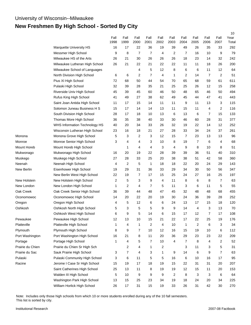## **New Freshmen By High School - Sorted By City**

|                    |                                |              |              |                |                |              |              |                |                  |                |                | 10            |
|--------------------|--------------------------------|--------------|--------------|----------------|----------------|--------------|--------------|----------------|------------------|----------------|----------------|---------------|
|                    |                                | Fall<br>1998 | Fall<br>1999 | Fall<br>2000   | Fall<br>2001   | Fall<br>2002 | Fall<br>2003 | Fall<br>2004   | Fall<br>2005     | Fall<br>2006   | Fall<br>2007   | Year<br>Total |
|                    | Marquette University HS        | 16           | 17           | 22             | 36             | 19           | 39           | 49             | 26               | 35             | 33             | 292           |
|                    | Messmer High School            | 9            | 8            | $\overline{7}$ | $\overline{7}$ | 4            | 2            | 7              | 16               | 10             | 9              | 79            |
|                    | Milwaukee HS of the Arts       | 26           | 21           | 30             | 26             | 26           | 26           | 18             | 23               | 14             | 32             | 242           |
|                    | Milwaukee Lutheran High School | 26           | 21           | 22             | 21             | 22           | 22           | 11             | 11               | 18             | 26             | 200           |
|                    | Milwaukee School of Languages  |              |              | 4              | 5              | 12           | 8            | 6              | 6                | 11             | 12             | 64            |
|                    | North Division High School     | 6            | 6            | 2              | 7              | 4            | 1            | 2              | 14               | $\overline{7}$ | 2              | 51            |
|                    | Pius XI High School            | 72           | 68           | 50             | 44             | 54           | 70           | 65             | 68               | 59             | 61             | 611           |
|                    | Pulaski High School            | 32           | 39           | 28             | 35             | 21           | 25           | 25             | 26               | 12             | 15             | 258           |
|                    | Riverside Univ High School     | 45           | 39           | 45             | 60             | 46           | 50           | 48             | 65               | 46             | 50             | 494           |
|                    | Rufus King High School         | 41           | 49           | 27             | 38             | 62           | 49           | 45             | 44               | 47             | 41             | 443           |
|                    | Saint Joan Antida High School  | 11           | 17           | 15             | 14             | 11           | 11           | 9              | 11               | 13             | 3              | 115           |
|                    | Solomon Juneau Business H S    | 15           | 17           | 14             | 14             | 13           | 11           | 15             | 11               | 4              | 2              | 116           |
|                    | South Division High School     | 28           | 17           | 18             | 10             | 13           | 6            | 13             | 6                | 7              | 15             | 133           |
|                    | Thomas More High School        | 36           | 35           | 38             | 40             | 33           | 30           | 46             | 60               | 28             | 31             | 377           |
|                    | WHS Information Technology HS  | 40           | 20           | 34             | 33             | 26           | 32           | 19             | 22               | 14             | 12             | 252           |
|                    | Wisconsin Lutheran High School | 23           | 16           | 18             | 21             | 27           | 28           | 33             | 34               | 24             | 37             | 261           |
| Monona             | Monona Grove High School       | 5            | 3            | 2              | 3              | 12           | 15           | $\overline{7}$ | 23               | 13             | 13             | 96            |
| Monroe             | Monroe Senior High School      | 3            | 4            | 4              | 3              | 10           | 8            | 19             | 7                | 6              | 4              | 68            |
| <b>Mount Horeb</b> | Mount Horeb High School        |              | 1            | 4              | 4              | 3            | 4            | 9              | 8                | 10             | 8              | 51            |
| Mukwonago          | Mukwonago High School          | 16           | 20           | 19             | 22             | 28           | 39           | 39             | 36               | 51             | 40             | 310           |
| Muskego            | Muskego High School            | 27           | 28           | 33             | 25             | 20           | 38           | 38             | 51               | 42             | 58             | 360           |
| Neenah             | Neenah High School             | 4            | 2            | 5              | 1              | 18           | 18           | 22             | 20               | 24             | 29             | 143           |
| New Berlin         | Eisenhower High School         | 19           | 29           | 31             | 36             | 33           | 29           | 34             | 30               | 50             | 56             | 347           |
|                    | New Berlin West High School    | 22           | 19           | 7              | 17             | 15           | 25           | 24             | 27               | 16             | 25             | 197           |
| New Holstein       | New Holstein High School       | 2            | 5            | 3              | 9              | 4            | 11           | 8              | 6                | 8              | 7              | 63            |
| New London         | New London High School         | 1            | 2            | 4              | 7              | 5            | 11           | 3              | 6                | 11             | 5              | 55            |
| Oak Creek          | Oak Creek Senior High School   | 36           | 39           | 44             | 48             | 47           | 45           | 32             | 48               | 48             | 68             | 455           |
| Oconomowoc         | Oconomowoc High School         | 14           | 20           | 22             | 20             | 19           | 30           | 24             | 36               | 39             | 28             | 252           |
| Oregon             | Oregon High School             | 4            | 5            | 12             | 6              | 6            | 24           | 13             | 17               | 15             | 18             | 120           |
| Oshkosh            | Oshkosh North High School      | 5            | 3            | 5              | 5              | 9            | 9            | 14             | 4                | 3              | 13             | 70            |
|                    | Oshkosh West High School       | 6            | 9            | 5              | 14             | 6            | 15           | 17             | 12               | 7              | 17             | 108           |
| Pewaukee           | Pewaukee High School           | 12           | 13           | 10             | 15             | 21           | 22           | 17             | 22               | 25             | 19             | 176           |
| Platteville        | Platteville High School        | 1            | 4            | 1              | $\overline{c}$ | 4            | 10           | $\mathbf{1}$   | $\boldsymbol{2}$ | 6              | 3              | 34            |
| Plymouth           | Plymouth High School           | 8            | 9            | 7              | 10             | 12           | 16           | 15             | 19               | 10             | 6              | 112           |
| Port Washington    | Port Washington High School    | 16           | 21           | 8              | 11             | 20           | 36           | 29             | 23               | 23             | 22             | 209           |
| Portage            | Portage High School            | 1            | 4            | 5              | $\overline{7}$ | 10           | 4            | $\overline{7}$ | 8                | 4              | $\overline{2}$ | 52            |
| Prairie du Chien   | Prairie du Chien Sr High Sch   |              | 2            | 4              | 1              | 2            |              | 3              | 11               | 3              | 5              | 31            |
| Prairie du Sac     | Sauk Prairie High School       | 3            | 7            | 4              | 3              | 1            | 9            | 14             | 6                | 9              | $\overline{7}$ | 63            |
| Pulaski            | Pulaski Community High School  | 3            | 6            | 11             | 5              | 5            | 16           | 6              | 10               | 16             | 17             | 95            |
| Racine             | Jerome I Case Sr High School   | 15           | 19           | 17             | 18             | 19           | 15           | 22             | 31               | 31             | 20             | 207           |
|                    | Saint Catherines High School   | 25           | 13           | 11             | 8              | 19           | 19           | 12             | 15               | 11             | 20             | 153           |
|                    | Walden III High School         | 5            | 10           | 9              | 9              | 9            | 2            | 8              | 3                | $\sqrt{3}$     | 6              | 64            |
|                    | Washington Park High School    | 13           | 15           | 25             | 23             | 34           | 19           | 18             | 24               | 20             | 34             | 225           |
|                    | William Horlick High School    | 26           | $17$         | 31             | 15             | 19           | 33           | 26             | 31               | 42             | 30             | 270           |

Note: Includes only those high schools from which 10 or more students enrolled during any of the 10 fall semesters. This list is sorted by city.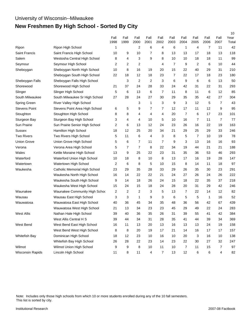## University of Wisconsin--Milwaukee **New Freshmen By High School - Sorted By City**

|                      |                                |                         |              |                |                |                |                |                |              |                |              | 10            |
|----------------------|--------------------------------|-------------------------|--------------|----------------|----------------|----------------|----------------|----------------|--------------|----------------|--------------|---------------|
|                      |                                | Fall<br>1998            | Fall<br>1999 | Fall<br>2000   | Fall<br>2001   | Fall<br>2002   | Fall<br>2003   | Fall<br>2004   | Fall<br>2005 | Fall<br>2006   | Fall<br>2007 | Year<br>Total |
| Ripon                | Ripon High School              | 1                       |              | $\overline{2}$ | 6              | 4              | 6              | $\mathbf{1}$   | 4            | $\overline{7}$ | 11           | 42            |
| <b>Saint Francis</b> | Saint Francis High School      | 10                      | 9            | 10             | 7              | 8              | 13             | 13             | 17           | 18             | 13           | 118           |
| Salem                | Westosha Central High School   | 8                       | 4            | 3              | 9              | 8              | 10             | 10             | 18           | 18             | 11           | 99            |
| Seymour              | Seymour High School            | $\overline{2}$          | 2            | 2              |                | 4              | $\overline{7}$ | 9              | 2            | 6              | 10           | 44            |
| Sheboygan            | Sheboygan North High School    | 10                      | 8            | 16             | 19             | 20             | 15             | 22             | 40           | 29             | 31           | 210           |
|                      | Sheboygan South High School    | 22                      | 18           | 12             | 18             | 23             | 7              | 22             | 17           | 18             | 23           | 180           |
| Sheboygan Falls      | Sheboygan Falls High School    |                         | 3            | 2              | $\overline{2}$ | 3              | 6              | 9              | 6            | 6              | 13           | 50            |
| Shorewood            | Shorewood High School          | 21                      | 37           | 24             | 28             | 33             | 24             | 42             | 31           | 22             | 31           | 293           |
| Slinger              | Slinger High School            | 5                       | 6            | 13             | 6              | 7              | 11             | 8              | 11           | 6              | 12           | 85            |
| South Milwaukee      | South Milwaukee Sr High School | 27                      | 28           | 24             | 27             | 30             | 29             | 35             | 35           | 42             | 27           | 304           |
| Spring Green         | River Valley High School       |                         |              | 3              | 1              | 3              | 9              | 3              | 12           | 5              | 7            | 43            |
| <b>Stevens Point</b> | Stevens Point Area High School | 6                       | 5            | 9              | 7              | $\overline{7}$ | 12             | 17             | 11           | 12             | 9            | 95            |
| Stoughton            | Stoughton High School          | 8                       | 8            | 4              | 4              | 4              | 20             | $\overline{7}$ | 6            | 17             | 23           | 101           |
| Sturgeon Bay         | Sturgeon Bay High School       | 3                       | 4            | 4              | 10             | 5              | 10             | 16             | 7            | 11             | 7            | 77            |
| Sun Prairie          | Sun Prairie Senior High School | $\overline{\mathbf{c}}$ | 6            | 13             | 12             | 24             | 23             | 26             | 16           | 22             | 19           | 163           |
| Sussex               | Hamilton High School           | 18                      | 12           | 25             | 20             | 34             | 21             | 29             | 25           | 29             | 33           | 246           |
| <b>Two Rivers</b>    | Two Rivers High School         | 5                       | 11           | 6              | 4              | 3              | 8              | 5              | 7            | 10             | 19           | 78            |
| <b>Union Grove</b>   | Union Grove High School        | 5                       | 6            | $\overline{7}$ | 11             | $\overline{7}$ | 9              | 3              | 13           | 16             | 16           | 93            |
| Verona               | Verona Area High School        | 5                       | 7            | $\overline{7}$ | 8              | 22             | 34             | 19             | 44           | 21             | 21           | 188           |
| Wales                | Kettle Moraine High School     | 13                      | 9            | 25             | 22             | 23             | 31             | 35             | 36           | 53             | 46           | 293           |
| Waterford            | Waterford Union High School    | 10                      | 18           | 8              | 10             | 8              | 13             | 17             | 16           | 19             | 28           | 147           |
| Watertown            | Watertown High School          | $\overline{2}$          | 6            | 8              | 5              | 10             | 15             | 8              | 14           | 11             | 18           | 97            |
| Waukesha             | Catholic Memorial High School  | 23                      | 29           | 35             | 28             | 33             | 29             | 26             | 35           | 30             | 23           | 291           |
|                      | Waukesha North High School     | 16                      | 14           | 22             | 22             | 21             | 24             | 27             | 26           | 24             | 26           | 222           |
|                      | Waukesha South High School     | 9                       | 14           | 18             | 26             | 24             | 15             | 18             | 22           | 35             | 37           | 218           |
|                      | Waukesha West High School      | 15                      | 24           | 15             | 18             | 24             | 28             | 20             | 31           | 29             | 42           | 246           |
| Waunakee             | Waunakee Community High Schoo  | 2                       | 2            | 2              | 3              | 5              | 13             | 7              | 22           | 14             | 12           | 82            |
| Wausau               | Wausau East High School        | 3                       | 3            | 1              | 9              | 3              | 6              | 5              | 5            | 1              | 16           | 52            |
| Wauwatosa            | Wauwatosa East High School     | 40                      | 36           | 45             | 34             | 35             | 48             | 36             | 56           | 42             | 67           | 439           |
|                      | Wauwatosa West High School     | 21                      | 13           | 34             | 23             | 23             | 45             | 29             | 49           | 22             | 24           | 283           |
| <b>West Allis</b>    | Nathan Hale High School        | 39                      | 40           | 36             | 35             | 26             | 31             | 39             | 55           | 41             | 42           | 384           |
|                      | West Allis Central H S         | 39                      | 44           | 34             | 31             | 28             | 35             | 41             | 44           | 39             | 34           | 369           |
| West Bend            | West Bend East High School     | 16                      | 11           | 13             | 20             | 13             | 16             | 13             | 13           | 24             | 19           | 158           |
|                      | West Bend West High School     | 8                       | 8            | 20             | 19             | 17             | 21             | 14             | 16           | 17             | 17           | 157           |
| Whitefish Bay        | Dominican High School          | 18                      | 12           | 23             | 10             | 16             | 10             | 20             | 3            | 16             | 10           | 138           |
|                      | Whitefish Bay High School      | 26                      | 28           | 22             | 23             | 14             | 23             | 22             | 30           | 27             | 32           | 247           |
| Wilmot               | Wilmot Union High School       | 9                       | 9            | 8              | 10             | 11             | 10             | $\overline{7}$ | 11           | 15             | 7            | 97            |
| Wisconsin Rapids     | Lincoln High School            | 11                      | 8            | 11             | 4              | $\overline{7}$ | 13             | 12             | 6            | 6              | 4            | 82            |

Note: Includes only those high schools from which 10 or more students enrolled during any of the 10 fall semesters. This list is sorted by city.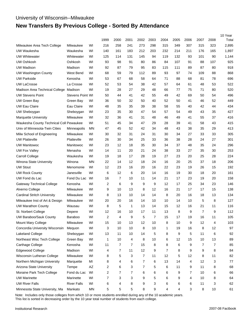# **New Transfers By Previous College - Sorted By Attendance**

|                                         |                         |           |                         |      |              |      |      |      |      |      |      |      | 10 Year |
|-----------------------------------------|-------------------------|-----------|-------------------------|------|--------------|------|------|------|------|------|------|------|---------|
|                                         |                         |           | 1999                    | 2000 | 2001         | 2002 | 2003 | 2004 | 2005 | 2006 | 2007 | 2008 | Total   |
| Milwaukee Area Tech College             | Milwaukee               | WI        | 216                     | 258  | 241          | 273  | 298  | 315  | 349  | 307  | 315  | 323  | 2,895   |
| UW Waukesha                             | Waukesha                | WI        | 140                     | 161  | 183          | 212  | 203  | 232  | 214  | 211  | 176  | 165  | 1,897   |
| <b>UW Whitewater</b>                    | Whitewater              | WI        | 125                     | 114  | 131          | 145  | 94   | 119  | 132  | 93   | 101  | 90   | 1,144   |
| <b>UW Oshkosh</b>                       | Oshkosh                 | WI        | 93                      | 98   | 91           | 80   | 86   | 84   | 107  | 91   | 88   | 107  | 925     |
| <b>UW Madison</b>                       | Madison                 | WI        | 92                      | 87   | 79           | 95   | 83   | 115  | 111  | 89   | 87   | 80   | 918     |
| <b>UW Washington County</b>             | West Bend               | WI        | 68                      | 59   | 79           | 112  | 89   | 93   | 97   | 74   | 109  | 88   | 868     |
| <b>UW Parkside</b>                      | Kenosha                 | WI        | 53                      | 67   | 68           | 58   | 64   | 71   | 88   | 68   | 81   | 78   | 696     |
| <b>UW LaCrosse</b>                      | La Crosse               | WI        | 52                      | 53   | 54           | 38   | 42   | 57   | 64   | 61   | 48   | 53   | 522     |
| Madison Area Technical College          | Madison                 | WI        | 19                      | 28   | 27           | 29   | 48   | 66   | 77   | 75   | 71   | 80   | 520     |
| <b>UW Stevens Point</b>                 | <b>Stevens Point WI</b> |           | 50                      | 44   | 41           | 42   | 55   | 49   | 42   | 69   | 50   | 54   | 496     |
| UW Green Bay                            | Green Bay               | WI        | 36                      | 50   | 32           | 50   | 40   | 52   | 50   | 41   | 46   | 52   | 449     |
| <b>UW Eau Claire</b>                    | Eau Claire              | WI        | 48                      | 35   | 35           | 39   | 38   | 58   | 55   | 40   | 42   | 44   | 434     |
| UW Sheboygan                            | Sheboygan               | WI        | 23                      | 35   | 30           | 47   | 54   | 57   | 54   | 49   | 43   | 35   | 427     |
| <b>Marquette University</b>             | Milwaukee               | WI        | 32                      | 36   | 41           | 31   | 48   | 46   | 49   | 41   | 55   | 37   | 416     |
| Waukesha County Technical Coll Pewaukee |                         | WI        | 51                      | 45   | 34           | 47   | 29   | 28   | 39   | 41   | 58   | 43   | 415     |
| Univ of Minnesota-Twin Cities           | Minneapolis             | ΜN        | 47                      | 45   | 52           | 42   | 34   | 48   | 43   | 38   | 35   | 29   | 413     |
| Milw School of Engineering              | Milwaukee               | WI        | 30                      | 32   | 31           | 24   | 31   | 30   | 34   | 27   | 33   | 33   | 305     |
| <b>UW Platteville</b>                   | Platteville             | WI        | 26                      | 30   | 34           | 25   | 33   | 36   | 38   | 28   | 24   | 27   | 301     |
| <b>UW Manitowoc</b>                     | Manitowoc               | WI        | 23                      | 12   | 18           | 35   | 30   | 34   | 37   | 48   | 35   | 24   | 296     |
| <b>UW Fox Valley</b>                    | Menasha                 | WI        | 14                      | 11   | 20           | 21   | 24   | 38   | 33   | 27   | 35   | 30   | 253     |
| <b>Carroll College</b>                  | Waukesha                | WI        | 19                      | 18   | 17           | 28   | 19   | 27   | 23   | 20   | 25   | 28   | 224     |
| Winona State University                 | Winona                  | ΜN        | 22                      | 14   | 12           | 18   | 24   | 16   | 20   | 25   | 37   | 18   | 206     |
| <b>UW Stout</b>                         | Menomonie               | WI        | 12                      | 23   | 16           | 20   | 16   | 22   | 23   | 19   | 26   | 15   | 192     |
| <b>UW Rock County</b>                   | Janesville              | WI        | 6                       | 12   | 6            | 20   | 14   | 16   | 19   | 30   | 18   | 20   | 161     |
| UW Fond du Lac                          | Fond Du Lac             | WI        | 16                      | 7    | 10           | 11   | 14   | 21   | 17   | 23   | 19   | 20   | 158     |
| <b>Gateway Technical College</b>        | Kenosha                 | WI        | 2                       | 6    | 9            | 9    | 9    | 12   | 17   | 25   | 34   | 23   | 146     |
| Alverno College                         | Milwaukee               | WI        | 9                       | 10   | 13           | 8    | 12   | 16   | 21   | 17   | 17   | 15   | 138     |
| <b>Cardinal Stritch University</b>      | Milwaukee               | WI        | 8                       | 13   | 10           | 14   | 14   | 8    | 20   | 16   | 18   | 13   | 134     |
| Milwaukee Inst of Art & Design          | Milwaukee               | WI        | 20                      | 20   | 16           | 14   | 10   | 10   | 14   | 10   | 5    | 8    | 127     |
| <b>UW Marathon County</b>               | Wausau                  | WI        | 8                       | 5    | $\mathbf{1}$ | 13   | 14   | 15   | 12   | 16   | 21   | 11   | 116     |
| St. Norbert College                     | Depere                  | WI        | 12                      | 16   | 10           | 17   | 11   | 13   | 8    | 9    | 7    | 9    | 112     |
| UW Baraboo/Sauk County                  | Baraboo                 | WI        | $\overline{\mathbf{c}}$ | 4    | 9            | 5    | 7    | 15   | 17   | 19   | 16   | 11   | 105     |
| Mount Mary College                      | Milwaukee               | WI        | 15                      | 10   | 13           | 12   | 10   | 8    | 10   | 9    | 12   | 4    | 103     |
| Concordia University Wisconsin          | Mequon                  | WI        | 3                       | 10   | 10           | 8    | 10   | 1    | 19   | 16   | 8    | 12   | 97      |
| Lakeland College                        | Sheboygan               | WI        | 13                      | 11   | 10           | 14   | 5    | 8    | 9    | 5    | 11   | 6    | 92      |
| Northeast Wisc Tech College             | Green Bay               | WI        | 1                       | 10   | 4            | 8    | 10   | 6    | 12   | 15   | 10   | 13   | 89      |
| Carthage College                        | Kenosha                 | WI        | 11                      | 7    | 7            | 15   | 8    | 8    | 6    | 9    | 7    | 7    | 85      |
| Edgewood College                        | Madison                 | WI        | 4                       | 7    | 11           | 12   | 9    | 7    | 8    | 9    | 9    | 8    | 84      |
| Wisconsin Lutheran College              | Milwaukee               | WI        | 8                       | 5    | 3            | 7    | 11   | 12   | 5    | 12   | 8    | 11   | 82      |
| Northern Michigan University            | Marquette               | MI        | 8                       | 4    | 6            | 7    | 6    | 13   | 14   | 4    | 12   | 3    | 77      |
| Arizona State University                | Tempe                   | AZ        | 2                       | 6    | 3            | 7    | 5    | 6    | 11   | 9    | 11   | 8    | 68      |
| Moraine Park Tech College               | Fond du Lac             | WI        | 2                       | 7    | 7            | 6    | 6    | 6    | 9    | 7    | 10   | 6    | 66      |
| <b>UW Marinette</b>                     | Marinette               | WI        | 7                       | 3    | 3            | 9    | 5    | 6    | 9    | 4    | 10   | 8    | 64      |
| <b>UW River Falls</b>                   | <b>River Falls</b>      | WI        | 6                       | 4    | 8            | 9    | 3    | 6    | 6    | 6    | 11   | 3    | 62      |
| Minnesota State University, Ma          | Mankato                 | <b>MN</b> | 5                       | 5    | 5            | 8    | 9    | 4    | 4    | 3    | 8    | $10$ | 61      |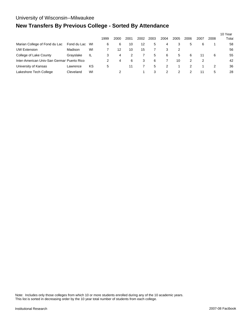# **New Transfers By Previous College - Sorted By Attendance**

|                                            |             |    | 1999 | 2000 | 2001 | 2002 | 2003 | 2004 | 2005 | 2006 | 2007 | 2008 | 10 Year<br>Total |
|--------------------------------------------|-------------|----|------|------|------|------|------|------|------|------|------|------|------------------|
| Marian College of Fond du Lac              | Fond du Lac | WI | 6    | 6    | 10   | 12   | 5    | 4    | 3    | 5    | 6    |      | 58               |
| <b>UW Extension</b>                        | Madison     | WI |      | 12   | 10   | 15   |      | 3    | 2    |      |      |      | 56               |
| College of Lake County                     | Grayslake   | IL | 3    | 4    |      |      | 5    | 6    | 5    | 6    | 11   | 6    | 55               |
| Inter-American Univ-San Germar Puerto Rico |             |    |      | 4    | 6    | 3    | 6    |      | 10   |      | 2    |      | 42               |
| University of Kansas                       | Lawrence    | κs | 5    |      | 11   |      | 5    | 2    |      |      |      | 2    | 36               |
| Lakeshore Tech College                     | Cleveland   | WI |      |      |      |      | 3    | 2    |      |      | 11   | 5    | 28               |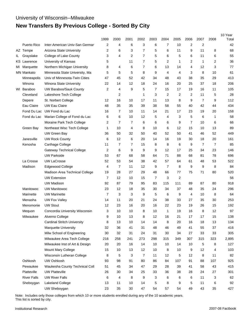# **New Transfers By Previous College - Sorted By City**

|     |                    |                                    |                |                |                |                |      |      |                |      |                |                | 10 Year |
|-----|--------------------|------------------------------------|----------------|----------------|----------------|----------------|------|------|----------------|------|----------------|----------------|---------|
|     |                    |                                    | 1999           | 2000           | 2001           | 2002           | 2003 | 2004 | 2005           | 2006 | 2007           | 2008           | Total   |
|     | Puerto Rico        | Inter-American Univ-San Germar     | $\overline{2}$ | 4              | 6              | 3              | 6    | 7    | 10             | 2    | $\overline{2}$ |                | 42      |
|     | AZ Tempe           | Arizona State University           | 2              | 6              | 3              | 7              | 5    | 6    | 11             | 9    | 11             | 8              | 68      |
| IL. | Grayslake          | College of Lake County             | 3              | 4              | $\overline{2}$ | 7              | 5    | 6    | 5              | 6    | 11             | 6              | 55      |
| KS. | Lawrence           | University of Kansas               | 5              |                | 11             | 7              | 5    | 2    | 1              | 2    | 1              | $\overline{2}$ | 36      |
| MI  | Marquette          | Northern Michigan University       | 8              | 4              | 6              | 7              | 6    | 13   | 14             | 4    | 12             | 3              | 77      |
|     | <b>MN Mankato</b>  | Minnesota State University, Ma     | 5              | 5              | 5              | 8              | 9    | 4    | 4              | 3    | 8              | 10             | 61      |
|     | Minneapolis        | Univ of Minnesota-Twin Cities      | 47             | 45             | 52             | 42             | 34   | 48   | 43             | 38   | 35             | 29             | 413     |
|     | Winona             | <b>Winona State University</b>     | 22             | 14             | 12             | 18             | 24   | 16   | 20             | 25   | 37             | 18             | 206     |
|     | WI Baraboo         | UW Baraboo/Sauk County             | $\overline{2}$ | 4              | 9              | 5              | 7    | 15   | 17             | 19   | 16             | 11             | 105     |
|     | Cleveland          | Lakeshore Tech College             |                | 2              |                | 1              | 3    | 2    | 2              | 2    | 11             | 5              | 28      |
|     | Depere             | St. Norbert College                | 12             | 16             | 10             | 17             | 11   | 13   | 8              | 9    | 7              | 9              | 112     |
|     | Eau Claire         | <b>UW Eau Claire</b>               | 48             | 35             | 35             | 39             | 38   | 58   | 55             | 40   | 42             | 44             | 434     |
|     | Fond Du Lac        | UW Fond du Lac                     | 16             | 7              | 10             | 11             | 14   | 21   | 17             | 23   | 19             | 20             | 158     |
|     | Fond du Lac        | Marian College of Fond du Lac      | 6              | 6              | 10             | 12             | 5    | 4    | 3              | 5    | 6              | 1              | 58      |
|     |                    | Moraine Park Tech College          | $\overline{2}$ | $\overline{7}$ | $\overline{7}$ | 6              | 6    | 6    | 9              | 7    | 10             | 6              | 66      |
|     | Green Bay          | Northeast Wisc Tech College        | 1              | 10             | 4              | 8              | 10   | 6    | 12             | 15   | 10             | 13             | 89      |
|     |                    | UW Green Bay                       | 36             | 50             | 32             | 50             | 40   | 52   | 50             | 41   | 46             | 52             | 449     |
|     | Janesville         | <b>UW Rock County</b>              | 6              | 12             | 6              | 20             | 14   | 16   | 19             | 30   | 18             | 20             | 161     |
|     | Kenosha            | Carthage College                   | 11             | $\overline{7}$ | $\overline{7}$ | 15             | 8    | 8    | 6              | 9    | 7              | 7              | 85      |
|     |                    | <b>Gateway Technical College</b>   | $\overline{2}$ | 6              | 9              | 9              | 9    | 12   | 17             | 25   | 34             | 23             | 146     |
|     |                    | <b>UW Parkside</b>                 | 53             | 67             | 68             | 58             | 64   | 71   | 88             | 68   | 81             | 78             | 696     |
|     | La Crosse          | <b>UW LaCrosse</b>                 | 52             | 53             | 54             | 38             | 42   | 57   | 64             | 61   | 48             | 53             | 522     |
|     | Madison            | Edgewood College                   | 4              | $\overline{7}$ | 11             | 12             | 9    | 7    | 8              | 9    | 9              | 8              | 84      |
|     |                    | Madison Area Technical College     | 19             | 28             | 27             | 29             | 48   | 66   | 77             | 75   | 71             | 80             | 520     |
|     |                    | <b>UW Extension</b>                | $\overline{7}$ | 12             | 10             | 15             | 7    | 3    | $\overline{c}$ |      |                |                | 56      |
|     |                    | <b>UW Madison</b>                  | 92             | 87             | 79             | 95             | 83   | 115  | 111            | 89   | 87             | 80             | 918     |
|     | Manitowoc          | <b>UW Manitowoc</b>                | 23             | 12             | 18             | 35             | 30   | 34   | 37             | 48   | 35             | 24             | 296     |
|     | Marinette          | <b>UW Marinette</b>                | $\overline{7}$ | 3              | 3              | 9              | 5    | 6    | 9              | 4    | 10             | 8              | 64      |
|     | Menasha            | <b>UW Fox Valley</b>               | 14             | 11             | 20             | 21             | 24   | 38   | 33             | 27   | 35             | 30             | 253     |
|     | Menomonie          | <b>UW Stout</b>                    | 12             | 23             | 16             | 20             | 16   | 22   | 23             | 19   | 26             | 15             | 192     |
|     | Mequon             | Concordia University Wisconsin     | 3              | 10             | 10             | 8              | 10   | 1    | 19             | 16   | 8              | 12             | 97      |
|     | Milwaukee          | Alverno College                    | 9              | $10$           | 13             | 8              | 12   | 16   | 21             | 17   | 17             | 15             | 138     |
|     |                    | <b>Cardinal Stritch University</b> | 8              | 13             | 10             | 14             | 14   | 8    | 20             | 16   | 18             | 13             | 134     |
|     |                    | <b>Marquette University</b>        | 32             | 36             | 41             | 31             | 48   | 46   | 49             | 41   | 55             | 37             | 416     |
|     |                    | Milw School of Engineering         | 30             | 32             | 31             | 24             | 31   | 30   | 34             | 27   | 33             | 33             | 305     |
|     |                    | Milwaukee Area Tech College        | 216            | 258            | 241            | 273            | 298  | 315  | 349            | 307  | 315            | 323            | 2,895   |
|     |                    | Milwaukee Inst of Art & Design     | 20             | 20             | 16             | 14             | 10   | 10   | 14             | 10   | 5              | 8              | 127     |
|     |                    | Mount Mary College                 | 15             | 10             | 13             | 12             | 10   | 8    | 10             | 9    | 12             | 4              | 103     |
|     |                    | Wisconsin Lutheran College         | 8              | 5              | 3              | $\overline{7}$ | 11   | 12   | 5              | 12   | 8              | 11             | 82      |
|     | Oshkosh            | UW Oshkosh                         | 93             | 98             | 91             | 80             | 86   | 84   | 107            | 91   | 88             | 107            | 925     |
|     | Pewaukee           | Waukesha County Technical Coll     | 51             | 45             | 34             | 47             | 29   | 28   | 39             | 41   | 58             | 43             | 415     |
|     | Platteville        | <b>UW Platteville</b>              | 26             | 30             | 34             | 25             | 33   | 36   | 38             | 28   | 24             | 27             | 301     |
|     | <b>River Falls</b> | <b>UW River Falls</b>              | 6              | 4              | 8              | 9              | 3    | 6    | 6              | 6    | 11             | 3              | 62      |
|     | Sheboygan          | Lakeland College                   | 13             | 11             | 10             | 14             | 5    | 8    | 9              | 5    | 11             | 6              | 92      |
|     |                    | UW Sheboygan                       | 23             | 35             | 30             | 47             | 54   | 57   | 54             | 49   | 43             | 35             | 427     |

Note: Includes only those colleges from which 10 or more students enrolled during any of the 10 academic years. This list is sorted by city.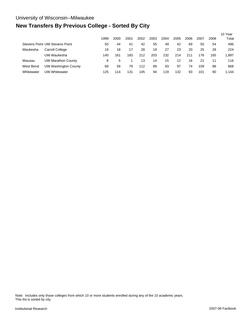# **New Transfers By Previous College - Sorted By City**

|            |                                | 1999 | 2000 | 2001 | 2002 | 2003 | 2004 | 2005 | 2006 | 2007 | 2008 | 10 Year<br>Total |
|------------|--------------------------------|------|------|------|------|------|------|------|------|------|------|------------------|
|            | Stevens Point UW Stevens Point | 50   | 44   | 41   | 42   | 55   | 49   | 42   | 69   | 50   | 54   | 496              |
| Waukesha   | Carroll College                | 19   | 18   | 17   | 28   | 19   | 27   | 23   | 20   | 25   | 28   | 224              |
|            | UW Waukesha                    | 140  | 161  | 183  | 212  | 203  | 232  | 214  | 211  | 176  | 165  | 1,897            |
| Wausau     | <b>UW Marathon County</b>      | 8    | 5    |      | 13   | 14   | 15   | 12   | 16   | 21   | 11   | 116              |
| West Bend  | <b>UW Washington County</b>    | 68   | 59   | 79   | 112  | 89   | 93   | 97   | 74   | 109  | 88   | 868              |
| Whitewater | UW Whitewater                  | 125  | 14   | 131  | 145  | 94   | 119  | 132  | 93   | 101  | 90   | 1.144            |

Note: Includes only those colleges from which 10 or more students enrolled during any of the 10 academic years. This list is sorted by city.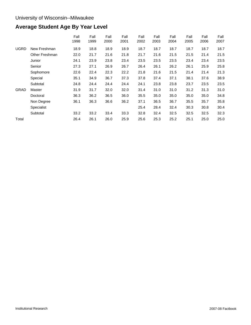# **Average Student Age By Year Level**

|             |                | Fall<br>1998 | Fall<br>1999 | Fall<br>2000 | Fall<br>2001 | Fall<br>2002 | Fall<br>2003 | Fall<br>2004 | Fall<br>2005 | Fall<br>2006 | Fall<br>2007 |
|-------------|----------------|--------------|--------------|--------------|--------------|--------------|--------------|--------------|--------------|--------------|--------------|
| <b>UGRD</b> | New Freshman   | 18.9         | 18.8         | 18.9         | 18.9         | 18.7         | 18.7         | 18.7         | 18.7         | 18.7         | 18.7         |
|             | Other Freshman | 22.0         | 21.7         | 21.6         | 21.8         | 21.7         | 21.6         | 21.5         | 21.5         | 21.4         | 21.5         |
|             | Junior         | 24.1         | 23.9         | 23.8         | 23.4         | 23.5         | 23.5         | 23.5         | 23.4         | 23.4         | 23.5         |
|             | Senior         | 27.3         | 27.1         | 26.9         | 26.7         | 26.4         | 26.1         | 26.2         | 26.1         | 25.9         | 25.8         |
|             | Sophomore      | 22.6         | 22.4         | 22.3         | 22.2         | 21.8         | 21.6         | 21.5         | 21.4         | 21.4         | 21.3         |
|             | Special        | 35.1         | 34.9         | 36.7         | 37.3         | 37.8         | 37.4         | 37.1         | 38.1         | 37.6         | 38.9         |
|             | Subtotal       | 24.8         | 24.4         | 24.4         | 24.4         | 24.1         | 23.8         | 23.8         | 23.7         | 23.5         | 23.5         |
| <b>GRAD</b> | Master         | 31.9         | 31.7         | 32.0         | 32.0         | 31.4         | 31.0         | 31.0         | 31.2         | 31.3         | 31.0         |
|             | Doctoral       | 36.3         | 36.2         | 36.5         | 36.0         | 35.5         | 35.0         | 35.0         | 35.0         | 35.0         | 34.8         |
|             | Non Degree     | 36.1         | 36.3         | 36.6         | 36.2         | 37.1         | 36.5         | 36.7         | 35.5         | 35.7         | 35.8         |
|             | Specialist     |              |              |              |              | 25.4         | 28.4         | 32.4         | 30.3         | 30.8         | 30.4         |
|             | Subtotal       | 33.2         | 33.2         | 33.4         | 33.3         | 32.8         | 32.4         | 32.5         | 32.5         | 32.5         | 32.3         |
| Total       |                | 26.4         | 26.1         | 26.0         | 25.9         | 25.6         | 25.3         | 25.2         | 25.1         | 25.0         | 25.0         |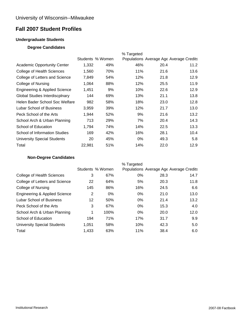## **Fall 2007 Student Profiles**

## **Undergraduate Students**

#### **Degree Candidates**

|                                    |        |                  | % Targeted |      |                                         |
|------------------------------------|--------|------------------|------------|------|-----------------------------------------|
|                                    |        | Students % Women |            |      | Populations Average Age Average Credits |
| <b>Academic Opportunity Center</b> | 1,332  | 49%              | 46%        | 20.4 | 11.2                                    |
| College of Health Sciences         | 1.560  | 70%              | 11%        | 21.6 | 13.6                                    |
| College of Letters and Science     | 7,849  | 54%              | 12%        | 21.8 | 12.9                                    |
| College of Nursing                 | 1,064  | 88%              | 12%        | 25.5 | 11.9                                    |
| Engineering & Applied Science      | 1,451  | 9%               | 10%        | 22.6 | 12.9                                    |
| Global Studies Interdiscplnary     | 144    | 69%              | 13%        | 21.1 | 13.8                                    |
| Helen Bader School Soc Welfare     | 982    | 58%              | 18%        | 23.0 | 12.8                                    |
| Lubar School of Business           | 3,959  | 39%              | 12%        | 21.7 | 13.0                                    |
| Peck School of the Arts            | 1,944  | 52%              | 9%         | 21.6 | 13.2                                    |
| School Arch & Urban Planning       | 713    | 29%              | 7%         | 20.4 | 14.3                                    |
| School of Education                | 1,794  | 74%              | 14%        | 22.5 | 13.3                                    |
| School of Information Studies      | 169    | 42%              | 16%        | 28.1 | 10.4                                    |
| <b>University Special Students</b> | 20     | 45%              | $0\%$      | 49.3 | 5.8                                     |
| Total                              | 22,981 | 51%              | 14%        | 22.0 | 12.9                                    |

#### **Non-Degree Candidates**

|                                    |       |                  | % Targeted |      |                                         |
|------------------------------------|-------|------------------|------------|------|-----------------------------------------|
|                                    |       | Students % Women |            |      | Populations Average Age Average Credits |
| College of Health Sciences         | 3     | 67%              | 0%         | 28.3 | 14.7                                    |
| College of Letters and Science     | 22    | 64%              | 5%         | 20.3 | 11.8                                    |
| College of Nursing                 | 145   | 86%              | 16%        | 24.5 | 6.6                                     |
| Engineering & Applied Science      | 2     | $0\%$            | 0%         | 21.0 | 13.0                                    |
| Lubar School of Business           | 12    | 50%              | 0%         | 21.4 | 13.2                                    |
| Peck School of the Arts            | 3     | 67%              | $0\%$      | 15.3 | 4.0                                     |
| School Arch & Urban Planning       | 1     | 100%             | 0%         | 20.0 | 12.0                                    |
| School of Education                | 194   | 71%              | 17%        | 31.7 | 9.9                                     |
| <b>University Special Students</b> | 1,051 | 58%              | 10%        | 42.3 | 5.0                                     |
| Total                              | 1.433 | 63%              | 11%        | 38.4 | 6.0                                     |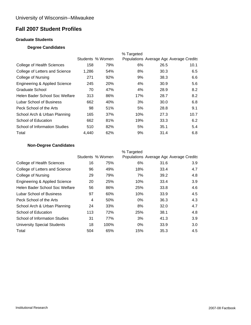## **Fall 2007 Student Profiles**

#### **Graduate Students**

#### **Degree Candidates**

|                                          |       |                  | % Targeted |      |                                         |
|------------------------------------------|-------|------------------|------------|------|-----------------------------------------|
|                                          |       | Students % Women |            |      | Populations Average Age Average Credits |
| College of Health Sciences               | 158   | 79%              | 6%         | 26.5 | 10.1                                    |
| College of Letters and Science           | 1,286 | 54%              | 8%         | 30.3 | 6.5                                     |
| College of Nursing                       | 271   | 92%              | 9%         | 38.3 | 6.6                                     |
| <b>Engineering &amp; Applied Science</b> | 245   | <b>20%</b>       | 4%         | 30.9 | 5.6                                     |
| Graduate School                          | 70    | 47%              | 4%         | 28.9 | 8.2                                     |
| Helen Bader School Soc Welfare           | 313   | 86%              | 17%        | 28.7 | 8.2                                     |
| Lubar School of Business                 | 662   | 40%              | 3%         | 30.0 | 6.8                                     |
| Peck School of the Arts                  | 98    | 51%              | 5%         | 28.8 | 9.1                                     |
| School Arch & Urban Planning             | 165   | 37%              | 10%        | 27.3 | 10.7                                    |
| School of Education                      | 662   | 81%              | 19%        | 33.3 | 6.2                                     |
| School of Information Studies            | 510   | 82%              | 5%         | 35.1 | 5.4                                     |
| Total                                    | 4.440 | 62%              | 9%         | 31.4 | 6.8                                     |

## **Non-Degree Candidates**

|                                    |     |                  | % Targeted |      |                                         |
|------------------------------------|-----|------------------|------------|------|-----------------------------------------|
|                                    |     | Students % Women |            |      | Populations Average Age Average Credits |
| College of Health Sciences         | 16  | 75%              | 6%         | 31.6 | 3.9                                     |
| College of Letters and Science     | 96  | 49%              | 18%        | 33.4 | 4.7                                     |
| College of Nursing                 | 29  | 79%              | 7%         | 39.2 | 4.8                                     |
| Engineering & Applied Science      | 20  | 25%              | 10%        | 33.4 | 3.9                                     |
| Helen Bader School Soc Welfare     | 56  | 86%              | 25%        | 33.8 | 4.6                                     |
| Lubar School of Business           | 97  | 60%              | 10%        | 33.9 | 4.5                                     |
| Peck School of the Arts            | 4   | 50%              | $0\%$      | 36.3 | 4.3                                     |
| School Arch & Urban Planning       | 24  | 33%              | 8%         | 32.0 | 4.7                                     |
| School of Education                | 113 | 72%              | 25%        | 38.1 | 4.8                                     |
| School of Information Studies      | 31  | 77%              | 3%         | 41.3 | 3.9                                     |
| <b>University Special Students</b> | 18  | 100%             | $0\%$      | 33.9 | 3.0                                     |
| Total                              | 504 | 65%              | 15%        | 35.3 | 4.5                                     |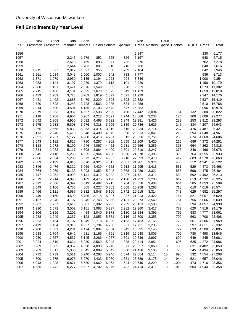## **Fall Enrollment By Year Level**

|      | New   | Other | Total                                                      | Soph- |       |       |       | Non-         |                              | Educ |       |             |       |        |
|------|-------|-------|------------------------------------------------------------|-------|-------|-------|-------|--------------|------------------------------|------|-------|-------------|-------|--------|
| Fall |       |       | Freshmen Freshmen Freshmen omores Juniors Seniors Specials |       |       |       |       |              | Grads Masters Spclst Doctors |      |       | <b>NDCs</b> | Grads | Total  |
| 1956 |       |       |                                                            |       |       |       |       | 5,847        |                              |      |       |             | 330   | 6,177  |
| 1957 |       |       | 2,245                                                      | 1,579 | 852   | 665   | 826   | 6,167        |                              |      |       |             | 548   | 6,715  |
| 1958 |       |       | 2,618                                                      | 1,469 | 893   | 871   | 725   | 6,576        |                              |      |       |             | 702   | 7,278  |
| 1959 |       |       | 2,644                                                      | 1,703 | 801   | 910   | 710   | 6,768        |                              |      |       |             | 848   | 7,616  |
| 1960 | 1,915 | 897   | 2,812                                                      | 1,697 | 956   | 850   | 789   | 7,104        |                              |      |       |             | 842   | 7,946  |
| 1961 | 1,961 | 1,084 | 3,045                                                      | 2,000 | 1,007 | 942   | 783   | 7,777        |                              |      |       |             | 936   | 8,713  |
| 1962 | 1,871 | 1,079 | 2,950                                                      | 2,185 | 1,194 | 1,023 | 994   | 8,346        |                              |      |       |             | 1,008 | 9,354  |
| 1963 | 2,053 | 1,144 | 3,197                                                      | 2,239 | 1,379 | 1,113 | 1,101 | 9,029        |                              |      |       |             | 1,150 | 10,179 |
| 1964 | 2,280 | 1,191 | 3,471                                                      | 2,376 | 1,549 | 1,305 | 1,228 | 9,929        |                              |      |       |             | 1,373 | 11,302 |
| 1965 | 2,715 | 1,466 | 4,181                                                      | 2,635 | 1,678 | 1,322 | 1,343 | 11,159       |                              |      |       |             | 1,659 | 12,818 |
| 1966 | 2,439 | 1,289 | 3,728                                                      | 3,269 | 1,819 | 1,592 | 1,521 | 11,929       |                              |      |       |             | 2,247 | 14,176 |
| 1967 | 2,481 | 1,402 | 3,883                                                      | 3,479 | 2,229 | 1,693 | 1,598 | 12,882       |                              |      |       |             | 2,537 | 15,419 |
| 1968 | 2,720 | 1,528 | 4,248                                                      | 3,728 | 2,563 | 2,085 | 1,634 | 14,258       |                              |      |       |             | 2,510 | 16,768 |
| 1969 | 2,914 | 1,590 | 4,504                                                      | 4,185 | 3,103 | 2,543 | 1,547 | 15,882       |                              |      |       |             | 3,096 | 18,978 |
| 1970 | 2,979 | 1,953 | 4,932                                                      | 4,657 | 3,538 | 2,825 | 1,490 | 17,442       | 3,094                        |      | 154   | 132         | 3,380 | 20,822 |
| 1971 | 3,118 | 1,786 | 4,904                                                      | 5,287 | 4,212 | 3,021 | 1,244 | 18,668       | 3,233                        |      | 176   | 200         | 3,609 | 22,277 |
| 1972 | 3,042 | 1,908 | 4,950                                                      | 5,092 | 4,468 | 3,522 | 1,349 | 19,381       | 3,426                        |      | 233   | 253         | 3,912 | 23,293 |
| 1973 | 3,575 | 2,233 | 5,808                                                      | 5,276 | 4,318 | 3,995 | 1,339 | 20,736       | 3,626                        |      | 247   | 334         | 4,207 | 24,943 |
| 1974 | 3,265 | 2,568 | 5,833                                                      | 5,253 | 4,414 | 3,919 | 1,515 | 20,934       | 3,774                        |      | 237   | 476         | 4,487 | 25,421 |
| 1975 | 3,173 | 2,240 | 5,413                                                      | 5,048 | 4,409 | 4,045 | 1,398 | 20,313       | 3,841                        |      | 213   | 594         | 4,648 | 24,961 |
| 1976 | 2,891 | 2,231 | 5,122                                                      | 4,980 | 4,410 | 4,201 | 1,313 | 20,026       | 3,751                        |      | 235   | 674         | 4,660 | 24,686 |
| 1977 | 2,643 | 2,182 | 4,825                                                      | 4,780 | 4,287 | 4,362 | 1,655 | 19,909       | 3,420                        |      | 266   | 686         | 4,372 | 24,281 |
| 1978 | 3,118 | 2,072 | 5,190                                                      | 4,646 | 4,067 | 4,422 | 2,231 | 20,556       | 3,285                        |      | 313   | 664         | 4,262 | 24,818 |
| 1979 | 2,834 | 2,283 | 5,117                                                      | 4,608 | 3,884 | 4,400 | 2,601 | 20,610       | 3,247                        |      | 373   | 848         | 4,468 | 25,078 |
| 1980 | 2,845 | 2,418 | 5,263                                                      | 4,825 | 3,964 | 4,296 | 3,030 | 21,378       | 3,395                        |      | 396   | 764         | 4,555 | 25,933 |
| 1981 | 2,806 | 2,394 | 5,200                                                      | 5,073 | 4,217 | 4,387 | 3,216 | 22,093       | 3,470                        |      | 417   | 683         | 4,570 | 26,663 |
| 1982 | 2,683 | 2,133 | 4,816                                                      | 5,020 | 4,321 | 4,817 | 2,807 | 21,781       | 3,371                        |      | 458   | 512         | 4,341 | 26,122 |
| 1983 | 2,846 | 2,476 | 5,322                                                      | 5,069 | 4,439 | 4,652 | 2,513 | 21,995       | 3,413                        |      | 531   | 529         | 4,473 | 26,468 |
| 1984 | 2,864 | 2,269 | 5,133                                                      | 5,093 | 4,352 | 5,043 | 2,368 | 21,989       | 3,321                        |      | 556   | 598         | 4,475 | 26,464 |
| 1985 | 2,747 | 2,252 | 4,999                                                      | 5,141 | 4,312 | 5,032 | 2,237 | 21,721       | 3,311                        |      | 589   | 592         | 4,492 | 26,213 |
| 1986 | 2,679 | 2,214 | 4,893                                                      | 5,109 | 4,475 | 5,196 | 2,120 | 21,793       | 3,296                        |      | 617   | 619         | 4,532 | 26,325 |
| 1987 | 2,392 | 2,000 | 4,392                                                      | 5,013 | 4,482 | 5,215 | 1,754 | 20,856       | 3,404                        |      | 664   | 585         | 4,653 | 25,509 |
| 1988 | 2,649 | 2,106 | 4,755                                                      | 4,865 | 4,227 | 5,303 | 1,808 | 20,958       | 3,288                        |      | 718   | 610         | 4,616 | 25,574 |
| 1989 | 2,466 | 2,121 | 4,587                                                      | 5,332 | 3,848 | 5,106 | 1,742 | 20,615       | 3,314                        |      | 743   | 625         | 4,682 | 25,297 |
| 1990 | 2,449 | 2,150 | 4,599                                                      | 5,705 | 3,715 | 5,007 | 1,987 | 21,013       | 3,422                        |      | 764   | 821         | 5,007 | 26,020 |
| 1991 | 2,157 | 2,040 | 4,197                                                      | 5,845 | 3,745 | 5,055 | 2,131 | 20,973       | 3,549                        |      | 761   | 756         | 5,066 | 26,039 |
| 1992 | 1,882 | 1,737 | 3,619                                                      | 5,601 | 3,382 | 5,292 | 2,239 | 20,133       | 3,503                        |      | 760   | 594         | 4,857 | 24,990 |
| 1993 | 1,930 | 1,572 | 3,502                                                      | 5,151 | 3,088 | 5,337 | 2,282 | 19,360       | 3,417                        |      | 782   | 620         | 4,819 | 24,179 |
| 1994 | 1,806 | 1,396 | 3,202                                                      | 4,484 | 3,040 | 5,378 | 2,180 | 18,284       | 3,395                        |      | 799   | 583         | 4,777 | 23,061 |
| 1995 | 1,988 | 1,249 | 3,237                                                      | 4,123 | 2,853 | 5,371 | 2,116 | 17,700       | 3,353                        |      | 792   | 563         | 4,708 | 22,408 |
| 1996 | 2,253 | 1,454 | 3,707                                                      | 4,049 | 2,718 | 4,826 | 2,163 | 17,463       | 3,166                        |      | 779   | 561         | 4,506 | 21,969 |
| 1997 | 2,479 | 1,434 | 3,913                                                      | 4,327 | 2,794 | 4,756 | 1,931 | 17,721       | 3,235                        |      | 779   | 597         | 4,611 | 22,332 |
| 1998 | 2,700 | 1,581 | 4,281                                                      | 4,474 | 2,894 | 4,804 | 1,942 | 18,395       | 3,145                        |      | 722   | 633         | 4,500 | 22,895 |
| 1999 | 2,938 | 1,704 | 4,642                                                      | 4,631 | 3,165 | 4,791 | 1,819 | 19,048       | 3,009                        |      | 709   | 780         | 4,498 | 23,546 |
| 2000 | 2,980 | 1,557 | 4,537                                                      | 5,145 | 3,286 | 4,967 | 1,701 | 19,636       | 2,997                        |      | 699   | 649         | 4,345 | 23,981 |
| 2001 | 3,024 | 1,610 | 4,634                                                      | 5,280 | 3,569 | 5,043 | 1,888 | 20,414       | 2,951                        |      | 696   | 625         | 4,272 | 24,686 |
| 2002 | 3,269 | 1,683 | 4,952                                                      | 4,698 | 4,090 | 5,246 | 1,671 | 20,657       | 3,068                        | 3    | 700   | 631         | 4,402 | 25,059 |
| 2003 | 3,763 | 1,617 | 5,380                                                      | 4,845 | 4,089 | 5,542 | 1,560 | 21,416       | 3,105                        | 8    | 776   | 545         | 4,434 | 25,850 |
| 2004 | 3,772 | 1,739 | 5,511                                                      | 5,240 | 4,283 | 5,946 | 1,674 | 22,654       | 3,114                        | 10   | 898   | 532         | 4,554 | 27,208 |
| 2005 | 4,300 | 1,775 | 6,075                                                      | 5,270 | 4,433 | 5,960 | 1,651 | 23,389       | 3,178                        | 14   | 944   | 521         | 4,657 | 28,046 |
| 2006 | 4,043 | 1,828 | 5,871                                                      | 5,530 | 4,662 | 6,053 | 1,524 | 23,640       | 3,229                        | 10   | 1,004 | 473         | 4,716 | 28,356 |
| 2007 | 4,535 | 1,742 | 6,277                                                      | 5,627 | 4,702 | 6,376 |       | 1,432 24,414 | 3,411                        | 10   | 1,019 | 504         | 4,944 | 29,358 |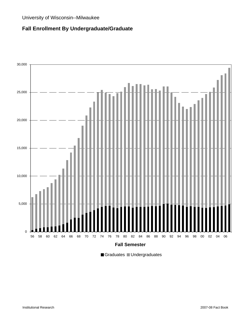## **Fall Enrollment By Undergraduate/Graduate**



Graduates Undergraduates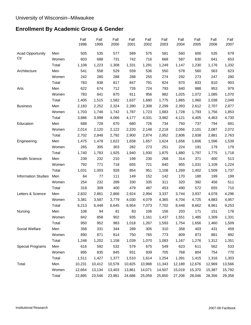# **Enrollment By Academic Group & Gender**

|                            |       | Fall<br>1998 | Fall<br>1999 | Fall<br>2000 | Fall<br>2001 | Fall<br>2002 | Fall<br>2003 | Fall<br>2004 | Fall<br>2005 | Fall<br>2006 | Fall<br>2007 |
|----------------------------|-------|--------------|--------------|--------------|--------------|--------------|--------------|--------------|--------------|--------------|--------------|
| <b>Acad Opportunity</b>    | Men   | 505          | 535          | 577          | 589          | 575          | 581          | 560          | 600          | 535          | 679          |
| Ctr                        | Women | 603          | 688          | 731          | 742          | 716          | 668          | 587          | 630          | 641          | 653          |
|                            | Total | 1,108        | 1,223        | 1,308        | 1,331        | 1,291        | 1,249        | 1,147        | 1,230        | 1,176        | 1,332        |
| Architecture               | Men   | 541          | 558          | 529          | 559          | 536          | 550          | 578          | 560          | 563          | 623          |
|                            | Women | 242          | 280          | 288          | 288          | 255          | 274          | 292          | 273          | 247          | 280          |
|                            | Total | 783          | 838          | 817          | 847          | 791          | 824          | 870          | 833          | 810          | 903          |
| Arts                       | Men   | 622          | 674          | 712          | 726          | 724          | 793          | 840          | 888          | 953          | 979          |
|                            | Women | 783          | 841          | 870          | 911          | 956          | 982          | 1,025        | 1,072        | 1,085        | 1,070        |
|                            | Total | 1,405        | 1,515        | 1,582        | 1,637        | 1,680        | 1,775        | 1,865        | 1,960        | 2,038        | 2,049        |
| <b>Business</b>            | Men   | 2,183        | 2,252        | 2,324        | 2,390        | 2,308        | 2,299        | 2,393        | 2,612        | 2,707        | 2,877        |
|                            | Women | 1,703        | 1,746        | 1,742        | 1,787        | 1,723        | 1,683        | 1,728        | 1,793        | 1,756        | 1,853        |
|                            | Total | 3,886        | 3,998        | 4,066        | 4,177        | 4,031        | 3,982        | 4,121        | 4,405        | 4,463        | 4,730        |
| Education                  | Men   | 688          | 728          | 670          | 680          | 726          | 734          | 750          | 737          | 794          | 691          |
|                            | Women | 2,014        | 2,120        | 2,122        | 2,220        | 2,148        | 2,218        | 2,056        | 2,101        | 2,087        | 2,072        |
|                            | Total | 2,702        | 2,848        | 2,792        | 2,900        | 2,874        | 2,952        | 2,806        | 2,838        | 2,881        | 2,763        |
| Engineering                | Men   | 1,475        | 1,478        | 1,622        | 1,658        | 1,657        | 1,624        | 1,656        | 1,606        | 1,596        | 1,539        |
|                            | Women | 265          | 305          | 303          | 282          | 273          | 251          | 224          | 191          | 179          | 179          |
|                            | Total | 1,740        | 1,783        | 1,925        | 1,940        | 1,930        | 1,875        | 1,880        | 1,797        | 1,775        | 1,718        |
| <b>Health Science</b>      | Men   | 239          | 232          | 210          | 199          | 230          | 268          | 314          | 371          | 400          | 513          |
|                            | Women | 792          | 771          | 718          | 655          | 721          | 840          | 955          | 1,031        | 1,109        | 1,224        |
|                            | Total | 1,031        | 1,003        | 928          | 854          | 951          | 1,108        | 1,269        | 1,402        | 1,509        | 1,737        |
| <b>Information Studies</b> | Men   | 64           | 77           | 111          | 149          | 152          | 142          | 170          | 180          | 199          | 199          |
|                            | Women | 254          | 232          | 289          | 330          | 335          | 311          | 320          | 392          | 456          | 511          |
|                            | Total | 318          | 309          | 400          | 479          | 487          | 453          | 490          | 572          | 655          | 710          |
| Letters & Science          | Men   | 2,832        | 2,861        | 2,866        | 2,924        | 2,994        | 3,337        | 3,744        | 3,937        | 4,078        | 4,296        |
|                            | Women | 3,381        | 3,587        | 3,779        | 4,030        | 4,079        | 4,365        | 4,704        | 4,725        | 4,883        | 4,957        |
|                            | Total | 6,213        | 6,448        | 6,645        | 6,954        | 7,073        | 7,702        | 8,448        | 8,662        | 8,961        | 9,253        |
| Nursing                    | Men   | 108          | 94           | 81           | 83           | 106          | 156          | 203          | 171          | 151          | 178          |
|                            | Women | 842          | 858          | 902          | 935          | 1,161        | 1,437        | 1,551        | 1,485        | 1,309        | 1,331        |
|                            | Total | 950          | 952          | 983          | 1,018        | 1,267        | 1,593        | 1,754        | 1,656        | 1,460        | 1,509        |
| Social Welfare             | Men   | 358          | 331          | 344          | 289          | 305          | 310          | 358          | 403          | 431          | 459          |
|                            | Women | 890          | 871          | 814          | 750          | 765          | 773          | 809          | 873          | 881          | 892          |
|                            | Total | 1,248        | 1,202        | 1,158        | 1,039        | 1,070        | 1,083        | 1,167        | 1,276        | 1,312        | 1,351        |
| <b>Special Programs</b>    | Men   | 616          | 592          | 532          | 579          | 675          | 549          | 623          | 611          | 562          | 533          |
|                            | Women | 895          | 835          | 845          | 931          | 939          | 705          | 768          | 804          | 754          | 770          |
|                            | Total | 1,511        | 1,427        | 1,377        | 1,510        | 1,614        | 1,254        | 1,391        | 1,415        | 1,316        | 1,303        |
| Total                      | Men   | 10,231       | 10,412       | 10,578       | 10,825       | 10,988       | 11,343       | 12,189       | 12,676       | 12,969       | 13,566       |
|                            | Women | 12,664       | 13,134       | 13,403       | 13,861       | 14,071       | 14,507       | 15,019       | 15,370       | 15,387       | 15,792       |
|                            | Total | 22,895       | 23,546       | 23,981       | 24,686       | 25,059       | 25,850       | 27,208       | 28,046       | 28,356       | 29,358       |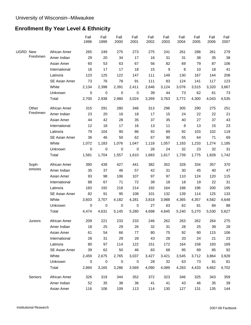# **Enrollment By Year Level & Ethnicity**

|                 |          |               | Fall<br>1998 | Fall<br>1999 | Fall<br>2000 | Fall<br>2001 | Fall<br>2002 | Fall<br>2003 | Fall<br>2004 | Fall<br>2005 | Fall<br>2006 | Fall<br>2007 |
|-----------------|----------|---------------|--------------|--------------|--------------|--------------|--------------|--------------|--------------|--------------|--------------|--------------|
| <b>UGRD New</b> |          | African Amer  | 265          | 249          | 275          | 273          | 275          | 241          | 261          | 288          | 261          | 279          |
|                 | Freshmen | Amer Indian   | 29           | 20           | 34           | 17           | 16           | 31           | 31           | 38           | 35           | 38           |
|                 |          | Asian Amer    | 60           | 53           | 63           | 67           | 56           | 82           | 69           | 79           | 87           | 106          |
|                 |          | International | 16           | 17           | 17           | 18           | 15           | 9            | 8            | 10           | 18           | 41           |
|                 |          | Latino/a      | 123          | 125          | 122          | 147          | 111          | 149          | 130          | 167          | 144          | 208          |
|                 |          | SE Asian Amer | 73           | 76           | 78           | 91           | 111          | 83           | 124          | 141          | 117          | 123          |
|                 |          | White         | 2,134        | 2,398        | 2,391        | 2,411        | 2,646        | 3,124        | 3,076        | 3,515        | 3,320        | 3,667        |
|                 |          | Unknown       | 0            | 0            | 0            | 0            | 39           | 44           | 73           | 62           | 61           | 73           |
|                 |          | Total         | 2,700        | 2,938        | 2,980        | 3,024        | 3,269        | 3,763        | 3,772        | 4,300        | 4,043        | 4,535        |
|                 | Other    | African Amer  | 315          | 291          | 280          | 346          | 313          | 296          | 305          | 290          | 275          | 251          |
|                 | Freshmen | Amer Indian   | 23           | 20           | 16           | 18           | 17           | 15           | 24           | 22           | 22           | 21           |
|                 |          | Asian Amer    | 44           | 42           | 28           | 35           | 37           | 35           | 40           | 27           | 37           | 43           |
|                 |          | International | 12           | 18           | 17           | 16           | 13           | 11           | 8            | 13           | 15           | 23           |
|                 |          | Latino/a      | 79           | 104          | 90           | 86           | 92           | 89           | 92           | 103          | 102          | 119          |
|                 |          | SE Asian Amer | 36           | 46           | 50           | 62           | 67           | 90           | 55           | 64           | 71           | 69           |
|                 |          | White         | 1,072        | 1,183        | 1,076        | 1,047        | 1,118        | 1,057        | 1,183        | 1,233        | 1,274        | 1,185        |
|                 |          | Unknown       | $\pmb{0}$    | $\mathbf 0$  | $\mathbf 0$  | 0            | 26           | 24           | 32           | 23           | 32           | 31           |
|                 |          | Total         | 1,581        | 1,704        | 1,557        | 1,610        | 1,683        | 1,617        | 1,739        | 1,775        | 1,828        | 1,742        |
|                 | Soph-    | African Amer  | 390          | 439          | 427          | 441          | 382          | 352          | 328          | 334          | 357          | 370          |
|                 | omores   | Amer Indian   | 35           | 37           | 46           | 57           | 42           | 31           | 30           | 45           | 40           | 47           |
|                 |          | Asian Amer    | 93           | 98           | 106          | 107          | 97           | 97           | 110          | 124          | 120          | 115          |
|                 |          | International | 88           | 67           | 71           | 72           | 39           | 18           | 18           | 19           | 22           | 31           |
|                 |          | Latino/a      | 183          | 192          | 218          | 214          | 192          | 164          | 188          | 196          | 200          | 195          |
|                 |          | SE Asian Amer | 82           | 91           | 95           | 108          | 101          | 132          | 139          | 114          | 125          | 133          |
|                 |          | White         | 3,603        | 3,707        | 4,182        | 4,281        | 3,818        | 3,988        | 4,365        | 4,357        | 4,582        | 4,648        |
|                 |          | Unknown       | $\pmb{0}$    | $\mathbf 0$  | $\mathbf 0$  | 0            | 27           | 63           | 62           | 81           | 84           | 88           |
|                 |          | Total         | 4,474        | 4,631        | 5,145        | 5,280        | 4,698        | 4,845        | 5,240        | 5,270        | 5,530        | 5,627        |
|                 | Juniors  | African Amer  | 209          | 221          | 233          | 233          | 246          | 262          | 263          | 262          | 264          | 275          |
|                 |          | Amer Indian   | 18           | 25           | 29           | 26           | 32           | 31           | 28           | 25           | 39           | 28           |
|                 |          | Asian Amer    | 61           | 54           | 66           | 77           | 80           | 75           | 92           | 90           | 115          | 106          |
|                 |          | International | 28           | 31           | 29           | 28           | 43           | 28           | 33           | 24           | 21           | 23           |
|                 |          | Latino/a      | 80           | 97           | 114          | 122          | 151          | 172          | 164          | 158          | 193          | 169          |
|                 |          | SE Asian Amer | 39           | 62           | 50           | 46           | 83           | 68           | 95           | 89           | 85           | 92           |
|                 |          | White         | 2,459        | 2,675        | 2,765        | 3,037        | 3,427        | 3,421        | 3,545        | 3,712        | 3,864        | 3,928        |
|                 |          | Unknown       | 0            | $\pmb{0}$    | 0            | 0            | 28           | 32           | 63           | 73           | 81           | 81           |
|                 |          | Total         | 2,894        | 3,165        | 3,286        | 3,569        | 4,090        | 4,089        | 4,283        | 4,433        | 4,662        | 4,702        |
|                 | Seniors  | African Amer  | 326          | 319          | 344          | 352          | 372          | 323          | 346          | 325          | 343          | 359          |
|                 |          | Amer Indian   | 52           | 35           | 38           | 36           | 41           | 41           | 43           | 46           | 35           | 39           |
|                 |          | Asian Amer    | 116          | 106          | 109          | 113          | 114          | 130          | 127          | 131          | 135          | 144          |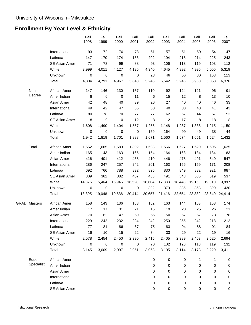# **Enrollment By Year Level & Ethnicity**

|                     |               | Fall<br>1998 | Fall<br>1999 | Fall<br>2000 | Fall<br>2001 | Fall<br>2002 | Fall<br>2003 | Fall<br>2004 | Fall<br>2005 | Fall<br>2006 | Fall<br>2007 |
|---------------------|---------------|--------------|--------------|--------------|--------------|--------------|--------------|--------------|--------------|--------------|--------------|
|                     | International | 93           | 72           | 76           | 73           | 61           | 57           | 51           | 50           | 54           | 47           |
|                     | Latino/a      | 147          | 170          | 174          | 186          | 202          | 194          | 218          | 214          | 225          | 243          |
|                     | SE Asian Amer | 71           | 78           | 99           | 88           | 93           | 106          | 113          | 119          | 103          | 112          |
|                     | White         | 3,999        | 4,011        | 4,127        | 4,195        | 4,340        | 4,645        | 4,992        | 4,995        | 5,055        | 5,319        |
|                     | Unknown       | 0            | 0            | 0            | 0            | 23           | 46           | 56           | 80           | 103          | 113          |
|                     | Total         | 4,804        | 4,791        | 4,967        | 5,043        | 5,246        | 5,542        | 5,946        | 5,960        | 6,053        | 6,376        |
| Non                 | African Amer  | 147          | 146          | 130          | 157          | 110          | 92           | 124          | 121          | 96           | 91           |
| Degree              | Amer Indian   | 8            | 6            | 0            | 11           | 6            | 15           | 12           | 8            | 13           | 10           |
|                     | Asian Amer    | 42           | 48           | 40           | 39           | 26           | 27           | 40           | 40           | 46           | 33           |
|                     | International | 49           | 42           | 47           | 35           | 30           | 40           | 38           | 43           | 41           | 43           |
|                     | Latino/a      | 80           | 78           | 70           | 77           | 77           | 62           | 57           | 44           | 57           | 53           |
|                     | SE Asian Amer | 8            | 9            | 10           | 12           | 8            | 12           | 17           | 8            | 18           | 8            |
|                     | White         | 1,608        | 1,490        | 1,404        | 1,557        | 1,255        | 1,148        | 1,287        | 1,338        | 1,215        | 1,150        |
|                     | Unknown       | 0            | 0            | 0            | 0            | 159          | 164          | 99           | 49           | 38           | 44           |
|                     | Total         | 1,942        | 1,819        | 1,701        | 1,888        | 1,671        | 1,560        | 1,674        | 1,651        | 1,524        | 1,432        |
| Total               | African Amer  | 1,652        | 1,665        | 1,689        | 1,802        | 1,698        | 1,566        | 1,627        | 1,620        | 1,596        | 1,625        |
|                     | Amer Indian   | 165          | 143          | 163          | 165          | 154          | 164          | 168          | 184          | 184          | 183          |
|                     | Asian Amer    | 416          | 401          | 412          | 438          | 410          | 446          | 478          | 491          | 540          | 547          |
|                     | International | 286          | 247          | 257          | 242          | 201          | 163          | 156          | 159          | 171          | 208          |
|                     | Latino/a      | 692          | 766          | 788          | 832          | 825          | 830          | 849          | 882          | 921          | 987          |
|                     | SE Asian Amer | 309          | 362          | 382          | 407          | 463          | 491          | 543          | 535          | 519          | 537          |
|                     | White         | 14,875       | 15,464       | 15,945       | 16,528       | 16,604       | 17,383       | 18,448       | 19,150       | 19,310       | 19,897       |
|                     | Unknown       | $\pmb{0}$    | $\pmb{0}$    | $\pmb{0}$    | $\pmb{0}$    | 302          | 373          | 385          | 368          | 399          | 430          |
|                     | Total         | 18,395       | 19,048       | 19,636       | 20,414       | 20,657       | 21,416       | 22,654       | 23,389       | 23,640       | 24,414       |
| <b>GRAD Masters</b> | African Amer  | 158          | 143          | 136          | 168          | 162          | 163          | 144          | 163          | 158          | 174          |
|                     | Amer Indian   | 17           | 17           | 31           | 21           | 15           | 19           | 20           | 25           | 26           | 21           |
|                     | Asian Amer    | 70           | 62           | 47           | 59           | 55           | 50           | 57           | 57           | 73           | 78           |
|                     | International | 229          | 242          | 232          | 224          | 242          | 250          | 255          | 242          | 218          | 212          |
|                     | Latino/a      | 77           | 81           | 86           | 67           | 75           | 83           | 94           | 88           | 91           | 84           |
|                     | SE Asian Amer | 16           | 10           | 15           | 22           | 34           | 33           | 29           | 22           | 19           | 16           |
|                     | White         | 2,578        | 2,454        | 2,450        | 2,390        | 2,415        | 2,405        | 2,389        | 2,463        | 2,525        | 2,694        |
|                     | Unknown       | 0            | 0            | 0            | $\pmb{0}$    | 70           | 102          | 126          | 118          | 119          | 132          |
|                     | Total         | 3,145        | 3,009        | 2,997        | 2,951        | 3,068        | 3,105        | 3,114        | 3,178        | 3,229        | 3,411        |
| Educ                | African Amer  |              |              |              |              | 0            | 0            | 0            | 1            | 1            | 0            |
| Specialist          | Amer Indian   |              |              |              |              | $\mathbf 0$  | 0            | 0            | 0            | 0            | 0            |
|                     | Asian Amer    |              |              |              |              | 0            | 0            | 0            | 0            | 0            | 0            |
|                     | International |              |              |              |              | 0            | 0            | 0            | 0            | 0            | 0            |
|                     | Latino/a      |              |              |              |              | 0            | 0            | 0            | 0            | 0            | 1            |
|                     | SE Asian Amer |              |              |              |              | $\pmb{0}$    | $\pmb{0}$    | 0            | 0            | 0            | 0            |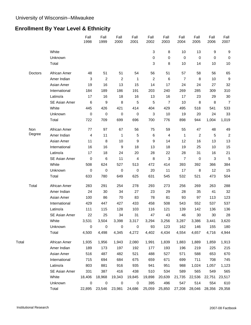# **Enrollment By Year Level & Ethnicity**

|       |         |                      | Fall<br>1998     | Fall<br>1999   | Fall<br>2000   | Fall<br>2001 | Fall<br>2002            | Fall<br>2003   | Fall<br>2004   | Fall<br>2005   | Fall<br>2006 | Fall<br>2007   |
|-------|---------|----------------------|------------------|----------------|----------------|--------------|-------------------------|----------------|----------------|----------------|--------------|----------------|
|       |         | White                |                  |                |                |              | 3                       | 8              | 10             | 13             | 9            | 9              |
|       |         | Unknown              |                  |                |                |              | 0                       | $\mathbf 0$    | $\pmb{0}$      | $\mathbf 0$    | 0            | 0              |
|       |         | Total                |                  |                |                |              | 3                       | 8              | 10             | 14             | 10           | 10             |
|       | Doctors | African Amer         | 48               | 51             | 51             | 54           | 56                      | 51             | 57             | 58             | 56           | 65             |
|       |         | Amer Indian          | 3                | $\overline{c}$ | $\overline{c}$ | 1            | $\overline{\mathbf{c}}$ | 6              | $\overline{7}$ | 8              | 10           | 9              |
|       |         | Asian Amer           | 19               | 16             | 13             | 15           | 14                      | 17             | 24             | 24             | 27           | 32             |
|       |         | International        | 184              | 189            | 186            | 191          | 203                     | 240            | 269            | 285            | 309          | 310            |
|       |         | Latino/a             | 17               | 16             | 18             | 16           | 13                      | 16             | 17             | 23             | 29           | 30             |
|       |         | SE Asian Amer        | 6                | 9              | 8              | 5            | 5                       | 7              | 10             | 8              | 8            | 7              |
|       |         | White                | 445              | 426            | 421            | 414          | 404                     | 429            | 495            | 518            | 541          | 533            |
|       |         | Unknown              | $\boldsymbol{0}$ | 0              | 0              | 0            | 3                       | 10             | 19             | 20             | 24           | 33             |
|       |         | Total                | 722              | 709            | 699            | 696          | 700                     | 776            | 898            | 944            | 1,004        | 1,019          |
|       | Non     | African Amer         | 77               | 97             | 67             | 56           | 75                      | 59             | 55             | 47             | 48           | 49             |
|       | Degree  | Amer Indian          | 4                | 11             | 1              | 5            | 6                       | $\overline{4}$ | 1              | $\overline{c}$ | 5            | $\overline{2}$ |
|       |         | Asian Amer           | 11               | 8              | 10             | 9            | 9                       | 14             | 12             | 16             | 13           | 13             |
|       |         | International        | 16               | 16             | 9              | 18           | 13                      | 18             | 19             | 25             | 10           | 15             |
|       |         | Latino/a             | 17               | 18             | 24             | 20           | 28                      | 22             | 28             | 31             | 16           | 21             |
|       |         | SE Asian Amer        | 0                | 6              | 11             | 4            | 8                       | 3              | $\overline{7}$ | $\pmb{0}$      | 3            | 5              |
|       |         | White                | 508              | 624            | 527            | 513          | 472                     | 414            | 393            | 392            | 366          | 384            |
|       |         | Unknown              | $\mathbf 0$      | $\mathbf 0$    | 0              | $\mathbf 0$  | 20                      | 11             | 17             | 8              | 12           | 15             |
|       |         | Total                | 633              | 780            | 649            | 625          | 631                     | 545            | 532            | 521            | 473          | 504            |
|       | Total   | African Amer         | 283              | 291            | 254            | 278          | 293                     | 273            | 256            | 269            | 263          | 288            |
|       |         | Amer Indian          | 24               | 30             | 34             | 27           | 23                      | 29             | 28             | 35             | 41           | 32             |
|       |         | Asian Amer           | 100              | 86             | 70             | 83           | 78                      | 81             | 93             | 97             | 113          | 123            |
|       |         | International        | 429              | 447            | 427            | 433          | 458                     | 508            | 543            | 552            | 537          | 537            |
|       |         | Latino/a             | 111              | 115            | 128            | 103          | 116                     | 121            | 139            | 142            | 136          | 136            |
|       |         | SE Asian Amer        | 22               | 25             | 34             | 31           | 47                      | 43             | 46             | 30             | 30           | 28             |
|       |         | White                | 3,531            | 3,504          | 3,398          | 3,317        | 3,294                   | 3,256          | 3,287          | 3,386          | 3,441        | 3,620          |
|       |         | Unknown              | 0                | 0              | 0              | 0            | 93                      | 123            | 162            | 146            | 155          | 180            |
|       |         | Total                | 4,500            | 4,498          | 4,345          | 4,272        | 4,402                   | 4,434          | 4,554          | 4,657          | 4,716        | 4,944          |
| Total |         | African Amer         | 1,935            | 1,956          | 1,943          | 2,080        | 1,991                   | 1,839          | 1,883          | 1,889          | 1,859        | 1,913          |
|       |         | Amer Indian          | 189              | 173            | 197            | 192          | 177                     | 193            | 196            | 219            | 225          | 215            |
|       |         | Asian Amer           | 516              | 487            | 482            | 521          | 488                     | 527            | 571            | 588            | 653          | 670            |
|       |         | International        | 715              | 694            | 684            | 675          | 659                     | 671            | 699            | 711            | 708          | 745            |
|       |         | Latino/a             | 803              | 881            | 916            | 935          | 941                     | 951            | 988            | 1,024          | 1,057        | 1,123          |
|       |         | <b>SE Asian Amer</b> | 331              | 387            | 416            | 438          | 510                     | 534            | 589            | 565            | 549          | 565            |
|       |         | White                | 18,406           | 18,968         | 19,343         | 19,845       | 19,898                  | 20,639         | 21,735         | 22,536         | 22,751       | 23,517         |
|       |         | Unknown              | 0                | 0              | 0              | 0            | 395                     | 496            | 547            | 514            | 554          | 610            |
|       |         | Total                | 22,895           | 23,546         | 23,981         | 24,686       | 25,059                  | 25,850         | 27,208         | 28,046         |              | 28,356 29,358  |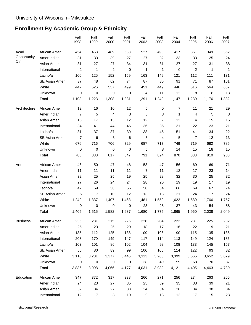# **Enrollment By Academic Group & Ethnicity**

|                 |               | Fall<br>1998     | Fall<br>1999     | Fall<br>2000            | Fall<br>2001 | Fall<br>2002   | Fall<br>2003   | Fall<br>2004   | Fall<br>2005   | Fall<br>2006 | Fall<br>2007 |
|-----------------|---------------|------------------|------------------|-------------------------|--------------|----------------|----------------|----------------|----------------|--------------|--------------|
| Acad            | African Amer  | 454              | 463              | 489                     | 538          | 527            | 490            | 417            | 361            | 349          | 352          |
| Opportunity     | Amer Indian   | 31               | 33               | 39                      | 27           | 27             | 32             | 33             | 33             | 25           | 24           |
| Ctr             | Asian Amer    | 31               | 27               | 27                      | 34           | 31             | 31             | 27             | 27             | 31           | 38           |
|                 | International | $\boldsymbol{2}$ | 1                | $\overline{\mathbf{c}}$ | $\pmb{0}$    | 1              | 1              | $\pmb{0}$      | $\overline{c}$ | 1            | 1            |
|                 | Latino/a      | 106              | 125              | 152                     | 159          | 163            | 149            | 121            | 112            | 111          | 131          |
|                 | SE Asian Amer | 37               | 48               | 62                      | 74           | 87             | 86             | 91             | 71             | 87           | 101          |
|                 | White         | 447              | 526              | 537                     | 499          | 451            | 449            | 446            | 616            | 564          | 667          |
|                 | Unknown       | 0                | 0                | 0                       | $\mathbf 0$  | 4              | 11             | 12             | 8              | 8            | 18           |
|                 | Total         | 1,108            | 1,223            | 1,308                   | 1,331        | 1,291          | 1,249          | 1,147          | 1,230          | 1,176        | 1,332        |
| Architecture    | African Amer  | 12               | 16               | 10                      | 12           | 5              | 5              | $\overline{7}$ | 11             | 21           | 29           |
|                 | Amer Indian   | $\overline{7}$   | 5                | 4                       | $\mathbf{3}$ | 3              | 3              | 1              | 4              | 5            | 3            |
|                 | Asian Amer    | 16               | 17               | 13                      | 12           | 12             | $\overline{7}$ | 12             | 14             | 15           | 15           |
|                 | International | 34               | 41               | 44                      | 46           | 36             | 35             | 31             | 22             | 23           | 21           |
|                 | Latino/a      | 31               | 37               | 37                      | 39           | 38             | 45             | 51             | 41             | 34           | 22           |
|                 | SE Asian Amer | 7                | 6                | 3                       | 6            | 5              | 4              | 5              | $\overline{7}$ | 12           | 13           |
|                 | White         | 676              | 716              | 706                     | 729          | 687            | 717            | 749            | 719            | 682          | 785          |
|                 | Unknown       | 0                | 0                | 0                       | 0            | 5              | 8              | 14             | 15             | 18           | 15           |
|                 | Total         | 783              | 838              | 817                     | 847          | 791            | 824            | 870            | 833            | 810          | 903          |
| Arts            | African Amer  | 46               | 50               | 47                      | 48           | 53             | 47             | 56             | 69             | 69           | 71           |
|                 | Amer Indian   | 11               | 11               | 11                      | 11           | $\overline{7}$ | 11             | 12             | 17             | 23           | 14           |
|                 | Asian Amer    | 32               | 25               | 25                      | 19           | 25             | 28             | 32             | 30             | 25           | 32           |
|                 | International | 27               | 26               | 24                      | 24           | 28             | 20             | 19             | 19             | 17           | 19           |
|                 | Latino/a      | 42               | 59               | 58                      | 55           | 50             | 64             | 66             | 69             | 67           | 74           |
|                 | SE Asian Amer | 5                | 7                | 10                      | 12           | 13             | 18             | 21             | 24             | 17           | 24           |
|                 | White         | 1,242            | 1,337            | 1,407                   | 1,468        | 1,481          | 1,559          | 1,622          | 1,689          | 1,766        | 1,757        |
|                 | Unknown       | 0                | 0                | 0                       | 0            | 23             | 28             | 37             | 43             | 54           | 58           |
|                 | Total         | 1,405            | 1,515            | 1,582                   | 1,637        | 1,680          | 1,775          | 1,865          | 1,960          | 2,038        | 2,049        |
| <b>Business</b> | African Amer  | 236              | 231              | 215                     | 226          | 226            | 204            | 222            | 231            | 225          | 232          |
|                 | Amer Indian   | 25               | 23               | 25                      | 20           | 18             | 17             | 16             | 22             | 19           | 21           |
|                 | Asian Amer    | 135              | 112              | 125                     | 138          | 109            | 106            | 90             | 115            | 135          | 136          |
|                 | International | 203              | 170              | 149                     | 147          | 117            | 114            | 113            | 149            | 124          | 136          |
|                 | Latino/a      | 103              | 101              | 86                      | 102          | 104            | 98             | 108            | 133            | 145          | 157          |
|                 | SE Asian Amer | 66               | 80               | 89                      | 99           | 106            | 106            | 114            | 122            | 93           | 82           |
|                 | White         | 3,118            | 3,281            | 3,377                   | 3,445        | 3,313          | 3,288          | 3,399          | 3,565          | 3,652        | 3,879        |
|                 | Unknown       | $\pmb{0}$        | 0                | 0                       | $\mathbf 0$  | 38             | 49             | 59             | 68             | 70           | 87           |
|                 | Total         | 3,886            | 3,998            | 4,066                   | 4,177        | 4,031          | 3,982          | 4,121          | 4,405          | 4,463        | 4,730        |
| Education       | African Amer  | 347              | 372              | 317                     | 338          | 266            | 271            | 256            | 274            | 263          | 265          |
|                 | Amer Indian   | 24               | 23               | 27                      | 35           | 25             | 39             | 35             | 38             | 39           | 21           |
|                 | Asian Amer    | 32               | 34               | 27                      | 33           | 34             | 34             | 36             | 34             | 38           | 34           |
|                 | International | 12               | $\boldsymbol{7}$ | 8                       | 10           | 9              | 13             | 12             | 17             | 15           | 23           |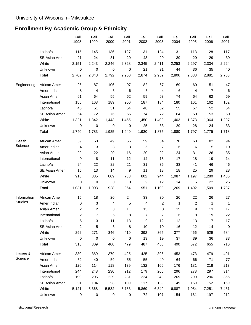# **Enrollment By Academic Group & Ethnicity**

|                |                      | Fall<br>1998   | Fall<br>1999   | Fall<br>2000 | Fall<br>2001 | Fall<br>2002   | Fall<br>2003   | Fall<br>2004 | Fall<br>2005 | Fall<br>2006   | Fall<br>2007 |
|----------------|----------------------|----------------|----------------|--------------|--------------|----------------|----------------|--------------|--------------|----------------|--------------|
|                | Latino/a             | 115            | 145            | 136          | 127          | 131            | 124            | 131          | 113          | 128            | 117          |
|                | <b>SE Asian Amer</b> | 21             | 24             | 31           | 29           | 43             | 29             | 39           | 29           | 29             | 39           |
|                | White                | 2,151          | 2,243          | 2,246        | 2,328        | 2,345          | 2,411          | 2,253        | 2,297        | 2,334          | 2,224        |
|                | Unknown              | $\mathbf 0$    | 0              | 0            | $\,0\,$      | 21             | 31             | 44           | 36           | 35             | 40           |
|                | Total                | 2,702          | 2,848          | 2,792        | 2,900        | 2,874          | 2,952          | 2,806        | 2,838        | 2,881          | 2,763        |
| Engineering    | African Amer         | 96             | 87             | 106          | 97           | 82             | 67             | 69           | 60           | 51             | 47           |
|                | Amer Indian          | 8              | 4              | 5            | 6            | 5              | 4              | 6            | 4            | $\overline{7}$ | $\,6\,$      |
|                | Asian Amer           | 61             | 64             | 55           | 62           | 59             | 63             | 74           | 64           | 62             | 69           |
|                | International        | 155            | 163            | 189          | 200          | 187            | 184            | 180          | 161          | 162            | 162          |
|                | Latino/a             | 45             | 51             | 51           | 54           | 48             | 52             | 55           | 57           | 52             | 54           |
|                | SE Asian Amer        | 54             | 72             | 76           | 66           | 74             | 72             | 64           | 50           | 53             | 50           |
|                | White                | 1,321          | 1,342          | 1,443        | 1,455        | 1,450          | 1,400          | 1,403        | 1,373        | 1,364          | 1,297        |
|                | Unknown              | 0              | 0              | 0            | 0            | 25             | 33             | 29           | 28           | 24             | 33           |
|                | Total                | 1,740          | 1,783          | 1,925        | 1,940        | 1,930          | 1,875          | 1,880        | 1,797        | 1,775          | 1,718        |
| Health         | African Amer         | 39             | 50             | 49           | 55           | 59             | 54             | 70           | 68           | 82             | 94           |
| Science        | Amer Indian          | 4              | 3              | 3            | 3            | 5              | $\overline{7}$ | 6            | 6            | 5              | 10           |
|                | Asian Amer           | 22             | 22             | 20           | 16           | 20             | 22             | 24           | 31           | 26             | 35           |
|                | International        | 9              | 8              | 11           | 12           | 14             | 15             | 17           | 18           | 19             | 14           |
|                | Latino/a             | 24             | 22             | 22           | 21           | 31             | 36             | 33           | 41           | 46             | 46           |
|                | <b>SE Asian Amer</b> | 15             | 13             | 14           | 9            | 11             | 18             | 18           | 25           | 29             | 28           |
|                | White                | 918            | 885            | 809          | 738          | 802            | 944            | 1,087        | 1,197        | 1,280          | 1,485        |
|                | Unknown              | 0              | 0              | 0            | 0            | 9              | 12             | 14           | 16           | 22             | 25           |
|                | Total                | 1,031          | 1,003          | 928          | 854          | 951            | 1,108          | 1,269        | 1,402        | 1,509          | 1,737        |
| Information    | African Amer         | 15             | 18             | 20           | 24           | 33             | 30             | 26           | 22           | 26             | 27           |
| <b>Studies</b> | Amer Indian          | 0              | 3              | 4            | 5            | 4              | 2              | 1            | 2            | 1              | 1            |
|                | Asian Amer           | 2              | $\overline{c}$ | 8            | 11           | 13             | 8              | 15           | 9            | 13             | 17           |
|                | International        | $\overline{c}$ | $\overline{7}$ | 5            | 8            | $\overline{7}$ | $\overline{7}$ | 6            | 9            | 19             | 22           |
|                | Latino/a             | 5              | 3              | 11           | 13           | 9              | 12             | 12           | 13           | 17             | 17           |
|                | SE Asian Amer        | 2              | 5              | 6            | 8            | 10             | 10             | 16           | 12           | 14             | 9            |
|                | White                | 292            | 271            | 346          | 410          | 392            | 365            | 377          | 466          | 529            | 584          |
|                | Unknown              | $\pmb{0}$      | $\pmb{0}$      | 0            | $\pmb{0}$    | 19             | 19             | 37           | 39           | 36             | 33           |
|                | Total                | 318            | 309            | 400          | 479          | 487            | 453            | 490          | 572          | 655            | 710          |
| Letters &      | African Amer         | 380            | 369            | 379          | 425          | 425            | 396            | 453          | 473          | 479            | 491          |
| Science        | Amer Indian          | 52             | 40             | 59           | 55           | 55             | 49             | 64           | 66           | 71             | 77           |
|                | Asian Amer           | 126            | 114            | 118          | 139          | 132            | 166            | 176          | 181          | 218            | 213          |
|                | International        | 244            | 248            | 230          | 212          | 179            | 265            | 296          | 278          | 297            | 314          |
|                | Latino/a             | 199            | 205            | 229          | 231          | 224            | 240            | 269          | 290          | 296            | 356          |
|                | SE Asian Amer        | 91             | 104            | 98           | 109          | 117            | 139            | 149          | 159          | 152            | 159          |
|                | White                | 5,121          | 5,368          | 5,532        | 5,783        | 5,869          | 6,340          | 6,887        | 7,054        | 7,251          | 7,431        |
|                | Unknown              | 0              | $\,0\,$        | 0            | $\pmb{0}$    | 72             | 107            | 154          | 161          | 197            | 212          |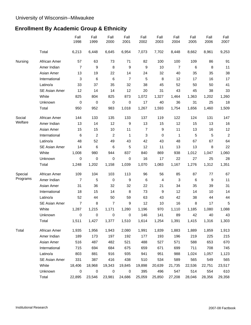# **Enrollment By Academic Group & Ethnicity**

|          |               | Fall<br>1998   | Fall<br>1999   | Fall<br>2000            | Fall<br>2001     | Fall<br>2002   | Fall<br>2003 | Fall<br>2004 | Fall<br>2005 | Fall<br>2006 | Fall<br>2007   |
|----------|---------------|----------------|----------------|-------------------------|------------------|----------------|--------------|--------------|--------------|--------------|----------------|
|          | Total         | 6,213          | 6,448          | 6,645                   | 6,954            | 7,073          | 7,702        | 8,448        | 8,662        | 8,961        | 9,253          |
| Nursing  | African Amer  | 57             | 63             | 73                      | 71               | 82             | 100          | 100          | 109          | 86           | 91             |
|          | Amer Indian   | $\overline{7}$ | 9              | 8                       | 9                | 9              | 10           | 7            | 6            | 8            | 11             |
|          | Asian Amer    | 13             | 19             | 22                      | 14               | 24             | 32           | 40           | 35           | 35           | 38             |
|          | International | 3              | 6              | 6                       | $\overline{7}$   | 5              | 8            | 12           | 17           | 16           | 17             |
|          | Latino/a      | 33             | 37             | 35                      | 32               | 38             | 45           | 52           | 50           | 50           | 41             |
|          | SE Asian Amer | 12             | 14             | 14                      | 12               | 20             | 31           | 43           | 45           | 38           | 33             |
|          | White         | 825            | 804            | 825                     | 873              | 1,072          | 1,327        | 1,464        | 1,363        | 1,202        | 1,260          |
|          | Unknown       | 0              | 0              | $\boldsymbol{0}$        | 0                | 17             | 40           | 36           | 31           | 25           | 18             |
|          | Total         | 950            | 952            | 983                     | 1,018            | 1,267          | 1,593        | 1,754        | 1,656        | 1,460        | 1,509          |
| Social   | African Amer  | 144            | 133            | 135                     | 133              | 137            | 119          | 122          | 124          | 131          | 147            |
| Welfare  | Amer Indian   | 13             | 14             | 12                      | $\boldsymbol{9}$ | 13             | 15           | 12           | 15           | 13           | 16             |
|          | Asian Amer    | 15             | 15             | $10$                    | 11               | $\overline{7}$ | 9            | 11           | 13           | 16           | 12             |
|          | International | 6              | $\overline{c}$ | $\overline{\mathbf{c}}$ | 1                | 3              | $\mathbf 0$  | 1            | 5            | 5            | $\overline{c}$ |
|          | Latino/a      | 48             | 52             | 49                      | 43               | 42             | 43           | 48           | 67           | 67           | 64             |
|          | SE Asian Amer | 14             | 6              | 6                       | 5                | 12             | 11           | 13           | 13           | 8            | 22             |
|          | White         | 1,008          | 980            | 944                     | 837              | 840            | 869          | 938          | 1,012        | 1,047        | 1,060          |
|          | Unknown       | 0              | 0              | 0                       | 0                | 16             | 17           | 22           | 27           | 25           | 28             |
|          | Total         | 1,248          | 1,202          | 1,158                   | 1,039            | 1,070          | 1,083        | 1,167        | 1,276        | 1,312        | 1,351          |
| Special  | African Amer  | 109            | 104            | 103                     | 113              | 96             | 56           | 85           | 87           | 77           | 67             |
| Programs | Amer Indian   | $\overline{7}$ | 5              | $\boldsymbol{0}$        | $\boldsymbol{9}$ | 6              | 4            | 3            | 6            | 9            | 11             |
|          | Asian Amer    | 31             | 36             | 32                      | 32               | 22             | 21           | 34           | 35           | 39           | 31             |
|          | International | 18             | 15             | 14                      | 8                | 73             | 9            | 12           | 14           | 10           | 14             |
|          | Latino/a      | 52             | 44             | 50                      | 59               | 63             | 43           | 42           | 38           | 44           | 44             |
|          | SE Asian Amer | 7              | 8              | 7                       | 9                | 12             | 10           | 16           | 8            | 17           | 5              |
|          | White         | 1,287          | 1,215          | 1,171                   | 1,280            | 1,196          | 970          | 1,110        | 1,185        | 1,080        | 1,088          |
|          | Unknown       | 0              | 0              | 0                       | 0                | 146            | 141          | 89           | 42           | 40           | 43             |
|          | Total         | 1,511          | 1,427          | 1,377                   | 1,510            | 1,614          | 1,254        | 1,391        | 1,415        | 1,316        | 1,303          |
| Total    | African Amer  | 1,935          | 1,956          | 1,943                   | 2,080            | 1,991          | 1,839        | 1,883        | 1,889        | 1,859        | 1,913          |
|          | Amer Indian   | 189            | 173            | 197                     | 192              | 177            | 193          | 196          | 219          | 225          | 215            |
|          | Asian Amer    | 516            | 487            | 482                     | 521              | 488            | 527          | 571          | 588          | 653          | 670            |
|          | International | 715            | 694            | 684                     | 675              | 659            | 671          | 699          | 711          | 708          | 745            |
|          | Latino/a      | 803            | 881            | 916                     | 935              | 941            | 951          | 988          | 1,024        | 1,057        | 1,123          |
|          | SE Asian Amer | 331            | 387            | 416                     | 438              | 510            | 534          | 589          | 565          | 549          | 565            |
|          | White         | 18,406         | 18,968         | 19,343                  | 19,845           | 19,898         | 20,639       | 21,735       | 22,536       | 22,751       | 23,517         |
|          | Unknown       | $\mathbf 0$    | 0              | 0                       | 0                | 395            | 496          | 547          | 514          | 554          | 610            |
|          | Total         | 22,895         | 23,546         | 23,981                  | 24,686           | 25,059         | 25,850       | 27,208       | 28,046       | 28,356       | 29,358         |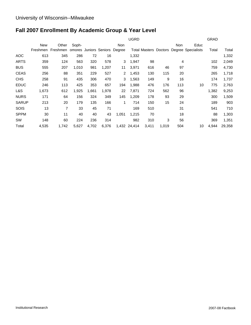# **Fall 2007 Enrollment By Academic Group & Year Level**

|              |          |          |       |       |                               |       | <b>UGRD</b>  |       |       |            |                                                 | <b>GRAD</b> |        |
|--------------|----------|----------|-------|-------|-------------------------------|-------|--------------|-------|-------|------------|-------------------------------------------------|-------------|--------|
|              | New      | Other    | Soph- |       |                               | Non   |              |       |       | <b>Non</b> | Educ                                            |             |        |
|              | Freshmen | Freshmen |       |       | omores Juniors Seniors Degree |       |              |       |       |            | <b>Total Masters Doctors Degree Specialists</b> | Total       | Total  |
| <b>AOC</b>   | 613      | 345      | 286   | 72    | 16                            |       | 1,332        |       |       |            |                                                 |             | 1,332  |
| <b>ARTS</b>  | 359      | 124      | 563   | 320   | 578                           | 3     | 1,947        | 98    |       | 4          |                                                 | 102         | 2,049  |
| <b>BUS</b>   | 555      | 207      | 1,010 | 981   | 1,207                         | 11    | 3,971        | 616   | 46    | 97         |                                                 | 759         | 4,730  |
| <b>CEAS</b>  | 256      | 88       | 351   | 229   | 527                           | 2     | 1,453        | 130   | 115   | 20         |                                                 | 265         | 1,718  |
| <b>CHS</b>   | 258      | 91       | 435   | 306   | 470                           | 3     | 1,563        | 149   | 9     | 16         |                                                 | 174         | 1,737  |
| <b>EDUC</b>  | 246      | 113      | 425   | 353   | 657                           | 194   | 1,988        | 476   | 176   | 113        | 10                                              | 775         | 2,763  |
| L&S          | 1,673    | 612      | 1,925 | 1,661 | 1,978                         | 22    | 7,871        | 724   | 562   | 96         |                                                 | 1,382       | 9,253  |
| <b>NURS</b>  | 171      | 64       | 156   | 324   | 349                           | 145   | 1,209        | 178   | 93    | 29         |                                                 | 300         | 1,509  |
| <b>SARUP</b> | 213      | 20       | 179   | 135   | 166                           | 1     | 714          | 150   | 15    | 24         |                                                 | 189         | 903    |
| SOIS         | 13       | 7        | 33    | 45    | 71                            |       | 169          | 510   |       | 31         |                                                 | 541         | 710    |
| <b>SPPM</b>  | 30       | 11       | 40    | 40    | 43                            | 1,051 | 1,215        | 70    |       | 18         |                                                 | 88          | 1,303  |
| <b>SW</b>    | 148      | 60       | 224   | 236   | 314                           |       | 982          | 310   | 3     | 56         |                                                 | 369         | 1,351  |
| Total        | 4,535    | 1,742    | 5,627 | 4,702 | 6,376                         |       | 1,432 24,414 | 3,411 | 1,019 | 504        | 10                                              | 4,944       | 29,358 |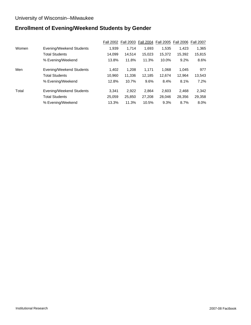# **Enrollment of Evening/Weekend Students by Gender**

|       |                          | <b>Fall 2002</b> | <b>Fall 2003</b> | <b>Fall 2004</b> | <b>Fall 2005</b> | <b>Fall 2006</b> | <b>Fall 2007</b> |
|-------|--------------------------|------------------|------------------|------------------|------------------|------------------|------------------|
| Women | Evening/Weekend Students | 1.939            | 1.714            | 1.693            | 1.535            | 1.423            | 1,365            |
|       | <b>Total Students</b>    | 14.099           | 14.514           | 15.023           | 15,372           | 15,392           | 15,815           |
|       | % Evening/Weekend        | 13.8%            | 11.8%            | 11.3%            | 10.0%            | 9.2%             | 8.6%             |
| Men   | Evening/Weekend Students | 1,402            | 1.208            | 1.171            | 1,068            | 1,045            | 977              |
|       | <b>Total Students</b>    | 10.960           | 11.336           | 12.185           | 12.674           | 12.964           | 13,543           |
|       | % Evening/Weekend        | 12.8%            | 10.7%            | 9.6%             | 8.4%             | 8.1%             | 7.2%             |
| Total | Evening/Weekend Students | 3.341            | 2,922            | 2.864            | 2.603            | 2,468            | 2,342            |
|       | <b>Total Students</b>    | 25,059           | 25,850           | 27,208           | 28,046           | 28,356           | 29,358           |
|       | % Evening/Weekend        | 13.3%            | 11.3%            | 10.5%            | 9.3%             | 8.7%             | 8.0%             |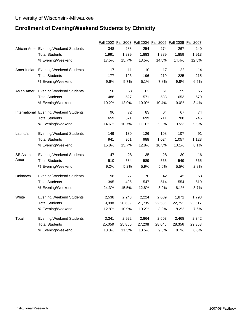# **Enrollment of Evening/Weekend Students by Ethnicity**

|            |                                        |        |        |        |        | Fall 2002 Fall 2003 Fall 2004 Fall 2005 Fall 2006 Fall 2007 |        |
|------------|----------------------------------------|--------|--------|--------|--------|-------------------------------------------------------------|--------|
|            | African Amer Evening/Weekend Students  | 348    | 288    | 254    | 274    | 267                                                         | 240    |
|            | <b>Total Students</b>                  | 1,991  | 1,839  | 1,883  | 1,889  | 1,859                                                       | 1,913  |
|            | % Evening/Weekend                      | 17.5%  | 15.7%  | 13.5%  | 14.5%  | 14.4%                                                       | 12.5%  |
|            | Amer Indian Evening/Weekend Students   | 17     | 11     | 10     | 17     | 22                                                          | 14     |
|            | <b>Total Students</b>                  | 177    | 193    | 196    | 219    | 225                                                         | 215    |
|            | % Evening/Weekend                      | 9.6%   | 5.7%   | 5.1%   | 7.8%   | 9.8%                                                        | 6.5%   |
| Asian Amer | <b>Evening/Weekend Students</b>        | 50     | 68     | 62     | 61     | 59                                                          | 56     |
|            | <b>Total Students</b>                  | 488    | 527    | 571    | 588    | 653                                                         | 670    |
|            | % Evening/Weekend                      | 10.2%  | 12.9%  | 10.9%  | 10.4%  | 9.0%                                                        | 8.4%   |
|            | International Evening/Weekend Students | 96     | 72     | 83     | 64     | 67                                                          | 74     |
|            | <b>Total Students</b>                  | 659    | 671    | 699    | 711    | 708                                                         | 745    |
|            | % Evening/Weekend                      | 14.6%  | 10.7%  | 11.9%  | 9.0%   | 9.5%                                                        | 9.9%   |
| Latino/a   | Evening/Weekend Students               | 149    | 130    | 126    | 108    | 107                                                         | 91     |
|            | <b>Total Students</b>                  | 941    | 951    | 988    | 1,024  | 1,057                                                       | 1,123  |
|            | % Evening/Weekend                      | 15.8%  | 13.7%  | 12.8%  | 10.5%  | 10.1%                                                       | 8.1%   |
| SE Asian   | Evening/Weekend Students               | 47     | 28     | 35     | 28     | 30                                                          | 16     |
| Amer       | <b>Total Students</b>                  | 510    | 534    | 589    | 565    | 549                                                         | 565    |
|            | % Evening/Weekend                      | 9.2%   | 5.2%   | 5.9%   | 5.0%   | 5.5%                                                        | 2.8%   |
| Unknown    | <b>Evening/Weekend Students</b>        | 96     | 77     | 70     | 42     | 45                                                          | 53     |
|            | <b>Total Students</b>                  | 395    | 496    | 547    | 514    | 554                                                         | 610    |
|            | % Evening/Weekend                      | 24.3%  | 15.5%  | 12.8%  | 8.2%   | 8.1%                                                        | 8.7%   |
| White      | Evening/Weekend Students               | 2,538  | 2,248  | 2,224  | 2,009  | 1,871                                                       | 1,798  |
|            | <b>Total Students</b>                  | 19,898 | 20,639 | 21,735 | 22,536 | 22,751                                                      | 23,517 |
|            | % Evening/Weekend                      | 12.8%  | 10.9%  | 10.2%  | 8.9%   | 8.2%                                                        | 7.6%   |
| Total      | Evening/Weekend Students               | 3,341  | 2,922  | 2,864  | 2,603  | 2,468                                                       | 2,342  |
|            | <b>Total Students</b>                  | 25,059 | 25,850 | 27,208 | 28,046 | 28,356                                                      | 29,358 |
|            | % Evening/Weekend                      | 13.3%  | 11.3%  | 10.5%  | 9.3%   | 8.7%                                                        | 8.0%   |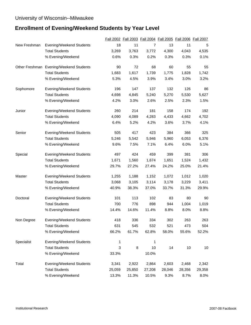# **Enrollment of Evening/Weekend Students by Year Level**

|              |                                         |        |        |        | Fall 2002 Fall 2003 Fall 2004 Fall 2005 Fall 2006 |        | <b>Fall 2007</b> |
|--------------|-----------------------------------------|--------|--------|--------|---------------------------------------------------|--------|------------------|
| New Freshman | Evening/Weekend Students                | 18     | 11     | 7      | 13                                                | 11     | 5                |
|              | <b>Total Students</b>                   | 3,269  | 3,763  | 3,772  | 4,300                                             | 4,043  | 4,535            |
|              | % Evening/Weekend                       | 0.6%   | 0.3%   | 0.2%   | 0.3%                                              | 0.3%   | 0.1%             |
|              | Other Freshman Evening/Weekend Students | 90     | 72     | 68     | 60                                                | 55     | 55               |
|              | <b>Total Students</b>                   | 1,683  | 1,617  | 1,739  | 1,775                                             | 1,828  | 1,742            |
|              | % Evening/Weekend                       | 5.3%   | 4.5%   | 3.9%   | 3.4%                                              | 3.0%   | 3.2%             |
| Sophomore    | Evening/Weekend Students                | 196    | 147    | 137    | 132                                               | 126    | 86               |
|              | <b>Total Students</b>                   | 4,698  | 4,845  | 5,240  | 5,270                                             | 5,530  | 5,627            |
|              | % Evening/Weekend                       | 4.2%   | 3.0%   | 2.6%   | 2.5%                                              | 2.3%   | 1.5%             |
| Junior       | Evening/Weekend Students                | 260    | 214    | 181    | 158                                               | 174    | 192              |
|              | <b>Total Students</b>                   | 4,090  | 4,089  | 4,283  | 4,433                                             | 4,662  | 4,702            |
|              | % Evening/Weekend                       | 6.4%   | 5.2%   | 4.2%   | 3.6%                                              | 3.7%   | 4.1%             |
| Senior       | <b>Evening/Weekend Students</b>         | 505    | 417    | 423    | 384                                               | 366    | 325              |
|              | <b>Total Students</b>                   | 5,246  | 5,542  | 5,946  | 5,960                                             | 6,053  | 6,376            |
|              | % Evening/Weekend                       | 9.6%   | 7.5%   | 7.1%   | 6.4%                                              | 6.0%   | 5.1%             |
| Special      | Evening/Weekend Students                | 497    | 424    | 459    | 399                                               | 381    | 306              |
|              | <b>Total Students</b>                   | 1,671  | 1,560  | 1,674  | 1,651                                             | 1,524  | 1,432            |
|              | % Evening/Weekend                       | 29.7%  | 27.2%  | 27.4%  | 24.2%                                             | 25.0%  | 21.4%            |
| Master       | <b>Evening/Weekend Students</b>         | 1,255  | 1,188  | 1,152  | 1,072                                             | 1,012  | 1,020            |
|              | <b>Total Students</b>                   | 3,068  | 3,105  | 3,114  | 3,178                                             | 3,229  | 3,411            |
|              | % Evening/Weekend                       | 40.9%  | 38.3%  | 37.0%  | 33.7%                                             | 31.3%  | 29.9%            |
| Doctoral     | Evening/Weekend Students                | 101    | 113    | 102    | 83                                                | 80     | 90               |
|              | <b>Total Students</b>                   | 700    | 776    | 898    | 944                                               | 1,004  | 1,019            |
|              | % Evening/Weekend                       | 14.4%  | 14.6%  | 11.4%  | 8.8%                                              | 8.0%   | 8.8%             |
| Non Degree   | Evening/Weekend Students                | 418    | 336    | 334    | 302                                               | 263    | 263              |
|              | <b>Total Students</b>                   | 631    | 545    | 532    | 521                                               | 473    | 504              |
|              | % Evening/Weekend                       | 66.2%  | 61.7%  | 62.8%  | 58.0%                                             | 55.6%  | 52.2%            |
| Specialist   | Evening/Weekend Students                | 1      |        | 1      |                                                   |        |                  |
|              | <b>Total Students</b>                   | 3      | 8      | 10     | 14                                                | 10     | 10               |
|              | % Evening/Weekend                       | 33.3%  |        | 10.0%  |                                                   |        |                  |
| Total        | Evening/Weekend Students                | 3,341  | 2,922  | 2,864  | 2,603                                             | 2,468  | 2,342            |
|              | <b>Total Students</b>                   | 25,059 | 25,850 | 27,208 | 28,046                                            | 28,356 | 29,358           |
|              | % Evening/Weekend                       | 13.3%  | 11.3%  | 10.5%  | 9.3%                                              | 8.7%   | 8.0%             |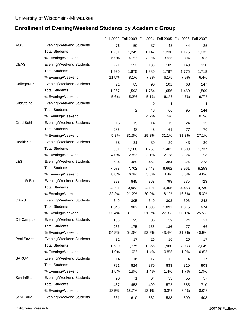# **Enrollment of Evening/Weekend Students by Academic Group**

|              |                                 |       |                |       | Fall 2002 Fall 2003 Fall 2004 Fall 2005 Fall 2006 Fall 2007 |       |       |
|--------------|---------------------------------|-------|----------------|-------|-------------------------------------------------------------|-------|-------|
| <b>AOC</b>   | <b>Evening/Weekend Students</b> | 76    | 59             | 37    | 43                                                          | 44    | 25    |
|              | <b>Total Students</b>           | 1,291 | 1,249          | 1.147 | 1,230                                                       | 1,176 | 1,332 |
|              | % Evening/Weekend               | 5.9%  | 4.7%           | 3.2%  | 3.5%                                                        | 3.7%  | 1.9%  |
| CEAS         | Evening/Weekend Students        | 221   | 152            | 136   | 109                                                         | 140   | 110   |
|              | <b>Total Students</b>           | 1,930 | 1,875          | 1,880 | 1,797                                                       | 1,775 | 1,718 |
|              | % Evening/Weekend               | 11.5% | 8.1%           | 7.2%  | 6.1%                                                        | 7.9%  | 6.4%  |
| CollegeNur   | <b>Evening/Weekend Students</b> | 71    | 83             | 90    | 101                                                         | 68    | 147   |
|              | <b>Total Students</b>           | 1,267 | 1,593          | 1,754 | 1,656                                                       | 1,460 | 1,509 |
|              | % Evening/Weekend               | 5.6%  | 5.2%           | 5.1%  | 6.1%                                                        | 4.7%  | 9.7%  |
| GlblStdInt   | <b>Evening/Weekend Students</b> |       |                | 2     | 1                                                           |       | 1     |
|              | <b>Total Students</b>           |       | $\overline{c}$ | 48    | 66                                                          | 95    | 144   |
|              | % Evening/Weekend               |       |                | 4.2%  | 1.5%                                                        |       | 0.7%  |
| Grad Schl    | <b>Evening/Weekend Students</b> | 15    | 15             | 14    | 19                                                          | 24    | 19    |
|              | <b>Total Students</b>           | 285   | 48             | 48    | 61                                                          | 77    | 70    |
|              | % Evening/Weekend               | 5.3%  | 31.3%          | 29.2% | 31.1%                                                       | 31.2% | 27.1% |
| Health Sci   | Evening/Weekend Students        | 38    | 31             | 39    | 29                                                          | 43    | 30    |
|              | <b>Total Students</b>           | 951   | 1,108          | 1,269 | 1,402                                                       | 1,509 | 1,737 |
|              | % Evening/Weekend               | 4.0%  | 2.8%           | 3.1%  | 2.1%                                                        | 2.8%  | 1.7%  |
| L&S          | <b>Evening/Weekend Students</b> | 624   | 489            | 462   | 384                                                         | 324   | 373   |
|              | <b>Total Students</b>           | 7,073 | 7,702          | 8,448 | 8,662                                                       | 8,961 | 9,253 |
|              | % Evening/Weekend               | 8.8%  | 6.3%           | 5.5%  | 4.4%                                                        | 3.6%  | 4.0%  |
| LubarScBus   | <b>Evening/Weekend Students</b> | 893   | 845            | 863   | 798                                                         | 735   | 723   |
|              | <b>Total Students</b>           | 4,031 | 3,982          | 4,121 | 4,405                                                       | 4,463 | 4,730 |
|              | % Evening/Weekend               | 22.2% | 21.2%          | 20.9% | 18.1%                                                       | 16.5% | 15.3% |
| <b>OARS</b>  | Evening/Weekend Students        | 349   | 305            | 340   | 303                                                         | 306   | 248   |
|              | <b>Total Students</b>           | 1,046 | 982            | 1,085 | 1,091                                                       | 1,015 | 974   |
|              | % Evening/Weekend               | 33.4% | 31.1%          | 31.3% | 27.8%                                                       | 30.1% | 25.5% |
| Off-Campus   | <b>Evening/Weekend Students</b> | 155   | 95             | 85    | 59                                                          | 24    | 27    |
|              | <b>Total Students</b>           | 283   | 175            | 158   | 136                                                         | 77    | 66    |
|              | % Evening/Weekend               | 54.8% | 54.3%          | 53.8% | 43.4%                                                       | 31.2% | 40.9% |
| PeckScArts   | <b>Evening/Weekend Students</b> | 32    | 17             | 26    | 16                                                          | 20    | 17    |
|              | <b>Total Students</b>           | 1,680 | 1,775          | 1,865 | 1,960                                                       | 2,038 | 2,049 |
|              | % Evening/Weekend               | 1.9%  | 1.0%           | 1.4%  | 0.8%                                                        | 1.0%  | 0.8%  |
| <b>SARUP</b> | Evening/Weekend Students        | 14    | 16             | 12    | 12                                                          | 14    | 17    |
|              | <b>Total Students</b>           | 791   | 824            | 870   | 833                                                         | 810   | 903   |
|              | % Evening/Weekend               | 1.8%  | 1.9%           | 1.4%  | 1.4%                                                        | 1.7%  | 1.9%  |
| Sch InfStd   | Evening/Weekend Students        | 90    | 71             | 64    | 53                                                          | 55    | 57    |
|              | <b>Total Students</b>           | 487   | 453            | 490   | 572                                                         | 655   | 710   |
|              | % Evening/Weekend               | 18.5% | 15.7%          | 13.1% | 9.3%                                                        | 8.4%  | 8.0%  |
| Schl Educ    | Evening/Weekend Students        | 631   | 610            | 582   | 538                                                         | 509   | 403   |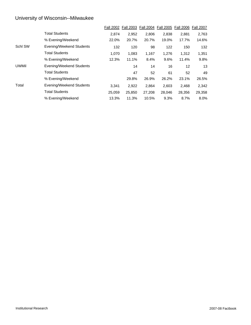|              |                          | <b>Fall 2002</b> | <b>Fall 2003</b> | <b>Fall 2004</b> | <b>Fall 2005</b> | <b>Fall 2006</b> | <b>Fall 2007</b> |
|--------------|--------------------------|------------------|------------------|------------------|------------------|------------------|------------------|
|              | <b>Total Students</b>    | 2.874            | 2,952            | 2.806            | 2,838            | 2.881            | 2,763            |
|              | % Evening/Weekend        | 22.0%            | 20.7%            | 20.7%            | 19.0%            | 17.7%            | 14.6%            |
| Schl SW      | Evening/Weekend Students | 132              | 120              | 98               | 122              | 150              | 132              |
|              | <b>Total Students</b>    | 1.070            | 1.083            | 1,167            | 1.276            | 1.312            | 1,351            |
|              | % Evening/Weekend        | 12.3%            | 11.1%            | 8.4%             | 9.6%             | 11.4%            | 9.8%             |
| <b>UWMil</b> | Evening/Weekend Students |                  | 14               | 14               | 16               | 12               | 13               |
|              | <b>Total Students</b>    |                  | 47               | 52               | 61               | 52               | 49               |
|              | % Evening/Weekend        |                  | 29.8%            | 26.9%            | 26.2%            | 23.1%            | 26.5%            |
| Total        | Evening/Weekend Students | 3,341            | 2,922            | 2.864            | 2,603            | 2,468            | 2,342            |
|              | <b>Total Students</b>    | 25.059           | 25,850           | 27.208           | 28,046           | 28.356           | 29,358           |
|              | % Evening/Weekend        | 13.3%            | 11.3%            | 10.5%            | 9.3%             | 8.7%             | 8.0%             |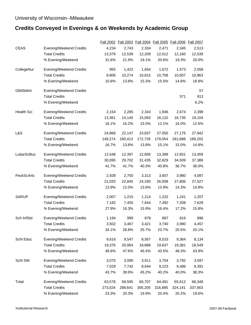# **Credits Conveyed in Evenings & on Weekends by Academic Group**

|              |                                |         |         |         |         | Fall 2002 Fall 2003 Fall 2004 Fall 2005 Fall 2006 | <b>Fall 2007</b> |
|--------------|--------------------------------|---------|---------|---------|---------|---------------------------------------------------|------------------|
| CEAS         | Evening/Weekend Credits        | 4,234   | 2,743   | 2,334   | 2,471   | 2,345                                             | 2,513            |
|              | <b>Total Credits</b>           | 13,379  | 12,539  | 12,209  | 12,012  | 12,160                                            | 12,539           |
|              | % Evening/Weekend              | 31.6%   | 21.9%   | 19.1%   | 20.6%   | 19.3%                                             | 20.0%            |
| CollegeNur   | Evening/Weekend Credits        | 955     | 1,422   | 1,654   | 1,672   | 1,573                                             | 2,058            |
|              | <b>Total Credits</b>           | 8,806   | 10,274  | 10,815  | 10,758  | 10,607                                            | 10,963           |
|              | % Evening/Weekend              | 10.8%   | 13.8%   | 15.3%   | 15.5%   | 14.8%                                             | 18.8%            |
| GlblStdInt   | <b>Evening/Weekend Credits</b> |         |         |         |         |                                                   | 57               |
|              | <b>Total Credits</b>           |         |         |         |         | 571                                               | 913              |
|              | % Evening/Weekend              |         |         |         |         |                                                   | 6.2%             |
| Health Sci   | Evening/Weekend Credits        | 2,154   | 2,285   | 2,343   | 1,946   | 2,674                                             | 2,398            |
|              | <b>Total Credits</b>           | 13,361  | 14,140  | 15,093  | 16,132  | 16,735                                            | 19,104           |
|              | % Evening/Weekend              | 16.1%   | 16.2%   | 15.5%   | 12.1%   | 16.0%                                             | 12.6%            |
| L&S          | Evening/Weekend Credits        | 24,868  | 22,147  | 23,837  | 27,050  | 27,176                                            | 27,942           |
|              | <b>Total Credits</b>           | 149,274 | 160,413 | 172,726 | 179,054 | 181,688                                           | 189,202          |
|              | % Evening/Weekend              | 16.7%   | 13.8%   | 13.8%   | 15.1%   | 15.0%                                             | 14.8%            |
| LubarScBus   | Evening/Weekend Credits        | 12,548  | 12,397  | 12,656  | 13,389  | 12,651                                            | 13,459           |
|              | <b>Total Credits</b>           | 30,095  | 29,702  | 31,435  | 32,829  | 34,509                                            | 37,389           |
|              | % Evening/Weekend              | 41.7%   | 41.7%   | 40.3%   | 40.8%   | 36.7%                                             | 36.0%            |
| PeckScArts   | Evening/Weekend Credits        | 2,928   | 2,750   | 3,313   | 3,607   | 3,980                                             | 4,087            |
|              | <b>Total Credits</b>           | 21,020  | 22,845  | 24,330  | 26,008  | 27,806                                            | 27,527           |
|              | % Evening/Weekend              | 13.9%   | 12.0%   | 13.6%   | 13.9%   | 14.3%                                             | 14.8%            |
| <b>SARUP</b> | Evening/Weekend Credits        | 2,007   | 1,215   | 1,214   | 1,232   | 1,241                                             | 1,207            |
|              | <b>Total Credits</b>           | 7,182   | 7,455   | 7,644   | 7,492   | 7,208                                             | 7,629            |
|              | % Evening/Weekend              | 27.9%   | 16.3%   | 15.9%   | 16.4%   | 17.2%                                             | 15.8%            |
| Sch InfStd   | <b>Evening/Weekend Credits</b> | 1,194   | 999     | 878     | 887     | 816                                               | 896              |
|              | <b>Total Credits</b>           | 3,502   | 3,467   | 3,421   | 3,740   | 3,990                                             | 4,457            |
|              | % Evening/Weekend              | 34.1%   | 28.8%   | 25.7%   | 23.7%   | 20.5%                                             | 20.1%            |
| Schl Educ    | Evening/Weekend Credits        | 9,616   | 9,547   | 8,567   | 8,533   | 9,364                                             | 8,134            |
|              | <b>Total Credits</b>           | 19,376  | 20,064  | 18,888  | 19,637  | 19,381                                            | 18,549           |
|              | % Evening/Weekend              | 49.6%   | 47.6%   | 45.4%   | 43.5%   | 48.3%                                             | 43.9%            |
| Schl SW      | Evening/Weekend Credits        | 3,075   | 3,090   | 3,911   | 3,704   | 3,792                                             | 3,597            |
|              | <b>Total Credits</b>           | 7,029   | 7,742   | 8,644   | 9,223   | 9,486                                             | 9,391            |
|              | % Evening/Weekend              | 43.7%   | 39.9%   | 45.2%   | 40.2%   | 40.0%                                             | 38.3%            |
| Total        | Evening/Weekend Credits        | 63,578  | 58,595  | 60,707  | 64,491  | 65,612                                            | 66,348           |
|              | <b>Total Credits</b>           | 273,024 | 288,641 | 305,205 | 316,885 | 324,141                                           | 337,663          |
|              | % Evening/Weekend              | 23.3%   | 20.3%   | 19.9%   | 20.4%   | 20.2%                                             | 19.6%            |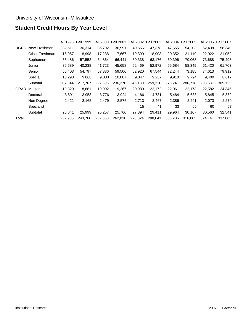# **Student Credit Hours By Year Level**

|             |                | <b>Fall 1998</b> | <b>Fall 1999</b> | <b>Fall 2000</b> | <b>Fall 2001</b> | <b>Fall 2002</b> | <b>Fall 2003</b> | <b>Fall 2004</b> | <b>Fall 2005</b> | <b>Fall 2006</b> | <b>Fall 2007</b> |
|-------------|----------------|------------------|------------------|------------------|------------------|------------------|------------------|------------------|------------------|------------------|------------------|
| <b>UGRD</b> | New Freshman   | 32,611           | 36,314           | 36,702           | 36,991           | 40,666           | 47,378           | 47,655           | 54,203           | 52,438           | 58,340           |
|             | Other Freshman | 16,957           | 18,998           | 17,238           | 17,667           | 19,390           | 18,903           | 20,352           | 21,119           | 22,022           | 21,052           |
|             | Sophomore      | 55,486           | 57,552           | 64,864           | 66,441           | 60,338           | 63,176           | 69,396           | 70,068           | 73,688           | 75,498           |
|             | Junior         | 36,589           | 40,238           | 41,723           | 45,658           | 52,469           | 52,972           | 55,684           | 58,349           | 61,420           | 61,703           |
|             | Senior         | 55,403           | 54,797           | 57,836           | 59,506           | 62,920           | 67,544           | 72,244           | 73,185           | 74,613           | 79,912           |
|             | Special        | 10,298           | 9,868            | 9,033            | 10,007           | 9,347            | 9,257            | 9,910            | 9,794            | 9,400            | 8,617            |
|             | Subtotal       | 207,344          | 217,767          | 227,396          | 236,270          | 245,130          | 259,230          | 275,241          | 286,718          | 293,581          | 305,122          |
| <b>GRAD</b> | Master         | 19,329           | 18,881           | 19,002           | 19,267           | 20,980           | 22,172           | 22,061           | 22,173           | 22,582           | 24,345           |
|             | Doctoral       | 3,891            | 3,953            | 3,776            | 3,924            | 4,186            | 4,731            | 5,484            | 5,638            | 5,845            | 5,869            |
|             | Non Degree     | 2,421            | 3,165            | 2,479            | 2,575            | 2,713            | 2,467            | 2,386            | 2,291            | 2,073            | 2,270            |
|             | Specialist     |                  |                  |                  |                  | 15               | 41               | 33               | 65               | 60               | 57               |
|             | Subtotal       | 25,641           | 25,999           | 25,257           | 25,766           | 27,894           | 29,411           | 29,964           | 30,167           | 30,560           | 32,541           |
| Total       |                | 232,985          | 243.766          | 252,653          | 262,036          | 273,024          | 288,641          | 305,205          | 316,885          | 324,141          | 337,663          |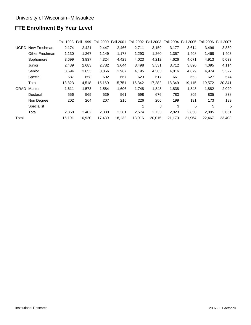# **FTE Enrollment By Year Level**

|       |                   | <b>Fall 1998</b> | <b>Fall 1999</b> | <b>Fall 2000</b> | <b>Fall 2001</b> | <b>Fall 2002</b> | <b>Fall 2003</b> | <b>Fall 2004</b> | Fall 2005 | Fall 2006 Fall 2007 |        |
|-------|-------------------|------------------|------------------|------------------|------------------|------------------|------------------|------------------|-----------|---------------------|--------|
| UGRD  | New Freshman      | 2,174            | 2,421            | 2,447            | 2,466            | 2,711            | 3,159            | 3,177            | 3,614     | 3,496               | 3,889  |
|       | Other Freshman    | 1,130            | 1,267            | 1,149            | 1,178            | 1,293            | 1,260            | 1,357            | 1,408     | 1,468               | 1,403  |
|       | Sophomore         | 3,699            | 3,837            | 4,324            | 4,429            | 4,023            | 4,212            | 4,626            | 4,671     | 4,913               | 5,033  |
|       | Junior            | 2,439            | 2,683            | 2,782            | 3,044            | 3,498            | 3,531            | 3,712            | 3,890     | 4,095               | 4,114  |
|       | Senior            | 3,694            | 3,653            | 3,856            | 3,967            | 4,195            | 4,503            | 4,816            | 4,879     | 4,974               | 5,327  |
|       | Special           | 687              | 658              | 602              | 667              | 623              | 617              | 661              | 653       | 627                 | 574    |
|       | Total             | 13,823           | 14,518           | 15,160           | 15,751           | 16,342           | 17,282           | 18,349           | 19,115    | 19,572              | 20,341 |
| GRAD  | Master            | 1,611            | 1,573            | 1,584            | 1,606            | 1,748            | 1,848            | 1,838            | 1,848     | 1,882               | 2,029  |
|       | Doctoral          | 556              | 565              | 539              | 561              | 598              | 676              | 783              | 805       | 835                 | 838    |
|       | Non Degree        | 202              | 264              | 207              | 215              | 226              | 206              | 199              | 191       | 173                 | 189    |
|       | <b>Specialist</b> |                  |                  |                  |                  |                  | 3                | 3                | 5         | 5                   | 5      |
|       | Total             | 2,368            | 2,402            | 2,330            | 2,381            | 2,574            | 2,733            | 2,823            | 2,850     | 2,895               | 3,061  |
| Total |                   | 16,191           | 16,920           | 17,489           | 18,132           | 18,916           | 20,015           | 21,173           | 21,964    | 22,467              | 23,403 |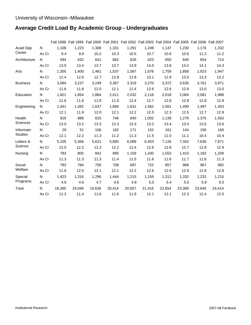# **Average Credit Load By Academic Group - Undergraduates**

|                 |       |        | Fall 1998 Fall 1999 Fall 2000 Fall 2001 Fall 2002 Fall 2003 Fall 2004 Fall 2005 Fall 2006 Fall 2007 |        |        |        |        |        |        |        |        |
|-----------------|-------|--------|-----------------------------------------------------------------------------------------------------|--------|--------|--------|--------|--------|--------|--------|--------|
| Acad Opp        | N     | 1,108  | 1,223                                                                                               | 1,308  | 1,331  | 1,291  | 1,249  | 1.147  | 1,230  | 1,176  | 1,332  |
| Center          | Av Cr | 9.4    | 9.9                                                                                                 | 10.2   | 10.3   | 10.5   | 10.7   | 10.6   | 10.6   | 11.2   | 11.2   |
| Architecture    | N     | 594    | 632                                                                                                 | 641    | 662    | 626    | 623    | 650    | 640    | 654    | 714    |
|                 | Av Cr | 13.5   | 13.4                                                                                                | 13.7   | 13.7   | 13.9   | 14.0   | 13.8   | 14.2   | 14.1   | 14.3   |
| Arts            | N     | 1,305  | 1,400                                                                                               | 1,481  | 1,537  | 1,587  | 1,676  | 1,759  | 1,858  | 1,923  | 1,947  |
|                 | Av Cr | 12.4   | 12.6                                                                                                | 12.7   | 12.8   | 12.8   | 13.1   | 12.9   | 13.0   | 13.3   | 13.2   |
| <b>Business</b> | N     | 3,084  | 3,237                                                                                               | 3,249  | 3,367  | 3,319  | 3,270  | 3,372  | 3,635  | 3,761  | 3,971  |
|                 | Av Cr | 11.6   | 11.8                                                                                                | 12.0   | 12.1   | 12.4   | 12.6   | 12.6   | 12.9   | 13.0   | 13.0   |
| Education       | N     | 1,821  | 1,854                                                                                               | 1,884  | 2,011  | 2,032  | 2,118  | 2,018  | 2,064  | 2,081  | 1,988  |
|                 | Av Cr | 11.6   | 11.6                                                                                                | 11.8   | 11.9   | 12.4   | 12.7   | 12.8   | 12.8   | 12.8   | 12.9   |
| Engineering     | N     | 1,441  | 1,492                                                                                               | 1,637  | 1,666  | 1,631  | 1,562  | 1,561  | 1,490  | 1,497  | 1,453  |
|                 | Av Cr | 12.1   | 11.9                                                                                                | 12.0   | 12.1   | 12.2   | 12.5   | 12.3   | 12.5   | 12.7   | 12.9   |
| Health          | N     | 919    | 888                                                                                                 | 815    | 746    | 840    | 1,002  | 1,139  | 1,276  | 1,375  | 1,563  |
| Sciences        | Av Cr | 13.0   | 13.2                                                                                                | 13.3   | 13.3   | 13.3   | 13.2   | 13.4   | 13.4   | 13.5   | 13.6   |
| Informatn       | N     | 29     | 51                                                                                                  | 106    | 162    | 171    | 152    | 161    | 144    | 156    | 169    |
| <b>Studies</b>  | Av Cr | 12.1   | 12.2                                                                                                | 11.3   | 11.2   | 11.3   | 11.5   | 11.0   | 11.1   | 10.4   | 10.4   |
| Letters &       | N     | 5,105  | 5,366                                                                                               | 5,621  | 5,885  | 6,089  | 6,453  | 7,126  | 7,342  | 7,636  | 7,871  |
| Science         | Av Cr | 12.0   | 12.2                                                                                                | 12.3   | 12.2   | 12.4   | 12.6   | 12.8   | 12.7   | 12.8   | 12.9   |
| Nursing         | N     | 783    | 805                                                                                                 | 842    | 895    | 1,159  | 1,430  | 1,552  | 1,410  | 1,182  | 1,209  |
|                 | Av Cr | 11.3   | 11.3                                                                                                | 11.3   | 11.4   | 11.5   | 11.6   | 11.6   | 11.7   | 11.6   | 11.3   |
| Social          | N     | 783    | 784                                                                                                 | 756    | 708    | 697    | 722    | 857    | 968    | 967    | 982    |
| Welfare         | Av Cr | 11.9   | 12.0                                                                                                | 12.1   | 12.1   | 12.2   | 12.6   | 12.6   | 12.9   | 12.8   | 12.8   |
| Special         | N     | 1,423  | 1,316                                                                                               | 1,296  | 1,444  | 1,215  | 1,159  | 1,312  | 1,332  | 1,232  | 1,215  |
| Programs        | Av Cr | 4.6    | 4.6                                                                                                 | 4.7    | 4.6    | 4.8    | 5.0    | 5.4    | 5.5    | 5.9    | 6.0    |
| Total           | N     | 18,395 | 19,048                                                                                              | 19,636 | 20,414 | 20,657 | 21,416 | 22,654 | 23,389 | 23,640 | 24,414 |
|                 | Av Cr | 11.3   | 11.4                                                                                                | 11.6   | 11.6   | 11.9   | 12.1   | 12.1   | 12.3   | 12.4   | 12.5   |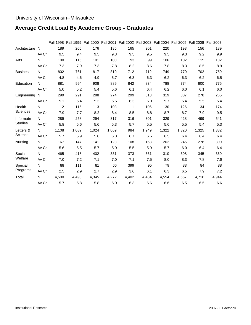# **Average Credit Load By Academic Group - Graduates**

|                 |       |       |       |       |       |       |       |       |       | Fall 1998 Fall 1999 Fall 2000 Fall 2001 Fall 2002 Fall 2003 Fall 2004 Fall 2005 Fall 2006 Fall 2007 |       |
|-----------------|-------|-------|-------|-------|-------|-------|-------|-------|-------|-----------------------------------------------------------------------------------------------------|-------|
| Architecture N  |       | 189   | 206   | 176   | 185   | 165   | 201   | 220   | 193   | 156                                                                                                 | 189   |
|                 | Av Cr | 9.5   | 9.4   | 9.5   | 9.3   | 9.5   | 9.5   | 9.5   | 9.3   | 9.2                                                                                                 | 9.9   |
| Arts            | N     | 100   | 115   | 101   | 100   | 93    | 99    | 106   | 102   | 115                                                                                                 | 102   |
|                 | Av Cr | 7.3   | 7.9   | 7.3   | 7.8   | 8.2   | 8.6   | 7.8   | 8.3   | 8.5                                                                                                 | 8.9   |
| <b>Business</b> | N     | 802   | 761   | 817   | 810   | 712   | 712   | 749   | 770   | 702                                                                                                 | 759   |
|                 | Av Cr | 4.8   | 4.6   | 4.9   | 5.7   | 6.3   | 6.3   | 6.2   | 6.3   | 6.2                                                                                                 | 6.5   |
| Education       | N     | 881   | 994   | 908   | 889   | 842   | 834   | 788   | 774   | 800                                                                                                 | 775   |
|                 | Av Cr | 5.0   | 5.2   | 5.4   | 5.6   | 6.1   | 6.4   | 6.2   | 6.0   | 6.1                                                                                                 | 6.0   |
| Engineering N   |       | 299   | 291   | 288   | 274   | 299   | 313   | 319   | 307   | 278                                                                                                 | 265   |
|                 | Av Cr | 5.1   | 5.4   | 5.3   | 5.5   | 6.3   | 6.0   | 5.7   | 5.4   | 5.5                                                                                                 | 5.4   |
| Health          | N     | 112   | 115   | 113   | 108   | 111   | 106   | 130   | 126   | 134                                                                                                 | 174   |
| <b>Sciences</b> | Av Cr | 7.9   | 7.7   | 8.2   | 8.4   | 8.5   | 8.8   | 8.7   | 8.7   | 7.9                                                                                                 | 9.5   |
| Informatn       | N     | 289   | 258   | 294   | 317   | 316   | 301   | 329   | 428   | 499                                                                                                 | 541   |
| <b>Studies</b>  | Av Cr | 5.8   | 5.6   | 5.6   | 5.3   | 5.7   | 5.5   | 5.6   | 5.5   | 5.4                                                                                                 | 5.3   |
| Letters &       | N     | 1,108 | 1,082 | 1,024 | 1,069 | 984   | 1,249 | 1,322 | 1,320 | 1,325                                                                                               | 1,382 |
| Science         | Av Cr | 5.7   | 5.9   | 5.8   | 6.0   | 6.7   | 6.5   | 6.5   | 6.4   | 6.4                                                                                                 | 6.4   |
| Nursing         | N     | 167   | 147   | 141   | 123   | 108   | 163   | 202   | 246   | 278                                                                                                 | 300   |
|                 | Av Cr | 5.6   | 5.5   | 5.7   | 5.0   | 5.5   | 5.9   | 5.7   | 6.0   | 6.4                                                                                                 | 6.4   |
| Social          | N     | 465   | 418   | 402   | 331   | 373   | 361   | 310   | 308   | 345                                                                                                 | 369   |
| Welfare         | Av Cr | 7.0   | 7.2   | 7.1   | 7.0   | 7.1   | 7.5   | 8.0   | 8.3   | 7.8                                                                                                 | 7.6   |
| Special         | N     | 88    | 111   | 81    | 66    | 399   | 95    | 79    | 83    | 84                                                                                                  | 88    |
| Programs        | Av Cr | 2.5   | 2.9   | 2.7   | 2.9   | 3.6   | 6.1   | 6.3   | 6.5   | 7.9                                                                                                 | 7.2   |
| Total           | N     | 4,500 | 4,498 | 4,345 | 4,272 | 4,402 | 4,434 | 4,554 | 4,657 | 4,716                                                                                               | 4,944 |
|                 | Av Cr | 5.7   | 5.8   | 5.8   | 6.0   | 6.3   | 6.6   | 6.6   | 6.5   | 6.5                                                                                                 | 6.6   |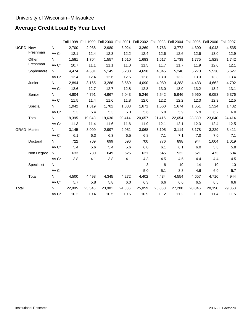# **Average Credit Load By Year Level**

|                 |              |             |        | Fall 1998 Fall 1999 Fall 2000 Fall 2001 Fall 2002 Fall 2003 Fall 2004 Fall 2005 Fall 2006 Fall 2007 |        |        |        |        |        |        |        |        |
|-----------------|--------------|-------------|--------|-----------------------------------------------------------------------------------------------------|--------|--------|--------|--------|--------|--------|--------|--------|
| <b>UGRD New</b> |              | $N$ and $N$ | 2,700  | 2,938                                                                                               | 2,980  | 3,024  | 3,269  | 3,763  | 3,772  | 4,300  | 4,043  | 4,535  |
|                 | Freshman     | Av Cr       | 12.1   | 12.4                                                                                                | 12.3   | 12.2   | 12.4   | 12.6   | 12.6   | 12.6   | 13.0   | 12.9   |
|                 | Other        | N.          | 1,581  | 1,704                                                                                               | 1,557  | 1,610  | 1,683  | 1,617  | 1,739  | 1,775  | 1,828  | 1,742  |
|                 | Freshman     | Av Cr       | 10.7   | 11.1                                                                                                | 11.1   | 11.0   | 11.5   | 11.7   | 11.7   | 11.9   | 12.0   | 12.1   |
|                 | Sophomore    | N           | 4,474  | 4,631                                                                                               | 5,145  | 5,280  | 4,698  | 4,845  | 5,240  | 5,270  | 5,530  | 5,627  |
|                 |              | Av Cr       | 12.4   | 12.4                                                                                                | 12.6   | 12.6   | 12.8   | 13.0   | 13.2   | 13.3   | 13.3   | 13.4   |
|                 | Junior       | N           | 2,894  | 3,165                                                                                               | 3,286  | 3,569  | 4,090  | 4,089  | 4,283  | 4,433  | 4,662  | 4,702  |
|                 |              | Av Cr       | 12.6   | 12.7                                                                                                | 12.7   | 12.8   | 12.8   | 13.0   | 13.0   | 13.2   | 13.2   | 13.1   |
|                 | Senior       | N           | 4,804  | 4,791                                                                                               | 4,967  | 5,043  | 5,246  | 5,542  | 5,946  | 5,960  | 6,053  | 6,376  |
|                 |              | Av Cr       | 11.5   | 11.4                                                                                                | 11.6   | 11.8   | 12.0   | 12.2   | 12.2   | 12.3   | 12.3   | 12.5   |
|                 | Special      | N.          | 1,942  | 1,819                                                                                               | 1,701  | 1,888  | 1,671  | 1,560  | 1,674  | 1,651  | 1,524  | 1,432  |
|                 |              | Av Cr       | 5.3    | 5.4                                                                                                 | 5.3    | 5.3    | 5.6    | 5.9    | 5.9    | 5.9    | 6.2    | 6.0    |
|                 | Total        | N.          | 18,395 | 19,048                                                                                              | 19,636 | 20,414 | 20,657 | 21,416 | 22,654 | 23,389 | 23,640 | 24,414 |
|                 |              | Av Cr       | 11.3   | 11.4                                                                                                | 11.6   | 11.6   | 11.9   | 12.1   | 12.1   | 12.3   | 12.4   | 12.5   |
|                 | GRAD Master  | N           | 3,145  | 3,009                                                                                               | 2,997  | 2,951  | 3,068  | 3,105  | 3,114  | 3,178  | 3,229  | 3,411  |
|                 |              | Av Cr       | 6.1    | 6.3                                                                                                 | 6.3    | 6.5    | 6.8    | 7.1    | 7.1    | 7.0    | 7.0    | 7.1    |
|                 | Doctoral     | N.          | 722    | 709                                                                                                 | 699    | 696    | 700    | 776    | 898    | 944    | 1,004  | 1,019  |
|                 |              | Av Cr       | 5.4    | 5.6                                                                                                 | 5.4    | 5.6    | 6.0    | 6.1    | 6.1    | 6.0    | 5.8    | 5.8    |
|                 | Non Degree N |             | 633    | 780                                                                                                 | 649    | 625    | 631    | 545    | 532    | 521    | 473    | 504    |
|                 |              | Av Cr       | 3.8    | 4.1                                                                                                 | 3.8    | 4.1    | 4.3    | 4.5    | 4.5    | 4.4    | 4.4    | 4.5    |
|                 | Specialist   | N.          |        |                                                                                                     |        |        | 3      | 8      | 10     | 14     | 10     | 10     |
|                 |              | Av Cr       |        |                                                                                                     |        |        | 5.0    | 5.1    | 3.3    | 4.6    | 6.0    | 5.7    |
|                 | Total        | N           | 4,500  | 4,498                                                                                               | 4,345  | 4,272  | 4,402  | 4,434  | 4,554  | 4,657  | 4,716  | 4,944  |
|                 |              | Av Cr       | 5.7    | 5.8                                                                                                 | 5.8    | 6.0    | 6.3    | 6.6    | 6.6    | 6.5    | 6.5    | 6.6    |
| Total           |              | N           | 22,895 | 23,546                                                                                              | 23,981 | 24,686 | 25,059 | 25,850 | 27,208 | 28,046 | 28,356 | 29,358 |
|                 |              | Av Cr       | 10.2   | 10.4                                                                                                | 10.5   | 10.6   | 10.9   | 11.2   | 11.2   | 11.3   | 11.4   | 11.5   |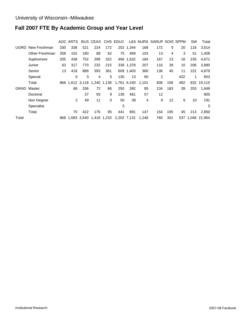# **Fall 2007 FTE By Academic Group and Year Level**

|       |                |     | AOC ARTS |     | <b>BUS CEAS</b>             |          | CHS EDUC    |             |       | L&S NURS SARUP SOIS SPPM |     |     | <b>SW</b> | Total            |
|-------|----------------|-----|----------|-----|-----------------------------|----------|-------------|-------------|-------|--------------------------|-----|-----|-----------|------------------|
| UGRD  | New Freshman   | 330 | 338      | 521 | 224                         | 172      |             | 202 1.344   | 168   | 172                      | 5   | 20  | 118       | 3.614            |
|       | Other Freshman | 258 | 102      | 180 | 88                          | 62       | 75          | 469         | 103   | 13                       | 4   | 3   | 51        | 1.408            |
|       | Sophomore      | 205 | 438      | 752 | 299                         | 322      |             | 406 1,632   | 184   | 167                      | 13  | 16  | 235       | 4,671            |
|       | Junior         | 62  | 317      | 770 | 232                         | 215      |             | 339 1,378   | 207   | 116                      | 39  | 10  | 206       | 3,890            |
|       | Senior         | 13  | 418      | 889 | 393                         | 361      |             | 609 1.403   | 380   | 136                      | 45  | 11  | 222       | 4.879            |
|       | Special        |     | 0        | 5   | 4                           | 5        | 130         | 13          | 60    | $\overline{2}$           |     | 432 | 1         | 653              |
|       | Total          |     |          |     | 868 1,612 3,118 1,240 1,138 |          |             | 1,761 6,240 | 1.101 | 606                      | 106 | 492 |           | 832 19,115       |
| GRAD  | Master         |     | 68       | 336 | 72                          | 86       | 250         | 392         | 85    | 134                      | 183 | 39  | 203       | 1,848            |
|       | Doctoral       |     |          | 37  | 93                          | 9        | 136         | 461         | 57    | 12                       |     |     |           | 805              |
|       | Non Degree     |     | 2        | 49  | 11                          | $\Omega$ | 50          | 38          | 4     | 9                        | 12  | 6   | 10        | 191              |
|       | Specialist     |     |          |     |                             |          | 5           |             |       |                          |     |     |           | 5                |
|       | Total          |     | 70       | 422 | 176                         | 95       | 441         | 891         | 147   | 154                      | 195 | 45  | 213       | 2,850            |
| Total |                | 868 |          |     | 1,683 3,540 1,416 1,233     |          | 2,202 7,131 |             | 1,248 | 760                      | 301 |     |           | 537 1.046 21.964 |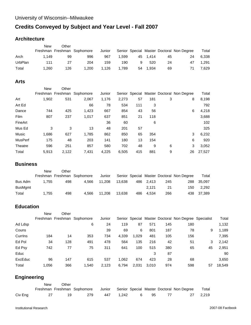# **Credits Conveyed by Subject and Year Level - Fall 2007**

#### **Architecture**

|         | New   | Other |                             |        |       |    |          |    |                                           |       |
|---------|-------|-------|-----------------------------|--------|-------|----|----------|----|-------------------------------------------|-------|
|         |       |       | Freshman Freshman Sophomore | Junior |       |    |          |    | Senior Special Master Doctoral Non Degree | Total |
| Arch    | 1.149 | 99    | 996                         | 967    | 1.599 |    | 45 1.414 | 45 | 24                                        | 6.338 |
| UrbPlan | 111   | 27    | 204                         | 159    | 190   | 9  | 520      | 24 | 47                                        | 1.291 |
| Total   | 1.260 | 126   | .200                        | 1.126  | 1.789 | 54 | 1.934    | 69 | 71                                        | 7.629 |

#### **Arts**

|                | <b>New</b> | Other |                             |        |       |     |     |   |                                           |        |
|----------------|------------|-------|-----------------------------|--------|-------|-----|-----|---|-------------------------------------------|--------|
|                |            |       | Freshman Freshman Sophomore | Junior |       |     |     |   | Senior Special Master Doctoral Non Degree | Total  |
| Art            | 1,902      | 531   | 2,067                       | 1,176  | 2,273 | 57  | 181 | 3 | 8                                         | 8,198  |
| Art Ed         |            |       | 66                          | 78     | 534   | 111 | 3   |   |                                           | 792    |
| Dance          | 744        | 425   | 1,423                       | 667    | 854   | 43  | 56  |   | 6                                         | 4,218  |
| Film           | 807        | 237   | 1,017                       | 637    | 851   | 21  | 118 |   |                                           | 3,688  |
| FineArt        |            |       |                             | 36     | 60    |     | 6   |   |                                           | 102    |
| Mus Ed         | 3          | 3     | 13                          | 48     | 201   | 57  |     |   |                                           | 325    |
| Music          | 1,686      | 627   | 1,785                       | 862    | 850   | 65  | 354 |   | 3                                         | 6,232  |
| <b>MusPerf</b> | 175        | 48    | 203                         | 141    | 180   | 13  | 154 |   | 6                                         | 920    |
| Theatre        | 596        | 251   | 857                         | 580    | 702   | 48  | 9   | 6 | 3                                         | 3,052  |
| Total          | 5.913      | 2.122 | 7.431                       | 4,225  | 6.505 | 415 | 881 | 9 | 26                                        | 27,527 |

#### **Business**

|                | New   | Other |                             |        |        |     |           |     |                                           |            |
|----------------|-------|-------|-----------------------------|--------|--------|-----|-----------|-----|-------------------------------------------|------------|
|                |       |       | Freshman Freshman Sophomore | Junior |        |     |           |     | Senior Special Master Doctoral Non Degree | Total      |
| Bus Adm        | 1.755 | 498   | 4.566                       | 11.208 | 13.638 |     | 486 2.413 | 245 | 288                                       | 35.097     |
| <b>BusMgmt</b> |       |       |                             |        |        |     | 2.121     | 21  | 150                                       | 2.292      |
| Total          | 1.755 | 498   | 4.566                       | 11.208 | 13.638 | 486 | 4.534     | 266 |                                           | 438 37.389 |

### **Education**

|         | <b>New</b> | Other |                             |        |       |       |       |     |                                                      |    |        |
|---------|------------|-------|-----------------------------|--------|-------|-------|-------|-----|------------------------------------------------------|----|--------|
|         |            |       | Freshman Freshman Sophomore | Junior |       |       |       |     | Senior Special Master Doctoral Non Degree Specialist |    | Total  |
| Ad Ldsp |            |       | 6                           | 24     | 119   | 87    | 571   | 145 | 180                                                  |    | 1,132  |
| Couns   |            |       |                             | 39     | 69    | 6     | 801   | 187 | 78                                                   | 9  | 1,189  |
| Currins | 184        | 14    | 353                         | 734    | 4,339 | 1,029 | 481   | 105 | 156                                                  |    | 7,395  |
| Ed Pol  | 34         | 128   | 491                         | 478    | 564   | 135   | 216   | 42  | 51                                                   | 3  | 2,142  |
| Ed Psy  | 742        | 77    | 75                          | 311    | 641   | 100   | 515   | 380 | 65                                                   | 45 | 2,951  |
| Educ    |            |       |                             |        |       |       | 3     | 87  |                                                      |    | 90     |
| ExcEduc | 96         | 147   | 615                         | 537    | 1.062 | 674   | 423   | 28  | 68                                                   |    | 3,650  |
| Total   | 1.056      | 366   | .540                        | 2,123  | 6,794 | 2,031 | 3,010 | 974 | 598                                                  | 57 | 18.549 |

# **Engineering**

|         | <b>New</b> | Other |     |     |       |   |      |                                                                                    |          |
|---------|------------|-------|-----|-----|-------|---|------|------------------------------------------------------------------------------------|----------|
|         |            |       |     |     |       |   |      | Freshman Freshman Sophomore Junior Senior Special Master Doctoral Non Degree Total |          |
| Civ Eng |            | 19    | 279 | 447 | 1.242 | 6 | - 95 |                                                                                    | 27 2.219 |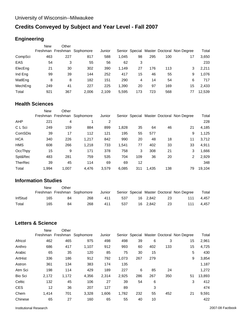# **Credits Conveyed by Subject and Year Level - Fall 2007**

#### **Engineering**

|         | <b>New</b> | Other |                             |        |       |     |     |     |                                           |        |
|---------|------------|-------|-----------------------------|--------|-------|-----|-----|-----|-------------------------------------------|--------|
|         |            |       | Freshman Freshman Sophomore | Junior |       |     |     |     | Senior Special Master Doctoral Non Degree | Total  |
| CompSci | 463        | 227   | 817                         | 588    | 1,045 | 98  | 295 | 100 | 17                                        | 3,650  |
| EAS     | 54         | 3     | 55                          | 56     | 62    | 3   |     |     |                                           | 233    |
| ElecEng | 21         | 30    | 302                         | 390    | 1,149 | 27  | 176 | 113 | 3                                         | 2,211  |
| Ind Eng | 99         | 39    | 144                         | 252    | 417   | 15  | 46  | 55  | 9                                         | 1,076  |
| MatlEng | 8          | 8     | 182                         | 151    | 290   | 4   | 14  | 54  | 6                                         | 717    |
| MechEng | 249        | 41    | 227                         | 225    | 1,390 | 20  | 97  | 169 | 15                                        | 2,433  |
| Total   | 921        | 367   | 2,006                       | 2.109  | 5.595 | 173 | 723 | 568 | 77                                        | 12,539 |

#### **Health Sciences**

|                | <b>New</b> | Other |                             |        |       |     |       |     |                                           |        |
|----------------|------------|-------|-----------------------------|--------|-------|-----|-------|-----|-------------------------------------------|--------|
|                |            |       | Freshman Freshman Sophomore | Junior |       |     |       |     | Senior Special Master Doctoral Non Degree | Total  |
| <b>AHP</b>     | 221        | 4     |                             | 2      |       |     |       |     |                                           | 228    |
| C L Sci        | 249        | 159   | 884                         | 899    | 1,828 | 35  | 64    | 46  | 21                                        | 4,185  |
| ComSDis        | 39         | 17    | 112                         | 121    | 195   | 55  | 577   |     | 9                                         | 1,125  |
| <b>HCA</b>     | 340        | 226   | 1,217                       | 842    | 990   | 20  | 48    | 18  | 11                                        | 3,712  |
| <b>HMS</b>     | 608        | 266   | 1,218                       | 733    | 1,541 | 77  | 402   | 33  | 33                                        | 4,911  |
| OccThpy        | 15         | 9     | 171                         | 378    | 758   | 3   | 308   | 21  | 3                                         | 1,666  |
| Spt&Rec        | 483        | 281   | 759                         | 535    | 704   | 109 | 36    | 20  | 2                                         | 2,929  |
| <b>TherRec</b> | 39         | 45    | 114                         | 69     | 69    | 12  |       |     |                                           | 348    |
| Total          | 1.994      | 1.007 | 4.476                       | 3.579  | 6,085 | 311 | 1.435 | 138 | 79                                        | 19.104 |

#### **Information Studies**

|         | New | Other |                             |        |     |          |    |                                           |       |
|---------|-----|-------|-----------------------------|--------|-----|----------|----|-------------------------------------------|-------|
|         |     |       | Freshman Freshman Sophomore | Junior |     |          |    | Senior Special Master Doctoral Non Degree | Total |
| InfStud | 165 | 84    | 268                         | 411    | 537 | 16 2.842 | 23 | 111                                       | 4.457 |
| Total   | 165 | 84    | 268                         | 411    | 537 | 16 2.842 | 23 | 111                                       | 4.457 |

#### **Letters & Science**

|                | <b>New</b> | Other |                             |        |       |     |     |     |                                           |        |
|----------------|------------|-------|-----------------------------|--------|-------|-----|-----|-----|-------------------------------------------|--------|
|                |            |       | Freshman Freshman Sophomore | Junior |       |     |     |     | Senior Special Master Doctoral Non Degree | Total  |
| Africol        | 462        | 465   | 975                         | 498    | 498   | 39  | 6   | 3   | 15                                        | 2,961  |
| Anthro         | 686        | 417   | 1,107                       | 912    | 993   | 60  | 402 | 133 | 15                                        | 4,725  |
| Arabic         | 65         | 35    | 120                         | 85     | 75    | 30  | 15  |     | 5                                         | 430    |
| ArtHist        | 336        | 186   | 912                         | 792    | 1,073 | 267 | 279 |     | 9                                         | 3,854  |
| Astron         | 361        | 134   | 383                         | 174    | 135   |     |     |     |                                           | 1,187  |
| Atm Sci        | 198        | 114   | 429                         | 189    | 227   | 6   | 85  | 24  |                                           | 1,272  |
| <b>Bio Sci</b> | 2,172      | 1,172 | 4,356                       | 2,314  | 2,925 | 286 | 267 | 350 | 51                                        | 13,893 |
| Celtic         | 132        | 45    | 106                         | 27     | 39    | 54  | 6   |     | 3                                         | 412    |
| <b>CES</b>     | 12         | 36    | 207                         | 127    | 89    |     | 3   |     |                                           | 474    |
| Chem           | 1,414      | 701   | 3,328                       | 1,606  | 1,782 | 232 | 55  | 452 | 21                                        | 9,591  |
| Chinese        | 65         | 27    | 160                         | 65     | 55    | 40  | 10  |     |                                           | 422    |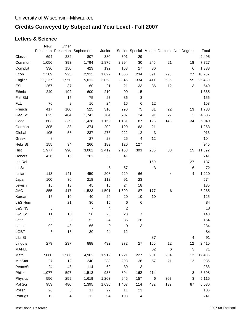# **Credits Conveyed by Subject and Year Level - Fall 2007**

#### **Letters & Science**

|                   | <b>New</b> | Other                   |                             |        |                |                          |       |     |                                           |        |
|-------------------|------------|-------------------------|-----------------------------|--------|----------------|--------------------------|-------|-----|-------------------------------------------|--------|
|                   |            |                         | Freshman Freshman Sophomore | Junior |                |                          |       |     | Senior Special Master Doctoral Non Degree | Total  |
| Classic           | 694        | 284                     | 807                         | 380    | 301            | 29                       |       |     |                                           | 2,495  |
| Commun            | 1,056      | 393                     | 1,794                       | 1,876  | 2,294          | 30                       | 245   | 21  | 18                                        | 7,727  |
| CompLit           | 336        | 150                     | 423                         | 192    | 168            | 27                       | 36    |     | 6                                         | 1,338  |
| Econ              | 2,309      | 923                     | 2,912                       | 1,627  | 1,566          | 234                      | 391   | 298 | 27                                        | 10,287 |
| English           | 11,137     | 1,950                   | 5,012                       | 3,058  | 2,946          | 334                      | 411   | 536 | 55                                        | 25,439 |
| <b>ESL</b>        | 267        | 87                      | 60                          | 21     | 21             | 33                       | 36    | 12  | 3                                         | 540    |
| Ethnic            | 249        | 192                     | 600                         | 210    | 99             | 15                       |       |     |                                           | 1,365  |
| FilmStd           |            | 15                      | 75                          | 27     | 36             | 3                        |       |     |                                           | 156    |
| <b>FLL</b>        | 70         | 9                       | 16                          | 24     | 16             | 6                        | 12    |     |                                           | 153    |
| French            | 417        | 100                     | 525                         | 310    | 290            | 75                       | 31    | 22  | 13                                        | 1,783  |
| Geo Sci           | 825        | 484                     | 1,741                       | 784    | 707            | 24                       | 91    | 27  | 3                                         | 4,686  |
| Geog              | 603        | 339                     | 1,428                       | 1,152  | 1,131          | 87                       | 123   | 143 | 34                                        | 5,040  |
| German            | 305        | 88                      | 374                         | 202    | 190            | 83                       | 21    |     |                                           | 1,263  |
| Global            | 105        | 58                      | 237                         | 276    | 222            | 12                       | 3     |     |                                           | 913    |
| Greek             | 8          |                         | 27                          | 28     | 25             | 4                        | 12    |     |                                           | 104    |
| Hebr St           | 155        | 94                      | 266                         | 183    | 120            | 127                      |       |     |                                           | 945    |
| Hist              | 1,977      | 990                     | 3,061                       | 2,419  | 2,163          | 393                      | 286   | 88  | 15                                        | 11,392 |
| Honors            | 426        | 15                      | 201                         | 58     | 41             |                          |       |     |                                           | 741    |
| Ind Rel           |            |                         |                             |        |                |                          | 160   |     | 27                                        | 187    |
| IntlSt            |            |                         |                             | 6      | 57             |                          | 3     |     | 6                                         | 72     |
| Italian           | 118        | 141                     | 450                         | 208    | 229            | 66                       |       | 4   | 4                                         | 1,220  |
| Japan             | 100        | 30                      | 218                         | 112    | 91             | 23                       |       |     |                                           | 574    |
| Jewish            | 15         | 18                      | 45                          | 15     | 24             | 18                       |       |     |                                           | 135    |
| <b>JMC</b>        | 855        | 417                     | 1,523                       | 1,501  | 1,699          | 87                       | 177   | 6   |                                           | 6,265  |
| Korean            | 15         | 10                      | 40                          | 20     | 20             | 10                       | 10    |     |                                           | 125    |
| L&S Hum           |            | 21                      | 36                          | 15     | $\,6$          | 6                        |       |     |                                           | 84     |
| <b>L&amp;S NS</b> | 5          |                         | $\overline{7}$              | 4      | $\overline{c}$ |                          |       |     |                                           | 18     |
| <b>L&amp;S SS</b> | 11         | 18                      | 50                          | 26     | 28             | $\overline{7}$           |       |     |                                           | 140    |
| Latin             | 9          | 8                       | 52                          | 24     | 35             | 26                       |       |     |                                           | 154    |
| Latino            | 99         | 48                      | 66                          | 9      | 9              | 3                        |       |     |                                           | 234    |
| <b>LGBT</b>       | 3          | 15                      | $30\,$                      | 24     | 12             |                          |       |     |                                           | 84     |
| LibrISt           |            |                         |                             |        |                |                          | 87    |     | 4                                         | 91     |
| Linguis           | 279        | 237                     | 888                         | 432    | 372            | 27                       | 156   | 12  | 12                                        | 2,415  |
| <b>MAFLL</b>      |            |                         |                             |        |                |                          | 62    | 6   | 3                                         | 71     |
| Math              | 7,060      | 1,586                   | 4,902                       | 1,912  | 1,221          | 227                      | 281   | 204 | 12                                        | 17,405 |
| <b>MthStat</b>    | 27         | 12                      | 240                         | 238    | 293            | 36                       | 57    | 21  | 12                                        | 936    |
| PeaceSt           | 24         | 48                      | 114                         | 60     | 39             | 3                        |       |     |                                           | 288    |
| Philos            | 1,077      | 597                     | 1,513                       | 938    | 894            | 162                      | 214   |     | 3                                         | 5,398  |
| Physics           | 556        | 259                     | 1,619                       | 1,263  | 945            | 157                      | $\,6$ | 307 | 3                                         | 5,115  |
| Pol Sci           | 953        | 480                     | 1,395                       | 1,636  | 1,407          | 114                      | 432   | 132 | 87                                        | 6,636  |
| Polish            | 20         | 8                       | 17                          | 27     | 11             | 23                       |       |     |                                           | 106    |
| Portugs           | 19         | $\overline{\mathbf{4}}$ | 12                          | 94     | 108            | $\overline{\mathcal{A}}$ |       |     |                                           | 241    |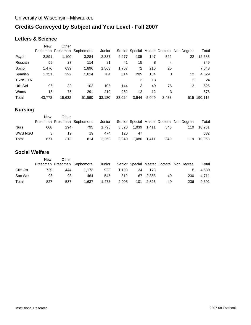# **Credits Conveyed by Subject and Year Level - Fall 2007**

#### **Letters & Science**

|                | <b>New</b> | Other  |                             |        |        |       |       |       |                                           |             |
|----------------|------------|--------|-----------------------------|--------|--------|-------|-------|-------|-------------------------------------------|-------------|
|                |            |        | Freshman Freshman Sophomore | Junior |        |       |       |       | Senior Special Master Doctoral Non Degree | Total       |
| Psych          | 2,891      | 1,100  | 3,284                       | 2,337  | 2,277  | 105   | 147   | 522   | 22                                        | 12,685      |
| Russian        | 59         | 27     | 114                         | 81     | 41     | 15    | 8     | 4     |                                           | 349         |
| Sociol         | 1,476      | 639    | 1,896                       | 1,563  | 1,767  | 72    | 210   | 25    |                                           | 7,648       |
| Spanish        | 1,151      | 292    | 1,014                       | 704    | 814    | 205   | 134   | 3     | 12                                        | 4,329       |
| <b>TRNSLTN</b> |            |        |                             |        |        | 3     | 18    |       | 3                                         | 24          |
| Urb Std        | 96         | 39     | 102                         | 105    | 144    | 3     | 49    | 75    | 12                                        | 625         |
| Wmns           | 18         | 75     | 291                         | 210    | 252    | 12    | 12    | 3     |                                           | 873         |
| Total          | 43.778     | 15,632 | 51,560                      | 33,180 | 33,024 | 3.944 | 5.049 | 3,433 |                                           | 515 190,115 |

# **Nursing**

|             | New | Other |                             |        |       |       |       |     |                                           |        |
|-------------|-----|-------|-----------------------------|--------|-------|-------|-------|-----|-------------------------------------------|--------|
|             |     |       | Freshman Freshman Sophomore | Junior |       |       |       |     | Senior Special Master Doctoral Non Degree | Total  |
| <b>Nurs</b> | 668 | 294   | 795                         | 1.795  | 3.820 | 1.039 | 1.411 | 340 | 119                                       | 10.281 |
| UWS NSG     |     | 19    | 19                          | 474    | 120   | 47    |       |     |                                           | 682    |
| Total       | 671 | 313   | 814                         | 2.269  | 3.940 | 1.086 | 1.411 | 340 | 119                                       | 10,963 |

### **Social Welfare**

|         | New | Other |                             |        |       |     |       |    |                                           |       |
|---------|-----|-------|-----------------------------|--------|-------|-----|-------|----|-------------------------------------------|-------|
|         |     |       | Freshman Freshman Sophomore | Junior |       |     |       |    | Senior Special Master Doctoral Non Degree | Total |
| Crm Jst | 729 | 444   | 1.173                       | 928    | 1.193 | -34 | 173   |    |                                           | 4.680 |
| Soc Wrk | 98  | 93    | 464                         | 545    | 812   | 67  | 2.353 | 49 | 230                                       | 4.711 |
| Total   | 827 | 537   | 1.637                       | 1.473  | 2,005 | 101 | 2.526 | 49 | 236                                       | 9.391 |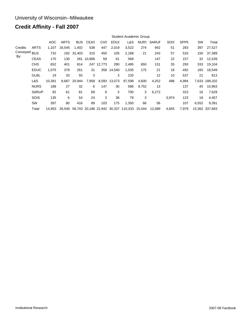# **Credit Affinity - Fall 2007**

|          |              |        | Student Academic Group: |              |             |            |        |                                            |       |                   |             |             |       |                |
|----------|--------------|--------|-------------------------|--------------|-------------|------------|--------|--------------------------------------------|-------|-------------------|-------------|-------------|-------|----------------|
|          |              | AOC    | <b>ARTS</b>             | <b>BUS</b>   | <b>CEAS</b> | <b>CHS</b> | EDU(   | L&S                                        |       | <b>NURS SARUF</b> | <b>SOIS</b> | <b>SPPN</b> | SW    | Total          |
| Credits  | <b>ARTS</b>  | 1.107  | 16.545                  | 1.402        | 538         | 447        | 2,019  | 3,522                                      | 274   | 942               | 51          | 283         | 397   | 27,527         |
| Conveyed | <b>BUS</b>   | 732    |                         | 192 32,403   | 315         | 450        | 105    | 2,188                                      | 21    | 243               | 57          | 533         | 150   | 37,389         |
| By:      | <b>CEAS</b>  | 175    | 130                     |              | 281 10,906  | 59         | 61     | 569                                        |       | 147               | 22          | 157         | 32    | 12,539         |
|          | <b>CHS</b>   | 652    | 401                     | 814          |             | 247 12,773 | 290    | 2,485                                      | 650   | 131               | 35          | 293         | 333   | 19,104         |
|          | <b>EDUC</b>  | 1,075  | 378                     | 261          | 31          | 358        | 14.540 | 1,035                                      | 175   | 21                | 18          | 492         | 165   | 18,549         |
|          | <b>GLBL</b>  | 19     | 33                      | 55           | 3           |            | 3      | 220                                        |       | 12                | 10          | 537         | 21    | 913            |
|          | L&S          | 10,381 |                         | 8,687 20,944 | 7,958       | 8,593      | 13,073 | 97,599                                     | 4,600 | 4,252             | 488         | 4,994       | 7,633 | 189,202        |
|          | <b>NURS</b>  | 188    | 27                      | 32           | 6           | 147        | 30     | 586                                        | 9,752 | 13                |             | 137         | 45    | 10,963         |
|          | <b>SARUP</b> | 92     | 61                      | 81           | 69          | 9          | 3      | 700                                        | 3     | 6,272             |             | 323         | 16    | 7,629          |
|          | <b>SOIS</b>  | 135    | 6                       | 54           | 24          | 3          | 38     | 79                                         | 3     |                   | 3,974       | 123         | 18    | 4,457          |
|          | SW           | 397    | 80                      | 416          | 89          | 103        | 175    | 1,350                                      | 66    | 56                |             | 107         | 6,552 | 9,391          |
|          | Total        | 14.953 | 26.540                  |              |             |            |        | 56,743 20,186 22,942 30,337 110,333 15,544 |       | 12,089            | 4,655       | 7,979       |       | 15.362 337.663 |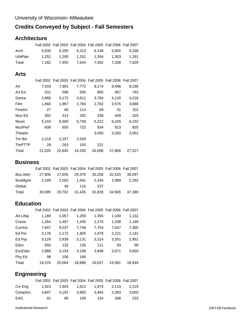# **Credits Conveyed by Subject - Fall Semesters**

# **Architecture**

|         | Fall 2002 Fall 2003 Fall 2004 Fall 2005 Fall 2006 Fall 2007 |       |       |       |
|---------|-------------------------------------------------------------|-------|-------|-------|
| Arch    | 5.930 6.255 6.313 6.138 5.905 6.338                         |       |       |       |
| UrbPlan |                                                             | 1.354 | 1.303 | 1.291 |
| Total   | 7.182 7.455 7.644 7.492 7.208 7.629                         |       |       |       |

#### **Arts**

|                |        |        | Fall 2002 Fall 2003 Fall 2004 Fall 2005 Fall 2006 Fall 2007 |        |        |        |
|----------------|--------|--------|-------------------------------------------------------------|--------|--------|--------|
| Art            | 7,533  | 7,991  | 7,772                                                       | 8,174  | 8,496  | 8,198  |
| Art Ed         | 531    | 596    | 595                                                         | 605    | 667    | 792    |
| Dance          | 2,868  | 3,172  | 3,611                                                       | 3,784  | 4,120  | 4,218  |
| Film           | 1,660  | 1,967  | 2,764                                                       | 2,762  | 3,575  | 3,688  |
| FineArt        | 27     | 66     | 114                                                         | 68     | 31     | 102    |
| Mus Ed         | 302    | 314    | 292                                                         | 338    | 409    | 325    |
| Music          | 5.244  | 5,569  | 5.758                                                       | 6,222  | 6,245  | 6,232  |
| <b>MusPerf</b> | 608    | 650    | 722                                                         | 834    | 913    | 920    |
| Theatre        |        |        |                                                             | 3,000  | 3,350  | 3,052  |
| Thr BA         | 2,218  | 2,257  | 2,509                                                       |        |        |        |
| <b>ThrPTTP</b> | 29     | 263    | 193                                                         | 221    |        |        |
| Total          | 21.020 | 22.845 | 24.330                                                      | 26,008 | 27,806 | 27.527 |

### **Business**

|         |        |       | Fall 2002 Fall 2003 Fall 2004 Fall 2005 Fall 2006 Fall 2007 |       |       |        |
|---------|--------|-------|-------------------------------------------------------------|-------|-------|--------|
| Bus Adm |        |       | 27,906 27,655 29,378 30,258 32,520                          |       |       | 35.097 |
| BusMgmt | 2.189  | 2.002 | 1.941                                                       | 2.334 | 1.989 | 2.292  |
| Global  |        | 45.   | 116                                                         | 237   |       |        |
| Total   | 30.095 |       | 29,702 31,435 32,829 34,509                                 |       |       | 37.389 |

## **Education**

|         |        |        |        | Fall 2002 Fall 2003 Fall 2004 Fall 2005 Fall 2006 Fall 2007 |        |        |
|---------|--------|--------|--------|-------------------------------------------------------------|--------|--------|
| Ad Ldsp | 1,180  | 1,057  | 1,259  | 1,355                                                       | 1,100  | 1,132  |
| Couns   | 1,264  | 1,467  | 1,345  | 1,276                                                       | 1,298  | 1,189  |
| Currins | 7,847  | 9,037  | 7,748  | 7,754                                                       | 7,647  | 7,395  |
| Ed Pol  | 2,176  | 2,172  | 1,905  | 1,979                                                       | 2,221  | 2,142  |
| Ed Psy  | 3,129  | 2,939  | 3,131  | 3,314                                                       | 3,351  | 2,951  |
| Educ    | 693    | 132    | 135    | 111                                                         | 93     | 90     |
| ExcEduc | 2,989  | 3,154  | 3,199  | 3,848                                                       | 3,671  | 3,650  |
| Phy Ed  | 98     | 106    | 166    |                                                             |        |        |
| Total   | 19,376 | 20,064 | 18,888 | 19,637                                                      | 19,381 | 18,549 |

# **Engineering**

|         |       | Fall 2002 Fall 2003 Fall 2004 Fall 2005 Fall 2006 Fall 2007 |       |       |       |       |
|---------|-------|-------------------------------------------------------------|-------|-------|-------|-------|
| Civ Eng | 1.923 | 1.943                                                       | 1.812 | 1.974 | 2.110 | 2.219 |
| CompSci | 4.847 | 4.191                                                       | 3.955 | 3.464 | 3.393 | 3.650 |
| EAS     | 81    | 85                                                          | 109   | 154   | 286   | 233   |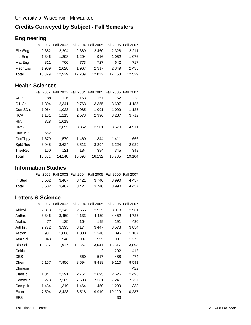### **Credits Conveyed by Subject - Fall Semesters**

# **Engineering**

|         |        |        | Fall 2002 Fall 2003 Fall 2004 Fall 2005 Fall 2006 Fall 2007 |        |        |        |
|---------|--------|--------|-------------------------------------------------------------|--------|--------|--------|
| ElecEng | 2.382  | 2.294  | 2.389                                                       | 2.460  | 2.328  | 2.211  |
| Ind Eng | 1.346  | 1.298  | 1.204                                                       | 916    | 1.052  | 1.076  |
| MatlEng | 811    | 700    | 773                                                         | 727    | 642    | 717    |
| MechEng | 1.989  | 2.028  | 1.967                                                       | 2.317  | 2.349  | 2.433  |
| Total   | 13.379 | 12.539 | 12.209                                                      | 12.012 | 12.160 | 12.539 |

#### **Health Sciences**

|                |        |        | Fall 2002 Fall 2003 Fall 2004 Fall 2005 Fall 2006 Fall 2007 |        |        |        |
|----------------|--------|--------|-------------------------------------------------------------|--------|--------|--------|
| AHP            | 88     | 126    | 163                                                         | 157    | 152    | 228    |
| C L Sci        | 1,804  | 2,341  | 2,763                                                       | 3,355  | 3,697  | 4,185  |
| ComSDis        | 1.064  | 1,023  | 1,085                                                       | 1,091  | 1,099  | 1,125  |
| <b>HCA</b>     | 1.131  | 1,213  | 2,573                                                       | 2,996  | 3,237  | 3,712  |
| <b>HIA</b>     | 828    | 1,018  |                                                             |        |        |        |
| <b>HMS</b>     |        | 3,095  | 3,352                                                       | 3,501  | 3,570  | 4,911  |
| Hum Kin        | 2,662  |        |                                                             |        |        |        |
| OccThpy        | 1,679  | 1.579  | 1,460                                                       | 1.344  | 1.411  | 1,666  |
| Spt&Rec        | 3,945  | 3,624  | 3.513                                                       | 3,294  | 3,224  | 2,929  |
| <b>TherRec</b> | 160    | 121    | 184                                                         | 394    | 345    | 348    |
| Total          | 13.361 | 14,140 | 15,093                                                      | 16,132 | 16.735 | 19,104 |

### **Information Studies**

|         |                   |       | Fall 2002 Fall 2003 Fall 2004 Fall 2005 Fall 2006 Fall 2007 |
|---------|-------------------|-------|-------------------------------------------------------------|
| InfStud |                   |       | 3.502 3.467 3.421 3.740 3.990 4.457                         |
| Total   | 3.502 3.467 3.421 | 3.740 | 3.990 4.457                                                 |

# **Letters & Science**

|                |        |        |        | Fall 2002 Fall 2003 Fall 2004 Fall 2005 Fall 2006 Fall 2007 |        |        |
|----------------|--------|--------|--------|-------------------------------------------------------------|--------|--------|
| Africol        | 2,813  | 2,142  | 2,655  | 2,955                                                       | 3,018  | 2,961  |
| Anthro         | 3,346  | 3,459  | 4,133  | 4,439                                                       | 4,452  | 4,725  |
| Arabic         | 77     | 125    | 164    | 199                                                         | 191    | 430    |
| ArtHist        | 2,772  | 3,395  | 3,174  | 3,447                                                       | 3,578  | 3,854  |
| Astron         | 987    | 1,006  | 1,080  | 1,248                                                       | 1,096  | 1,187  |
| Atm Sci        | 948    | 948    | 987    | 995                                                         | 981    | 1,272  |
| <b>Bio Sci</b> | 10,387 | 11,917 | 12,862 | 13,041                                                      | 13,317 | 13,893 |
| Celtic         |        |        |        | 9                                                           | 292    | 412    |
| <b>CES</b>     |        |        | 560    | 517                                                         | 488    | 474    |
| Chem           | 6,157  | 7,956  | 8,694  | 8,488                                                       | 9,110  | 9,591  |
| Chinese        |        |        |        |                                                             |        | 422    |
| Classic        | 1,847  | 2,291  | 2,754  | 2,695                                                       | 2,626  | 2,495  |
| Commun         | 6,273  | 7,265  | 7,608  | 7,361                                                       | 7,241  | 7,727  |
| CompLit        | 1,434  | 1,319  | 1,464  | 1,450                                                       | 1,299  | 1,338  |
| Econ           | 7,504  | 8,423  | 8,518  | 9,919                                                       | 10,129 | 10,287 |
| EFS            |        |        |        |                                                             | 33     |        |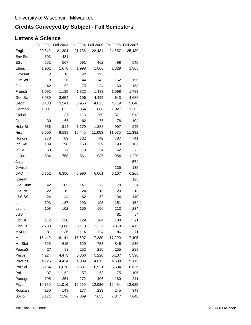# **Credits Conveyed by Subject - Fall Semesters**

### **Letters & Science**

|                   |        | Fall 2002 Fall 2003 Fall 2004 Fall 2005 Fall 2006 Fall 2007 |        |        |        |        |
|-------------------|--------|-------------------------------------------------------------|--------|--------|--------|--------|
| English           | 20,342 | 21,204                                                      | 21,736 | 22,431 | 24,657 | 25,439 |
| Env Std           | 593    | 481                                                         |        |        |        |        |
| <b>ESL</b>        | 552    | 567                                                         | 591    | 462    | 498    | 540    |
| Ethnic            | 1,902  | 1,678                                                       | 1,998  | 1,806  | 1,329  | 1,365  |
| ExMural           | 12     | 18                                                          | 42     | 195    |        |        |
| FilmStd           | 3      | 126                                                         | 44     | 142    | 162    | 156    |
| FLL.              | 42     | 99                                                          | 75     | 84     | 60     | 153    |
| French            | 1,092  | 1,135                                                       | 1,322  | 1,483  | 1,598  | 1,783  |
| Geo Sci           | 3,930  | 3,654                                                       | 4,106  | 4,495  | 4,643  | 4,686  |
| Geog              | 3,133  | 3,541                                                       | 3,956  | 4,823  | 4,419  | 5,040  |
| German            | 1,001  | 823                                                         | 964    | 886    | 1,027  | 1,263  |
| Global            |        | 37                                                          | 116    | 259    | 571    | 913    |
| Greek             | 39     | 65                                                          | 62     | 75     | 78     | 104    |
| Hebr St           | 556    | 914                                                         | 1,179  | 1,328  | 997    | 945    |
| Hist              | 9,600  | 9,589                                                       | 10,445 | 11,053 | 11,075 | 11,392 |
| Honors            | 770    | 769                                                         | 782    | 742    | 787    | 741    |
| Ind Rel           | 189    | 198                                                         | 163    | 139    | 193    | 187    |
| IntlSt            | 59     | 77                                                          | 79     | 94     | 62     | 72     |
| Italian           | 634    | 758                                                         | 861    | 937    | 954    | 1,220  |
| Japan             |        |                                                             |        |        |        | 574    |
| Jewish            |        |                                                             |        |        | 135    | 135    |
| JMC               | 6,362  | 6,350                                                       | 5,990  | 6,001  | 6,107  | 6,265  |
| Korean            |        |                                                             |        |        |        | 125    |
| L&S Hum           | 42     | 105                                                         | 141    | 79     | 79     | 84     |
| <b>L&amp;S NS</b> | 22     | 19                                                          | 24     | 18     | 20     | 18     |
| <b>L&amp;S SS</b> | 24     | 44                                                          | 62     | 52     | 134    | 140    |
| Latin             | 193    | 187                                                         | 193    | 193    | 151    | 154    |
| Latino            | 108    | 102                                                         | 150    | 156    | 213    | 234    |
| LGBT              |        |                                                             |        |        | 81     | 84     |
| LibrISt           | 112    | 120                                                         | 129    | 104    | 100    | 91     |
| Linguis           | 2,733  | 2,886                                                       | 3,118  | 3,327  | 3,378  | 2,415  |
| MAFLL             | 81     | 136                                                         | 114    | 124    | 86     | 71     |
| Math              | 15,449 | 16,141                                                      | 16,607 | 17,230 | 17,299 | 17,405 |
| <b>MthStat</b>    | 525    | 615                                                         | 629    | 753    | 846    | 936    |
| PeaceSt           | 27     | 93                                                          | 252    | 285    | 255    | 288    |
| Philos            | 4,224  | 4,473                                                       | 5,366  | 5,220  | 5,137  | 5,398  |
| Physics           | 4,125  | 4,434                                                       | 4,839  | 4,815  | 4,630  | 5,115  |
| Pol Sci           | 5,154  | 6,078                                                       | 6,681  | 6,921  | 6,594  | 6,636  |
| Polish            | 37     | 52                                                          | 57     | 63     | 75     | 106    |
| Portugs           | 195    | 261                                                         | 272    | 406    | 180    | 241    |
| Psych             | 10,780 | 11,016                                                      | 12,259 | 12,086 | 12,454 | 12,685 |
| Russian           | 130    | 149                                                         | 177    | 233    | 245    | 349    |
| Sociol            | 6,171  | 7,196                                                       | 7,869  | 7,635  | 7,847  | 7,648  |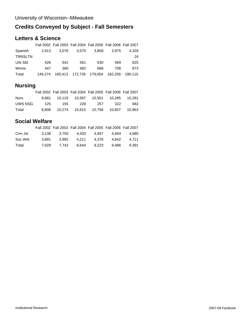# **Credits Conveyed by Subject - Fall Semesters**

### **Letters & Science**

|                |         |         | Fall 2002 Fall 2003 Fall 2004 Fall 2005 Fall 2006 Fall 2007 |       |         |         |
|----------------|---------|---------|-------------------------------------------------------------|-------|---------|---------|
| Spanish        | 2.913   | 3.076   | 3.570                                                       | 3.858 | 3.975   | 4.329   |
| <b>TRNSLTN</b> |         |         |                                                             |       |         | 24      |
| Urb Std        | 426     | 541     | 561                                                         | 630   | 569     | 625     |
| Wmns           | 447     | 360     | 492                                                         | 668   | 708     | 873     |
| Total          | 149.274 | 160.413 | 172,726 179.054                                             |       | 182.259 | 190.115 |

# **Nursing**

|             |       | Fall 2002 Fall 2003 Fall 2004 Fall 2005 Fall 2006 Fall 2007 |     |     |     |        |
|-------------|-------|-------------------------------------------------------------|-----|-----|-----|--------|
| <b>Nurs</b> | 8.681 |                                                             |     |     |     | 10.281 |
| UWS NSG     | 125   | 155                                                         | 228 | 257 | 322 | 682    |
| Total       | 8.806 |                                                             |     |     |     | 10.963 |

# **Social Welfare**

|         |       | Fall 2002 Fall 2003 Fall 2004 Fall 2005 Fall 2006 Fall 2007 |       |       |       |       |
|---------|-------|-------------------------------------------------------------|-------|-------|-------|-------|
| Crm Jst |       | 3.138 3.750 4.433 4.847                                     |       |       | 4,844 | 4.680 |
| Soc Wrk | 3.891 | 3.992                                                       | 4.211 | 4.376 | 4.642 | 4.711 |
| Total   | 7.029 | 7.742                                                       | 8.644 | 9.223 | 9.486 | 9.391 |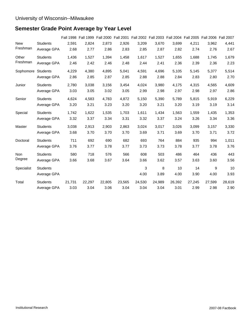# **Semester Grade Point Average by Year Level**

|                    |                 | <b>Fall 1998</b> | Fall 1999 Fall 2000 Fall 2001 Fall 2002 Fall 2003 Fall 2004 Fall 2005 Fall 2006 Fall 2007 |        |        |        |        |        |        |        |        |
|--------------------|-----------------|------------------|-------------------------------------------------------------------------------------------|--------|--------|--------|--------|--------|--------|--------|--------|
| <b>New</b>         | <b>Students</b> | 2,591            | 2,824                                                                                     | 2,873  | 2,926  | 3,209  | 3,670  | 3,699  | 4,211  | 3,962  | 4,441  |
| Freshman           | Average GPA     | 2.68             | 2.77                                                                                      | 2.86   | 2.83   | 2.85   | 2.87   | 2.82   | 2.74   | 2.76   | 2.67   |
| Other              | <b>Students</b> | 1,436            | 1,527                                                                                     | 1,394  | 1,458  | 1,617  | 1,527  | 1,655  | 1,688  | 1,745  | 1,679  |
| Freshman           | Average GPA     | 2.46             | 2.42                                                                                      | 2.46   | 2.48   | 2.44   | 2.41   | 2.36   | 2.39   | 2.36   | 2.23   |
| Sophomore Students |                 | 4,229            | 4.380                                                                                     | 4.895  | 5,041  | 4,591  | 4,696  | 5,105  | 5,145  | 5,377  | 5,514  |
|                    | Average GPA     | 2.86             | 2.85                                                                                      | 2.87   | 2.85   | 2.88   | 2.88   | 2.84   | 2.83   | 2.80   | 2.70   |
| Junior             | <b>Students</b> | 2,780            | 3,038                                                                                     | 3,156  | 3,454  | 4,024  | 3,980  | 4,175  | 4,315  | 4,565  | 4,609  |
|                    | Average GPA     | 3.03             | 3.05                                                                                      | 3.02   | 3.05   | 2.99   | 2.98   | 2.97   | 2.98   | 2.97   | 2.86   |
| Senior             | <b>Students</b> | 4,624            | 4,583                                                                                     | 4,783  | 4,872  | 5,150  | 5,390  | 5,789  | 5,815  | 5,919  | 6,229  |
|                    | Average GPA     | 3.20             | 3.21                                                                                      | 3.23   | 3.20   | 3.20   | 3.21   | 3.20   | 3.19   | 3.19   | 3.14   |
| Special            | <b>Students</b> | 1,742            | 1,622                                                                                     | 1,535  | 1,703  | 1,611  | 1,434  | 1,563  | 1,559  | 1,435  | 1,353  |
|                    | Average GPA     | 3.32             | 3.37                                                                                      | 3.34   | 3.31   | 3.32   | 3.37   | 3.24   | 3.26   | 3.34   | 3.36   |
| Master             | <b>Students</b> | 3,038            | 2,913                                                                                     | 2,903  | 2,863  | 3,024  | 3,017  | 3,026  | 3,099  | 3,157  | 3,330  |
|                    | Average GPA     | 3.68             | 3.70                                                                                      | 3.70   | 3.70   | 3.69   | 3.71   | 3.69   | 3.70   | 3.71   | 3.72   |
| Doctoral           | <b>Students</b> | 711              | 692                                                                                       | 690    | 682    | 693    | 764    | 884    | 935    | 994    | 1,011  |
|                    | Average GPA     | 3.76             | 3.77                                                                                      | 3.78   | 3.77   | 3.73   | 3.73   | 3.78   | 3.77   | 3.78   | 3.76   |
| Non                | <b>Students</b> | 580              | 718                                                                                       | 576    | 566    | 608    | 503    | 486    | 464    | 436    | 443    |
| Degree             | Average GPA     | 3.66             | 3.68                                                                                      | 3.67   | 3.64   | 3.66   | 3.62   | 3.57   | 3.63   | 3.60   | 3.56   |
| Specialist         | <b>Students</b> |                  |                                                                                           |        |        | 3      | 8      | 10     | 14     | 9      | 10     |
|                    | Average GPA     |                  |                                                                                           |        |        | 4.00   | 3.89   | 4.00   | 3.90   | 4.00   | 3.93   |
| Total              | <b>Students</b> | 21,731           | 22,297                                                                                    | 22,805 | 23,565 | 24,530 | 24,989 | 26,392 | 27,245 | 27,599 | 28,619 |
|                    | Average GPA     | 3.03             | 3.04                                                                                      | 3.06   | 3.04   | 3.04   | 3.04   | 3.01   | 2.99   | 2.98   | 2.90   |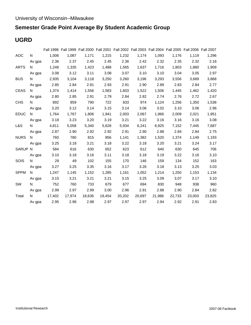# **Semester Grade Point Average By Student Academic Group**

# **UGRD**

|             |                                                                                                                                                                                                                                |             |        | Fall 1998 Fall 1999 Fall 2000 Fall 2001 Fall 2002 Fall 2003 Fall 2004 Fall 2005 Fall 2006 Fall 2007 |        |        |        |        |        |        |        |
|-------------|--------------------------------------------------------------------------------------------------------------------------------------------------------------------------------------------------------------------------------|-------------|--------|-----------------------------------------------------------------------------------------------------|--------|--------|--------|--------|--------|--------|--------|
| <b>AOC</b>  | N                                                                                                                                                                                                                              | 1,006       | 1,087  | 1,171                                                                                               | 1,215  | 1,232  | 1,174  | 1,093  | 1,176  | 1.119  | 1,296  |
|             |                                                                                                                                                                                                                                | Av gpa 2.36 | 2.37   | 2.45                                                                                                | 2.45   | 2.36   | 2.42   | 2.32   | 2.35   | 2.32   | 2.16   |
| <b>ARTS</b> | N                                                                                                                                                                                                                              | 1,248       | 1,335  | 1,423                                                                                               | 1,488  | 1,565  | 1,637  | 1,716  | 1,803  | 1,880  | 1,909  |
|             | Av gpa                                                                                                                                                                                                                         | 3.08        | 3.12   | 3.11                                                                                                | 3.08   | 3.07   | 3.10   | 3.10   | 3.04   | 3.05   | 2.97   |
| <b>BUS</b>  | N and the set of the set of the set of the set of the set of the set of the set of the set of the set of the set of the set of the set of the set of the set of the set of the set of the set of the set of the set of the set | 2,935       | 3,104  | 3,118                                                                                               | 3,250  | 3,260  | 3,196  | 3,293  | 3,556  | 3,689  | 3,868  |
|             | Av gpa                                                                                                                                                                                                                         | 2.85        | 2.84   | 2.91                                                                                                | 2.93   | 2.91   | 2.90   | 2.89   | 2.83   | 2.84   | 2.77   |
| CEAS        | N.                                                                                                                                                                                                                             | 1,374       | 1,414  | 1,556                                                                                               | 1,583  | 1,603  | 1,522  | 1,506  | 1,445  | 1,462  | 1,420  |
|             | Av gpa                                                                                                                                                                                                                         | 2.80        | 2.85   | 2.91                                                                                                | 2.79   | 2.84   | 2.82   | 2.74   | 2.76   | 2.72   | 2.67   |
| <b>CHS</b>  | N.                                                                                                                                                                                                                             | 892         | 859    | 790                                                                                                 | 722    | 833    | 974    | 1,124  | 1,256  | 1,350  | 1,538  |
|             | Av gpa                                                                                                                                                                                                                         | 3.20        | 3.12   | 3.14                                                                                                | 3.15   | 3.14   | 3.06   | 3.02   | 3.10   | 3.06   | 2.96   |
| <b>EDUC</b> | $N$ and $N$                                                                                                                                                                                                                    | 1,764       | 1,767  | 1,806                                                                                               | 1,941  | 2,003  | 2,067  | 1,966  | 2,009  | 2,021  | 1,951  |
|             | Av gpa                                                                                                                                                                                                                         | 3.18        | 3.23   | 3.20                                                                                                | 3.19   | 3.21   | 3.22   | 3.16   | 3.16   | 3.16   | 3.08   |
| L&S         | N.                                                                                                                                                                                                                             | 4,811       | 5,058  | 5,340                                                                                               | 5,628  | 5,934  | 6,241  | 6,925  | 7,152  | 7,445  | 7,687  |
|             | Av gpa                                                                                                                                                                                                                         | 2.87        | 2.90   | 2.92                                                                                                | 2.92   | 2.91   | 2.90   | 2.88   | 2.84   | 2.84   | 2.75   |
| <b>NURS</b> | $N$ and $N$                                                                                                                                                                                                                    | 760         | 780    | 815                                                                                                 | 856    | 1,141  | 1,382  | 1,520  | 1,374  | 1,149  | 1,193  |
|             | Av gpa                                                                                                                                                                                                                         | 3.25        | 3.18   | 3.21                                                                                                | 3.18   | 3.22   | 3.18   | 3.20   | 3.21   | 3.24   | 3.17   |
| SARUP N     |                                                                                                                                                                                                                                | 584         | 616    | 630                                                                                                 | 652    | 623    | 612    | 640    | 630    | 645    | 706    |
|             | Av gpa                                                                                                                                                                                                                         | 3.10        | 3.18   | 3.16                                                                                                | 3.11   | 3.18   | 3.18   | 3.19   | 3.22   | 3.16   | 3.10   |
| <b>SOIS</b> | N                                                                                                                                                                                                                              | 29          | 49     | 102                                                                                                 | 155    | 170    | 146    | 159    | 134    | 152    | 163    |
|             | Av gpa                                                                                                                                                                                                                         | 3.27        | 3.25   | 3.35                                                                                                | 3.16   | 3.17   | 3.26   | 3.18   | 3.13   | 3.25   | 3.03   |
| <b>SPPM</b> | $N$ and $N$                                                                                                                                                                                                                    | 1,247       | 1,145  | 1,152                                                                                               | 1,285  | 1,161  | 1,052  | 1,214  | 1,250  | 1,153  | 1,134  |
|             | Av gpa                                                                                                                                                                                                                         | 3.15        | 3.21   | 3.21                                                                                                | 3.21   | 3.15   | 3.25   | 3.09   | 3.07   | 3.17   | 3.10   |
| SW          | N.                                                                                                                                                                                                                             | 752         | 760    | 733                                                                                                 | 679    | 677    | 694    | 830    | 948    | 938    | 960    |
|             | Av gpa                                                                                                                                                                                                                         | 2.99        | 2.97   | 2.99                                                                                                | 3.00   | 2.96   | 2.91   | 2.88   | 2.90   | 2.84   | 2.82   |
| Total       | N                                                                                                                                                                                                                              | 17,402      | 17,974 | 18,636                                                                                              | 19,454 | 20,202 | 20,697 | 21,986 | 22,733 | 23,003 | 23,825 |
|             | Av gpa                                                                                                                                                                                                                         | 2.95        | 2.96   | 2.98                                                                                                | 2.97   | 2.97   | 2.97   | 2.94   | 2.92   | 2.91   | 2.83   |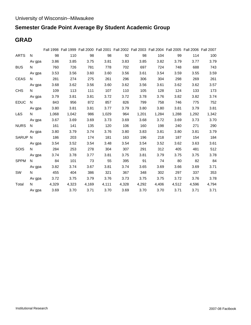# **Semester Grade Point Average By Student Academic Group**

# **GRAD**

|             |        |       |       |       | Fall 1998 Fall 1999 Fall 2000 Fall 2001 Fall 2002 Fall 2003 Fall 2004 Fall 2005 Fall 2006 Fall 2007 |       |       |       |       |       |       |
|-------------|--------|-------|-------|-------|-----------------------------------------------------------------------------------------------------|-------|-------|-------|-------|-------|-------|
| <b>ARTS</b> | N      | 98    | 110   | 98    | 98                                                                                                  | 92    | 98    | 104   | 99    | 114   | 100   |
|             | Av gpa | 3.86  | 3.85  | 3.75  | 3.81                                                                                                | 3.83  | 3.85  | 3.82  | 3.79  | 3.77  | 3.79  |
| <b>BUS</b>  | N      | 760   | 726   | 781   | 778                                                                                                 | 702   | 697   | 724   | 748   | 688   | 743   |
|             | Av gpa | 3.53  | 3.56  | 3.60  | 3.60                                                                                                | 3.56  | 3.61  | 3.54  | 3.59  | 3.55  | 3.59  |
| <b>CEAS</b> | N.     | 281   | 274   | 275   | 261                                                                                                 | 296   | 306   | 304   | 298   | 269   | 261   |
|             | Av gpa | 3.68  | 3.62  | 3.56  | 3.60                                                                                                | 3.62  | 3.56  | 3.61  | 3.62  | 3.62  | 3.57  |
| <b>CHS</b>  | N      | 109   | 113   | 111   | 107                                                                                                 | 110   | 105   | 128   | 124   | 133   | 173   |
|             | Av gpa | 3.79  | 3.81  | 3.81  | 3.72                                                                                                | 3.72  | 3.78  | 3.76  | 3.82  | 3.82  | 3.74  |
| <b>EDUC</b> | N      | 843   | 956   | 872   | 857                                                                                                 | 826   | 799   | 758   | 746   | 775   | 752   |
|             | Av gpa | 3.80  | 3.81  | 3.81  | 3.77                                                                                                | 3.79  | 3.80  | 3.80  | 3.81  | 3.79  | 3.81  |
| L&S         | N.     | 1,068 | 1,042 | 986   | 1,029                                                                                               | 964   | 1,201 | 1,284 | 1,288 | 1,292 | 1,342 |
|             | Av gpa | 3.67  | 3.69  | 3.69  | 3.73                                                                                                | 3.69  | 3.68  | 3.72  | 3.69  | 3.73  | 3.70  |
| <b>NURS</b> | N.     | 161   | 141   | 135   | 120                                                                                                 | 106   | 160   | 198   | 240   | 271   | 290   |
|             | Av gpa | 3.80  | 3.79  | 3.74  | 3.76                                                                                                | 3.80  | 3.83  | 3.81  | 3.80  | 3.81  | 3.79  |
| SARUP N     |        | 186   | 203   | 174   | 181                                                                                                 | 163   | 196   | 218   | 187   | 154   | 184   |
|             | Av gpa | 3.54  | 3.52  | 3.54  | 3.48                                                                                                | 3.54  | 3.54  | 3.52  | 3.62  | 3.63  | 3.61  |
| SOIS        | N      | 284   | 253   | 278   | 304                                                                                                 | 307   | 291   | 312   | 405   | 481   | 512   |
|             | Av gpa | 3.74  | 3.78  | 3.77  | 3.81                                                                                                | 3.75  | 3.81  | 3.79  | 3.75  | 3.75  | 3.78  |
| <b>SPPM</b> | N.     | 84    | 101   | 73    | 55                                                                                                  | 395   | 91    | 74    | 80    | 82    | 84    |
|             | Av gpa | 3.82  | 3.74  | 3.67  | 3.81                                                                                                | 3.74  | 3.65  | 3.69  | 3.66  | 3.69  | 3.71  |
| <b>SW</b>   | N      | 455   | 404   | 386   | 321                                                                                                 | 367   | 348   | 302   | 297   | 337   | 353   |
|             | Av gpa | 3.72  | 3.75  | 3.79  | 3.76                                                                                                | 3.73  | 3.75  | 3.75  | 3.72  | 3.76  | 3.78  |
| Total       | N.     | 4,329 | 4,323 | 4,169 | 4,111                                                                                               | 4,328 | 4,292 | 4,406 | 4,512 | 4,596 | 4,794 |
|             | Av gpa | 3.69  | 3.70  | 3.71  | 3.70                                                                                                | 3.69  | 3.70  | 3.70  | 3.71  | 3.71  | 3.71  |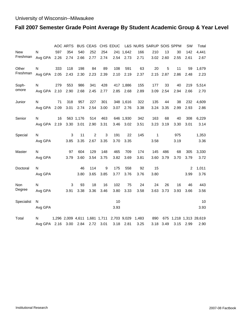# **Fall 2007 Semester Grade Point Average By Student Academic Group & Year Level**

|            |                   |      | <b>AOC ARTS</b> |           | <b>BUS CEAS</b>               |      | CHS EDUC    |           |       | L&S NURS SARUP SOIS SPPM |           |      | <b>SW</b>      | Total                  |
|------------|-------------------|------|-----------------|-----------|-------------------------------|------|-------------|-----------|-------|--------------------------|-----------|------|----------------|------------------------|
| <b>New</b> | N                 | 597  | 354             | 540       | 252                           | 254  |             | 241 1,642 | 166   | 210                      | 13        | 30   | 142            | 4,441                  |
| Freshman   | Avg GPA           | 2.26 | 2.74            | 2.66      | 2.77                          | 2.74 | 2.54        | 2.73      | 2.71  |                          | 3.02 2.60 | 2.55 | 2.61           | 2.67                   |
| Other      | N                 | 333  | 118             | 198       | 84                            | 89   | 108         | 591       | 63    | 20                       | 5         | 11   | 59             | 1,679                  |
| Freshman   | Avg GPA           | 2.05 | 2.43            | 2.30      | 2.23                          | 2.39 | 2.10        | 2.19      | 2.37  | 2.15                     | 2.87      | 2.86 | 2.48           | 2.23                   |
| Soph-      | N                 | 279  | 553             | 986       | 341                           | 428  |             | 417 1,886 | 155   | 177                      | 33        | 40   | 219            | 5,514                  |
| omore      | Avg GPA           | 2.10 | 2.90            | 2.68      | 2.45                          | 2.77 | 2.85        | 2.68      | 2.89  |                          | 3.09 2.54 | 2.94 | 2.66           | 2.70                   |
| Junior     | N                 | 71   | 318             | 957       | 227                           | 301  |             | 348 1,616 | 322   | 135                      | 44        | 38   | 232            | 4,609                  |
|            | Avg GPA           | 2.09 | 3.01            | 2.74      | 2.54                          | 3.00 | 3.07        | 2.76      | 3.38  | 3.24                     | 3.35      | 2.99 | 2.93           | 2.86                   |
| Senior     | N                 | 16   |                 | 563 1,176 | 514                           | 463  |             | 646 1,930 | 342   | 163                      | 68        | 40   | 308            | 6,229                  |
|            | Avg GPA           | 2.19 | 3.30            | 3.01      | 2.90                          | 3.31 | 3.46        | 3.02      | 3.51  | 3.23                     | 3.19      | 3.30 | 3.01           | 3.14                   |
| Special    | N                 |      | 3               | 11        | $\overline{2}$                | 3    | 191         | 22        | 145   | 1                        |           | 975  |                | 1,353                  |
|            | Avg GPA           |      | 3.85            | 3.35      | 2.67                          | 3.35 | 3.70        | 3.35      |       | 3.58                     |           | 3.19 |                | 3.36                   |
| Master     | N                 |      | 97              | 604       | 129                           | 148  | 465         | 709       | 174   | 145                      | 486       | 68   | 305            | 3,330                  |
|            | Avg GPA           |      | 3.79            | 3.60      | 3.54                          | 3.75 | 3.82        | 3.69      | 3.81  | 3.60                     | 3.79      | 3.70 | 3.79           | 3.72                   |
| Doctoral   | N                 |      |                 | 46        | 114                           | 9    | 175         | 558       | 92    | 15                       |           |      | $\overline{2}$ | 1,011                  |
|            | Avg GPA           |      |                 | 3.80      | 3.65                          | 3.85 | 3.77        | 3.76      | 3.76  | 3.80                     |           |      | 3.99           | 3.76                   |
| Non        | N                 |      | $\mathbf{3}$    | 93        | 18                            | 16   | 102         | 75        | 24    | 24                       | 26        | 16   | 46             | 443                    |
| Degree     | Avg GPA           |      | 3.91            | 3.38      | 3.36                          | 3.46 | 3.80        | 3.33      | 3.58  | 3.63                     | 3.73      | 3.93 | 3.66           | 3.56                   |
| Specialist | N                 |      |                 |           |                               |      | 10          |           |       |                          |           |      |                | 10                     |
|            | Avg GPA           |      |                 |           |                               |      | 3.93        |           |       |                          |           |      |                | 3.93                   |
| Total      | N                 |      |                 |           | 1,296 2,009 4,611 1,681 1,711 |      | 2,703 9,029 |           | 1,483 | 890                      |           |      |                | 675 1,218 1,313 28,619 |
|            | Avg GPA 2.16 3.00 |      |                 | 2.84      | 2.72                          | 3.01 | 3.18        | 2.81      | 3.25  | 3.18                     | 3.49      | 3.15 | 2.99           | 2.90                   |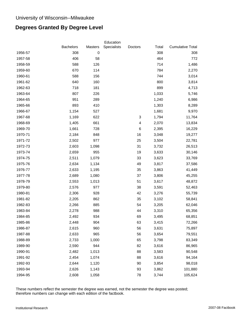# **Degrees Granted By Degree Level**

| 308<br>$\pmb{0}$<br>308<br>1956-57<br>308<br>406<br>58<br>464<br>772<br>1957-58<br>588<br>126<br>714<br>1,486<br>1958-59<br>670<br>114<br>784<br>1959-60<br>2,270<br>1960-61<br>588<br>744<br>3,014<br>156<br>1961-62<br>640<br>160<br>800<br>3,814<br>718<br>181<br>899<br>1962-63<br>4,713<br>1963-64<br>807<br>226<br>1,033<br>5,746<br>951<br>289<br>1,240<br>1964-65<br>6,986<br>1965-66<br>893<br>410<br>1,303<br>8,289<br>1966-67<br>1,154<br>527<br>1,681<br>9,970<br>3<br>622<br>11,764<br>1967-68<br>1,169<br>1,794<br>1,405<br>661<br>4<br>2,070<br>13,834<br>1968-69<br>1969-70<br>1,661<br>728<br>6<br>16,229<br>2,395<br>16<br>1970-71<br>2,184<br>848<br>3,048<br>19,277<br>1971-72<br>2,502<br>977<br>25<br>3,504<br>22,781<br>2,603<br>1,098<br>31<br>1972-73<br>3,732<br>26,513<br>1973-74<br>2,659<br>955<br>19<br>3,633<br>30,146<br>1,079<br>33<br>1974-75<br>2,511<br>3,623<br>33,769<br>49<br>1975-76<br>2,634<br>1,134<br>3,817<br>37,586<br>1976-77<br>2,633<br>1,195<br>35<br>3,863<br>41,449<br>2,689<br>1,080<br>37<br>3,806<br>1977-78<br>45,255<br>51<br>1978-79<br>2,553<br>1,013<br>3,617<br>48,872<br>1979-80<br>2,576<br>977<br>38<br>3,591<br>52,463<br>42<br>1980-81<br>2,306<br>928<br>3,276<br>55,739<br>1981-82<br>2,205<br>862<br>35<br>3,102<br>58,841<br>885<br>54<br>1982-83<br>2,266<br>3,205<br>62,046<br>988<br>44<br>1983-84<br>2,278<br>3,310<br>65,356<br>934<br>1984-85<br>2,492<br>69<br>3,495<br>68,851<br>1985-86<br>904<br>63<br>2,448<br>3,415<br>72,266<br>2,615<br>75,897<br>1986-87<br>960<br>56<br>3,631<br>965<br>1987-88<br>2,633<br>56<br>3,654<br>79,551<br>2,733<br>1,000<br>65<br>83,349<br>1988-89<br>3,798<br>1989-90<br>2,590<br>944<br>82<br>3,616<br>86,965<br>1990-91<br>1,013<br>88<br>90,548<br>2,482<br>3,583<br>2,454<br>88<br>1991-92<br>1,074<br>3,616<br>94,164<br>2,644<br>90<br>98,018<br>1992-93<br>1,120<br>3,854<br>1993-94<br>2,626<br>1,143<br>93<br>101,880<br>3,862<br>1994-95<br>2,608<br>1,058<br>78<br>3,744<br>105,624 |                  |                | Education   |         |       |                         |
|-------------------------------------------------------------------------------------------------------------------------------------------------------------------------------------------------------------------------------------------------------------------------------------------------------------------------------------------------------------------------------------------------------------------------------------------------------------------------------------------------------------------------------------------------------------------------------------------------------------------------------------------------------------------------------------------------------------------------------------------------------------------------------------------------------------------------------------------------------------------------------------------------------------------------------------------------------------------------------------------------------------------------------------------------------------------------------------------------------------------------------------------------------------------------------------------------------------------------------------------------------------------------------------------------------------------------------------------------------------------------------------------------------------------------------------------------------------------------------------------------------------------------------------------------------------------------------------------------------------------------------------------------------------------------------------------------------------------------------------------------------------------------------------------------------------------------------------------------------------------------------------------------------------------------------------------------------------------------------------------------------------------|------------------|----------------|-------------|---------|-------|-------------------------|
|                                                                                                                                                                                                                                                                                                                                                                                                                                                                                                                                                                                                                                                                                                                                                                                                                                                                                                                                                                                                                                                                                                                                                                                                                                                                                                                                                                                                                                                                                                                                                                                                                                                                                                                                                                                                                                                                                                                                                                                                                   | <b>Bachelors</b> | <b>Masters</b> | Specialists | Doctors | Total | <b>Cumulative Total</b> |
|                                                                                                                                                                                                                                                                                                                                                                                                                                                                                                                                                                                                                                                                                                                                                                                                                                                                                                                                                                                                                                                                                                                                                                                                                                                                                                                                                                                                                                                                                                                                                                                                                                                                                                                                                                                                                                                                                                                                                                                                                   |                  |                |             |         |       |                         |
|                                                                                                                                                                                                                                                                                                                                                                                                                                                                                                                                                                                                                                                                                                                                                                                                                                                                                                                                                                                                                                                                                                                                                                                                                                                                                                                                                                                                                                                                                                                                                                                                                                                                                                                                                                                                                                                                                                                                                                                                                   |                  |                |             |         |       |                         |
|                                                                                                                                                                                                                                                                                                                                                                                                                                                                                                                                                                                                                                                                                                                                                                                                                                                                                                                                                                                                                                                                                                                                                                                                                                                                                                                                                                                                                                                                                                                                                                                                                                                                                                                                                                                                                                                                                                                                                                                                                   |                  |                |             |         |       |                         |
|                                                                                                                                                                                                                                                                                                                                                                                                                                                                                                                                                                                                                                                                                                                                                                                                                                                                                                                                                                                                                                                                                                                                                                                                                                                                                                                                                                                                                                                                                                                                                                                                                                                                                                                                                                                                                                                                                                                                                                                                                   |                  |                |             |         |       |                         |
|                                                                                                                                                                                                                                                                                                                                                                                                                                                                                                                                                                                                                                                                                                                                                                                                                                                                                                                                                                                                                                                                                                                                                                                                                                                                                                                                                                                                                                                                                                                                                                                                                                                                                                                                                                                                                                                                                                                                                                                                                   |                  |                |             |         |       |                         |
|                                                                                                                                                                                                                                                                                                                                                                                                                                                                                                                                                                                                                                                                                                                                                                                                                                                                                                                                                                                                                                                                                                                                                                                                                                                                                                                                                                                                                                                                                                                                                                                                                                                                                                                                                                                                                                                                                                                                                                                                                   |                  |                |             |         |       |                         |
|                                                                                                                                                                                                                                                                                                                                                                                                                                                                                                                                                                                                                                                                                                                                                                                                                                                                                                                                                                                                                                                                                                                                                                                                                                                                                                                                                                                                                                                                                                                                                                                                                                                                                                                                                                                                                                                                                                                                                                                                                   |                  |                |             |         |       |                         |
|                                                                                                                                                                                                                                                                                                                                                                                                                                                                                                                                                                                                                                                                                                                                                                                                                                                                                                                                                                                                                                                                                                                                                                                                                                                                                                                                                                                                                                                                                                                                                                                                                                                                                                                                                                                                                                                                                                                                                                                                                   |                  |                |             |         |       |                         |
|                                                                                                                                                                                                                                                                                                                                                                                                                                                                                                                                                                                                                                                                                                                                                                                                                                                                                                                                                                                                                                                                                                                                                                                                                                                                                                                                                                                                                                                                                                                                                                                                                                                                                                                                                                                                                                                                                                                                                                                                                   |                  |                |             |         |       |                         |
|                                                                                                                                                                                                                                                                                                                                                                                                                                                                                                                                                                                                                                                                                                                                                                                                                                                                                                                                                                                                                                                                                                                                                                                                                                                                                                                                                                                                                                                                                                                                                                                                                                                                                                                                                                                                                                                                                                                                                                                                                   |                  |                |             |         |       |                         |
|                                                                                                                                                                                                                                                                                                                                                                                                                                                                                                                                                                                                                                                                                                                                                                                                                                                                                                                                                                                                                                                                                                                                                                                                                                                                                                                                                                                                                                                                                                                                                                                                                                                                                                                                                                                                                                                                                                                                                                                                                   |                  |                |             |         |       |                         |
|                                                                                                                                                                                                                                                                                                                                                                                                                                                                                                                                                                                                                                                                                                                                                                                                                                                                                                                                                                                                                                                                                                                                                                                                                                                                                                                                                                                                                                                                                                                                                                                                                                                                                                                                                                                                                                                                                                                                                                                                                   |                  |                |             |         |       |                         |
|                                                                                                                                                                                                                                                                                                                                                                                                                                                                                                                                                                                                                                                                                                                                                                                                                                                                                                                                                                                                                                                                                                                                                                                                                                                                                                                                                                                                                                                                                                                                                                                                                                                                                                                                                                                                                                                                                                                                                                                                                   |                  |                |             |         |       |                         |
|                                                                                                                                                                                                                                                                                                                                                                                                                                                                                                                                                                                                                                                                                                                                                                                                                                                                                                                                                                                                                                                                                                                                                                                                                                                                                                                                                                                                                                                                                                                                                                                                                                                                                                                                                                                                                                                                                                                                                                                                                   |                  |                |             |         |       |                         |
|                                                                                                                                                                                                                                                                                                                                                                                                                                                                                                                                                                                                                                                                                                                                                                                                                                                                                                                                                                                                                                                                                                                                                                                                                                                                                                                                                                                                                                                                                                                                                                                                                                                                                                                                                                                                                                                                                                                                                                                                                   |                  |                |             |         |       |                         |
|                                                                                                                                                                                                                                                                                                                                                                                                                                                                                                                                                                                                                                                                                                                                                                                                                                                                                                                                                                                                                                                                                                                                                                                                                                                                                                                                                                                                                                                                                                                                                                                                                                                                                                                                                                                                                                                                                                                                                                                                                   |                  |                |             |         |       |                         |
|                                                                                                                                                                                                                                                                                                                                                                                                                                                                                                                                                                                                                                                                                                                                                                                                                                                                                                                                                                                                                                                                                                                                                                                                                                                                                                                                                                                                                                                                                                                                                                                                                                                                                                                                                                                                                                                                                                                                                                                                                   |                  |                |             |         |       |                         |
|                                                                                                                                                                                                                                                                                                                                                                                                                                                                                                                                                                                                                                                                                                                                                                                                                                                                                                                                                                                                                                                                                                                                                                                                                                                                                                                                                                                                                                                                                                                                                                                                                                                                                                                                                                                                                                                                                                                                                                                                                   |                  |                |             |         |       |                         |
|                                                                                                                                                                                                                                                                                                                                                                                                                                                                                                                                                                                                                                                                                                                                                                                                                                                                                                                                                                                                                                                                                                                                                                                                                                                                                                                                                                                                                                                                                                                                                                                                                                                                                                                                                                                                                                                                                                                                                                                                                   |                  |                |             |         |       |                         |
|                                                                                                                                                                                                                                                                                                                                                                                                                                                                                                                                                                                                                                                                                                                                                                                                                                                                                                                                                                                                                                                                                                                                                                                                                                                                                                                                                                                                                                                                                                                                                                                                                                                                                                                                                                                                                                                                                                                                                                                                                   |                  |                |             |         |       |                         |
|                                                                                                                                                                                                                                                                                                                                                                                                                                                                                                                                                                                                                                                                                                                                                                                                                                                                                                                                                                                                                                                                                                                                                                                                                                                                                                                                                                                                                                                                                                                                                                                                                                                                                                                                                                                                                                                                                                                                                                                                                   |                  |                |             |         |       |                         |
|                                                                                                                                                                                                                                                                                                                                                                                                                                                                                                                                                                                                                                                                                                                                                                                                                                                                                                                                                                                                                                                                                                                                                                                                                                                                                                                                                                                                                                                                                                                                                                                                                                                                                                                                                                                                                                                                                                                                                                                                                   |                  |                |             |         |       |                         |
|                                                                                                                                                                                                                                                                                                                                                                                                                                                                                                                                                                                                                                                                                                                                                                                                                                                                                                                                                                                                                                                                                                                                                                                                                                                                                                                                                                                                                                                                                                                                                                                                                                                                                                                                                                                                                                                                                                                                                                                                                   |                  |                |             |         |       |                         |
|                                                                                                                                                                                                                                                                                                                                                                                                                                                                                                                                                                                                                                                                                                                                                                                                                                                                                                                                                                                                                                                                                                                                                                                                                                                                                                                                                                                                                                                                                                                                                                                                                                                                                                                                                                                                                                                                                                                                                                                                                   |                  |                |             |         |       |                         |
|                                                                                                                                                                                                                                                                                                                                                                                                                                                                                                                                                                                                                                                                                                                                                                                                                                                                                                                                                                                                                                                                                                                                                                                                                                                                                                                                                                                                                                                                                                                                                                                                                                                                                                                                                                                                                                                                                                                                                                                                                   |                  |                |             |         |       |                         |
|                                                                                                                                                                                                                                                                                                                                                                                                                                                                                                                                                                                                                                                                                                                                                                                                                                                                                                                                                                                                                                                                                                                                                                                                                                                                                                                                                                                                                                                                                                                                                                                                                                                                                                                                                                                                                                                                                                                                                                                                                   |                  |                |             |         |       |                         |
|                                                                                                                                                                                                                                                                                                                                                                                                                                                                                                                                                                                                                                                                                                                                                                                                                                                                                                                                                                                                                                                                                                                                                                                                                                                                                                                                                                                                                                                                                                                                                                                                                                                                                                                                                                                                                                                                                                                                                                                                                   |                  |                |             |         |       |                         |
|                                                                                                                                                                                                                                                                                                                                                                                                                                                                                                                                                                                                                                                                                                                                                                                                                                                                                                                                                                                                                                                                                                                                                                                                                                                                                                                                                                                                                                                                                                                                                                                                                                                                                                                                                                                                                                                                                                                                                                                                                   |                  |                |             |         |       |                         |
|                                                                                                                                                                                                                                                                                                                                                                                                                                                                                                                                                                                                                                                                                                                                                                                                                                                                                                                                                                                                                                                                                                                                                                                                                                                                                                                                                                                                                                                                                                                                                                                                                                                                                                                                                                                                                                                                                                                                                                                                                   |                  |                |             |         |       |                         |
|                                                                                                                                                                                                                                                                                                                                                                                                                                                                                                                                                                                                                                                                                                                                                                                                                                                                                                                                                                                                                                                                                                                                                                                                                                                                                                                                                                                                                                                                                                                                                                                                                                                                                                                                                                                                                                                                                                                                                                                                                   |                  |                |             |         |       |                         |
|                                                                                                                                                                                                                                                                                                                                                                                                                                                                                                                                                                                                                                                                                                                                                                                                                                                                                                                                                                                                                                                                                                                                                                                                                                                                                                                                                                                                                                                                                                                                                                                                                                                                                                                                                                                                                                                                                                                                                                                                                   |                  |                |             |         |       |                         |
|                                                                                                                                                                                                                                                                                                                                                                                                                                                                                                                                                                                                                                                                                                                                                                                                                                                                                                                                                                                                                                                                                                                                                                                                                                                                                                                                                                                                                                                                                                                                                                                                                                                                                                                                                                                                                                                                                                                                                                                                                   |                  |                |             |         |       |                         |
|                                                                                                                                                                                                                                                                                                                                                                                                                                                                                                                                                                                                                                                                                                                                                                                                                                                                                                                                                                                                                                                                                                                                                                                                                                                                                                                                                                                                                                                                                                                                                                                                                                                                                                                                                                                                                                                                                                                                                                                                                   |                  |                |             |         |       |                         |
|                                                                                                                                                                                                                                                                                                                                                                                                                                                                                                                                                                                                                                                                                                                                                                                                                                                                                                                                                                                                                                                                                                                                                                                                                                                                                                                                                                                                                                                                                                                                                                                                                                                                                                                                                                                                                                                                                                                                                                                                                   |                  |                |             |         |       |                         |
|                                                                                                                                                                                                                                                                                                                                                                                                                                                                                                                                                                                                                                                                                                                                                                                                                                                                                                                                                                                                                                                                                                                                                                                                                                                                                                                                                                                                                                                                                                                                                                                                                                                                                                                                                                                                                                                                                                                                                                                                                   |                  |                |             |         |       |                         |
|                                                                                                                                                                                                                                                                                                                                                                                                                                                                                                                                                                                                                                                                                                                                                                                                                                                                                                                                                                                                                                                                                                                                                                                                                                                                                                                                                                                                                                                                                                                                                                                                                                                                                                                                                                                                                                                                                                                                                                                                                   |                  |                |             |         |       |                         |
|                                                                                                                                                                                                                                                                                                                                                                                                                                                                                                                                                                                                                                                                                                                                                                                                                                                                                                                                                                                                                                                                                                                                                                                                                                                                                                                                                                                                                                                                                                                                                                                                                                                                                                                                                                                                                                                                                                                                                                                                                   |                  |                |             |         |       |                         |
|                                                                                                                                                                                                                                                                                                                                                                                                                                                                                                                                                                                                                                                                                                                                                                                                                                                                                                                                                                                                                                                                                                                                                                                                                                                                                                                                                                                                                                                                                                                                                                                                                                                                                                                                                                                                                                                                                                                                                                                                                   |                  |                |             |         |       |                         |
|                                                                                                                                                                                                                                                                                                                                                                                                                                                                                                                                                                                                                                                                                                                                                                                                                                                                                                                                                                                                                                                                                                                                                                                                                                                                                                                                                                                                                                                                                                                                                                                                                                                                                                                                                                                                                                                                                                                                                                                                                   |                  |                |             |         |       |                         |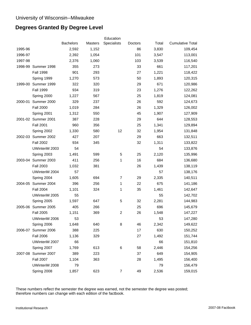# **Degrees Granted By Degree Level**

|         |                     |                  |         | Education      |         |       |                         |
|---------|---------------------|------------------|---------|----------------|---------|-------|-------------------------|
|         |                     | <b>Bachelors</b> | Masters | Specialists    | Doctors | Total | <b>Cumulative Total</b> |
| 1995-96 |                     | 2,592            | 1,152   |                | 86      | 3,830 | 109,454                 |
| 1996-97 |                     | 2,392            | 1,054   |                | 101     | 3,547 | 113,001                 |
| 1997-98 |                     | 2,376            | 1,060   |                | 103     | 3,539 | 116,540                 |
|         | 1998-99 Summer 1998 | 355              | 273     |                | 33      | 661   | 117,201                 |
|         | <b>Fall 1998</b>    | 901              | 293     |                | 27      | 1,221 | 118,422                 |
|         | Spring 1999         | 1,270            | 573     |                | 50      | 1,893 | 120,315                 |
|         | 1999-00 Summer 1999 | 322              | 320     |                | 29      | 671   | 120,986                 |
|         | <b>Fall 1999</b>    | 934              | 319     |                | 23      | 1,276 | 122,262                 |
|         | Spring 2000         | 1,227            | 567     |                | 25      | 1,819 | 124,081                 |
| 2000-01 | Summer 2000         | 329              | 237     |                | 26      | 592   | 124,673                 |
|         | <b>Fall 2000</b>    | 1,019            | 284     |                | 26      | 1,329 | 126,002                 |
|         | Spring 2001         | 1,312            | 550     |                | 45      | 1,907 | 127,909                 |
|         | 2001-02 Summer 2001 | 387              | 228     |                | 29      | 644   | 128,553                 |
|         | <b>Fall 2001</b>    | 960              | 356     |                | 25      | 1,341 | 129,894                 |
|         | Spring 2002         | 1,330            | 580     | 12             | 32      | 1,954 | 131,848                 |
|         | 2002-03 Summer 2002 | 427              | 207     |                | 29      | 663   | 132,511                 |
|         | <b>Fall 2002</b>    | 934              | 345     |                | 32      | 1,311 | 133,822                 |
|         | UWinteriM 2003      | 54               |         |                |         | 54    | 133,876                 |
|         | Spring 2003         | 1,491            | 599     | 5              | 25      | 2,120 | 135,996                 |
|         | 2003-04 Summer 2003 | 411              | 256     | 1              | 16      | 684   | 136,680                 |
|         | <b>Fall 2003</b>    | 1,032            | 381     |                | 26      | 1,439 | 138,119                 |
|         | UWinteriM 2004      | 57               |         |                |         | 57    | 138,176                 |
|         | Spring 2004         | 1,605            | 694     | 7              | 29      | 2,335 | 140,511                 |
|         | 2004-05 Summer 2004 | 396              | 256     | 1              | 22      | 675   | 141,186                 |
|         | <b>Fall 2004</b>    | 1,101            | 324     | 1              | 35      | 1,461 | 142,647                 |
|         | UWinteriM 2005      | 55               |         |                |         | 55    | 142,702                 |
|         | Spring 2005         | 1,597            | 647     | 5              | 32      | 2,281 | 144,983                 |
|         | 2005-06 Summer 2005 | 405              | 266     |                | 25      | 696   | 145,679                 |
|         | <b>Fall 2005</b>    | 1,151            | 369     | $\overline{2}$ | 26      | 1,548 | 147,227                 |
|         | UWinteriM 2006      | 53               |         |                |         | 53    | 147,280                 |
|         | Spring 2006         | 1,648            | 640     | 8              | 46      | 2,342 | 149,622                 |
| 2006-07 | Summer 2006         | 388              | 225     |                | 17      | 630   | 150,252                 |
|         | <b>Fall 2006</b>    | 1,136            | 329     |                | 27      | 1,492 | 151,744                 |
|         | UWinteriM 2007      | 66               |         |                |         | 66    | 151,810                 |
|         | Spring 2007         | 1,769            | 613     | 6              | 58      | 2,446 | 154,256                 |
|         | 2007-08 Summer 2007 | 389              | 223     |                | 37      | 649   | 154,905                 |
|         | <b>Fall 2007</b>    | 1,104            | 363     |                | 28      | 1,495 | 156,400                 |
|         | UWinteriM 2008      | 79               |         |                |         | 79    | 156,479                 |
|         | Spring 2008         | 1,857            | 623     | 7              | 49      | 2,536 | 159,015                 |
|         |                     |                  |         |                |         |       |                         |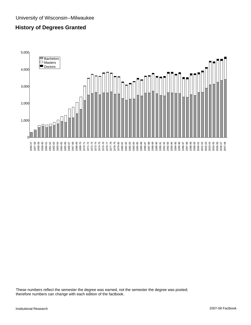# **History of Degrees Granted**

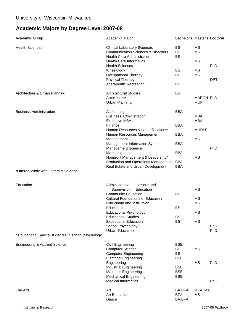# **Academic Majors by Degree Level 2007-08**

| Academic Group                                       | Academic Major                                                                                                            | Bachelor's Master's Doctoral        |                           |            |
|------------------------------------------------------|---------------------------------------------------------------------------------------------------------------------------|-------------------------------------|---------------------------|------------|
| <b>Health Sciences</b>                               | <b>Clinical Laboratory Sciences</b><br><b>Communication Sciences &amp; Disorders</b><br><b>Health Care Administration</b> | <b>BS</b><br><b>BS</b><br><b>BS</b> | MS<br><b>MS</b>           |            |
|                                                      | <b>Health Care Informatics</b><br><b>Health Sciences</b>                                                                  |                                     | МS                        | PhD        |
|                                                      | Kinesiology<br>Occupational Therapy                                                                                       | <b>BS</b><br><b>BS</b>              | <b>MS</b><br>MS           |            |
|                                                      | Physical Therapy<br><b>Therapeutic Recreation</b>                                                                         | <b>BS</b>                           |                           | <b>DPT</b> |
| Architecture & Urban Planning                        | <b>Architectural Studies</b><br>Architecture<br><b>Urban Planning</b>                                                     | <b>BS</b>                           | MARCH PhD<br><b>MUP</b>   |            |
| <b>Business Administration</b>                       | Accounting                                                                                                                | <b>BBA</b>                          |                           |            |
|                                                      | <b>Business Administration</b><br><b>Executive MBA</b>                                                                    |                                     | <b>MBA</b><br><b>MBA</b>  |            |
|                                                      | Finance                                                                                                                   | <b>BBA</b>                          |                           |            |
|                                                      | Human Resources & Labor Relations*<br>Human Resources Management<br>Management                                            | <b>BBA</b>                          | <b>MHRLR</b><br><b>MS</b> |            |
|                                                      | <b>Management Information Systems</b><br>Management Science                                                               | <b>BBA</b>                          |                           | PhD        |
|                                                      | Marketing                                                                                                                 | <b>BBA</b>                          |                           |            |
|                                                      | Nonprofit Management & Leadership*<br>Production and Operations Management BBA                                            |                                     | <b>MS</b>                 |            |
| *Offered jointly with Letters & Science              | Real Estate and Urban Development                                                                                         | <b>BBA</b>                          |                           |            |
| Education                                            | Administrative Leadership and                                                                                             |                                     |                           |            |
|                                                      | Supervision in Education                                                                                                  |                                     | <b>MS</b>                 |            |
|                                                      | <b>Community Education</b><br><b>Cultural Foundations of Education</b>                                                    | <b>BS</b>                           | MS                        |            |
|                                                      | Curriculum and Instruction                                                                                                |                                     | <b>MS</b>                 |            |
|                                                      | Education                                                                                                                 | <b>BS</b>                           |                           |            |
|                                                      | <b>Educational Psychology</b><br><b>Educational Studies</b>                                                               | <b>BS</b>                           | <b>MS</b>                 |            |
|                                                      | <b>Exceptional Education</b>                                                                                              | <b>BS</b>                           | MS                        |            |
|                                                      | School Psychology*<br>Urban Education                                                                                     |                                     |                           | EdS<br>PhD |
| * Educational Specialist degree in school psychology |                                                                                                                           |                                     |                           |            |
| Engineering & Applied Science                        | Civil Engineering<br><b>Computer Science</b>                                                                              | <b>BSE</b><br>BS                    | MS                        |            |
|                                                      | <b>Computer Engineering</b>                                                                                               | BS                                  |                           |            |
|                                                      | <b>Electrical Engineering</b>                                                                                             | <b>BSE</b>                          |                           |            |
|                                                      | Engineering<br>Industrial Engineering                                                                                     | <b>BSE</b>                          | MS                        | PhD        |
|                                                      | <b>Materials Engineering</b>                                                                                              | <b>BSE</b>                          |                           |            |
|                                                      | <b>Mechanical Engineering</b><br><b>Medical Informatics</b>                                                               | <b>BSE</b>                          |                           | PhD        |
| The Arts                                             | Art                                                                                                                       | BA,BFA                              | MFA, MA                   |            |
|                                                      | <b>Art Education</b><br>Dance                                                                                             | <b>BFA</b><br>BA, BFA               | <b>MS</b>                 |            |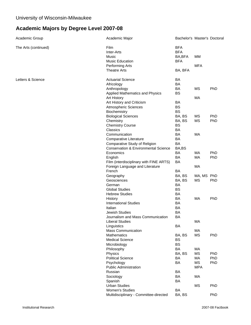# **Academic Majors by Degree Level 2007-08**

| Academic Group       | Academic Major                                  | Bachelor's Master's Doctoral |                 |                   |
|----------------------|-------------------------------------------------|------------------------------|-----------------|-------------------|
| The Arts (continued) | Film                                            | <b>BFA</b>                   |                 |                   |
|                      | Inter-Arts                                      | <b>BFA</b>                   |                 |                   |
|                      | <b>Music</b>                                    | BA, BFA                      | MМ              |                   |
|                      | <b>Music Education</b>                          | <b>BFA</b>                   |                 |                   |
|                      | Performing Arts                                 |                              | <b>MFA</b>      |                   |
|                      | <b>Theatre Arts</b>                             | BA, BFA                      |                 |                   |
|                      |                                                 |                              |                 |                   |
| Letters & Science    | <b>Actuarial Science</b>                        | BA                           |                 |                   |
|                      | Africology                                      | BA                           |                 |                   |
|                      | Anthropology                                    | BA                           | <b>MS</b>       | PhD               |
|                      | Applied Mathematics and Physics                 | <b>BS</b>                    |                 |                   |
|                      | Art History                                     |                              | МA              |                   |
|                      | Art History and Criticism                       | BA                           |                 |                   |
|                      | Atmospheric Sciences                            | <b>BS</b>                    |                 |                   |
|                      | Biochemistry                                    | <b>BS</b>                    |                 |                   |
|                      | <b>Biological Sciences</b>                      | BA, BS                       | <b>MS</b>       | <b>PhD</b>        |
|                      | Chemistry                                       | BA, BS                       | <b>MS</b>       | PhD               |
|                      | <b>Chemistry Course</b>                         | <b>BS</b>                    |                 |                   |
|                      | Classics                                        | BA                           |                 |                   |
|                      | Communication                                   | BA                           | MA              |                   |
|                      | Comparative Literature                          | BA                           |                 |                   |
|                      | Comparative Study of Religion                   | BA                           |                 |                   |
|                      | <b>Conservation &amp; Environmental Science</b> | BA,BS                        |                 |                   |
|                      | Economics                                       | BA                           | MA              | PhD               |
|                      | English                                         | BA                           | МA              | PhD               |
|                      | Film (interdisciplinary with FINE ARTS)         | BA                           |                 |                   |
|                      | Foreign Language and Literature                 |                              | MA              |                   |
|                      | French                                          | BA                           |                 |                   |
|                      | Geography                                       | BA, BS                       | MA, MS PhD      |                   |
|                      | Geosciences                                     | BA, BS                       | <b>MS</b>       | <b>PhD</b>        |
|                      | German                                          | BA                           |                 |                   |
|                      | <b>Global Studies</b>                           | <b>BS</b>                    |                 |                   |
|                      | <b>Hebrew Studies</b>                           | BA                           |                 |                   |
|                      | History                                         | BA                           | MA              | PhD               |
|                      | <b>International Studies</b>                    | BA                           |                 |                   |
|                      | Italian                                         | BA                           |                 |                   |
|                      | <b>Jewish Studies</b>                           | BA                           |                 |                   |
|                      | Journalism and Mass Communication               | BA                           |                 |                   |
|                      | Liberal Studies                                 |                              | МA              |                   |
|                      | Linguistics                                     | BA                           |                 |                   |
|                      | <b>Mass Communication</b>                       |                              | MA              |                   |
|                      | Mathematics                                     | BA, BS                       | <b>MS</b>       | PhD               |
|                      | <b>Medical Science</b>                          | <b>BS</b>                    |                 |                   |
|                      | Microbiology                                    | <b>BS</b>                    |                 |                   |
|                      | Philosophy                                      | BA                           | МA              |                   |
|                      |                                                 |                              |                 |                   |
|                      | Physics<br><b>Political Science</b>             | BA, BS<br>BA                 | <b>MS</b><br>MA | <b>PhD</b><br>PhD |
|                      |                                                 | BA                           | <b>MS</b>       | PhD               |
|                      | Psychology                                      |                              |                 |                   |
|                      | <b>Public Administration</b>                    |                              | <b>MPA</b>      |                   |
|                      | Russian                                         | BA                           |                 |                   |
|                      | Sociology                                       | BA                           | MA              |                   |
|                      | Spanish                                         | BA                           |                 |                   |
|                      | <b>Urban Studies</b>                            |                              | <b>MS</b>       | <b>PhD</b>        |
|                      | Women's Studies                                 | BA                           |                 |                   |
|                      | Multidisciplinary - Committee-directed          | BA, BS                       |                 | <b>PhD</b>        |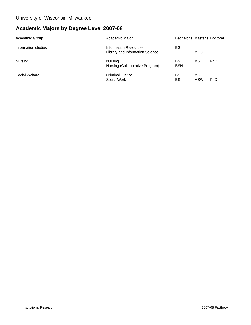# **Academic Majors by Degree Level 2007-08**

| Academic Group      | Academic Major                                           | Bachelor's Master's Doctoral |                  |     |
|---------------------|----------------------------------------------------------|------------------------------|------------------|-----|
| Information studies | Information Resources<br>Library and Information Science | <b>BS</b>                    | <b>MLIS</b>      |     |
| Nursing             | Nursing<br>Nursing (Collaborative Program)               | BS<br><b>BSN</b>             | ΜS               | PhD |
| Social Welfare      | Criminal Justice<br>Social Work                          | <b>BS</b><br>BS              | MS<br><b>MSW</b> | PhD |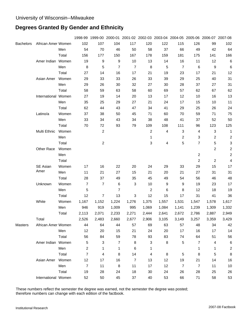# **Degrees Granted By Gender and Ethnicity**

|                  |                     |       |                 |                         |                |                |                |       |                | 1998-99 1999-00 2000-01 2001-02 2002-03 2003-04 2004-05 2005-06 2006-07 2007-08 |       |                |
|------------------|---------------------|-------|-----------------|-------------------------|----------------|----------------|----------------|-------|----------------|---------------------------------------------------------------------------------|-------|----------------|
| <b>Bachelors</b> | African Amer Women  |       | 102             | 107                     | 104            | 117            | 120            | 122   | 115            | 126                                                                             | 99    | 102            |
|                  |                     | Men   | 54              | 70                      | 46             | 50             | 58             | 37    | 66             | 49                                                                              | 42    | 64             |
|                  |                     | Total | 156             | 177                     | 150            | 167            | 178            | 159   | 181            | 175                                                                             | 141   | 166            |
|                  | Amer Indian Women   |       | 19              | 9                       | 9              | 10             | 13             | 14    | 16             | 11                                                                              | 12    | 6              |
|                  |                     | Men   | 8               | 5                       | $\overline{7}$ | $\overline{7}$ | $\, 8$         | 5     | $\overline{7}$ | 6                                                                               | 9     | 6              |
|                  |                     | Total | 27              | 14                      | 16             | 17             | 21             | 19    | 23             | 17                                                                              | 21    | 12             |
|                  | Asian Amer          | Women | 29              | 33                      | 33             | 26             | 33             | 39    | 29             | 25                                                                              | 40    | 31             |
|                  |                     | Men   | 29              | 26                      | 30             | 32             | 27             | 30    | 28             | 37                                                                              | 27    | 31             |
|                  |                     | Total | 58              | 59                      | 63             | 58             | 60             | 69    | 57             | 62                                                                              | 67    | 62             |
|                  | International Women |       | 27              | 19                      | 14             | 20             | 13             | 17    | 12             | 10                                                                              | 16    | 13             |
|                  |                     | Men   | 35              | 25                      | 29             | 27             | 21             | 24    | 17             | 15                                                                              | 10    | 11             |
|                  |                     | Total | 62              | 44                      | 43             | 47             | 34             | 41    | 29             | 25                                                                              | 26    | 24             |
|                  | Latino/a            | Women | 37              | 38                      | 50             | 45             | 71             | 60    | 70             | 59                                                                              | 71    | 75             |
|                  |                     | Men   | 33              | 34                      | 43             | 34             | 38             | 48    | 41             | 37                                                                              | 52    | 50             |
|                  |                     | Total | 70              | 72                      | 93             | 79             | 109            | 108   | 111            | 96                                                                              | 123   | 125            |
|                  | Multi Ethnic        | Women |                 | $\overline{c}$          |                |                | $\overline{2}$ | 4     | 3              | 4                                                                               | 3     | 1              |
|                  |                     | Men   |                 |                         |                |                | 1              |       | $\overline{c}$ | 3                                                                               | 2     | 2              |
|                  |                     | Total |                 | $\boldsymbol{2}$        |                |                | 3              | 4     | 5              | $\overline{7}$                                                                  | 5     | 3              |
|                  | Other Race          | Women |                 |                         |                |                |                |       |                |                                                                                 | 2     | 2              |
|                  |                     | Men   |                 |                         |                |                |                |       |                | $\overline{c}$                                                                  |       | 2              |
|                  |                     | Total |                 |                         |                |                |                |       |                | $\overline{c}$                                                                  | 2     | 4              |
|                  | SE Asian            | Women | 17              | 16                      | 22             | 20             | 24             | 29    | 33             | 29                                                                              | 15    | 17             |
|                  | Amer                | Men   | 11              | 21                      | 27             | 15             | 21             | 20    | 21             | 27                                                                              | 31    | 31             |
|                  |                     | Total | 28              | 37                      | 49             | 35             | 45             | 49    | 54             | 56                                                                              | 46    | 48             |
|                  | Unknown             | Women | $\overline{7}$  | $\overline{7}$          | $\,6$          | 3              | 10             | 9     | 9              | 19                                                                              | 23    | 17             |
|                  |                     | Men   | 5               |                         | $\overline{7}$ |                | $\overline{2}$ | 6     | 8              | 12                                                                              | 18    | 19             |
|                  |                     | Total | 12              | $\overline{7}$          | 13             | $\mathbf{3}$   | 12             | 15    | 17             | 31                                                                              | 41    | 36             |
|                  | White               | Women | 1,167           | 1,152                   | 1,224          | 1,276          | 1,375          | 1,557 | 1,531          | 1,547                                                                           | 1,578 | 1,617          |
|                  |                     | Men   | 946             | 919                     | 1,009          | 995            | 1,069          | 1,084 | 1,141          | 1,239                                                                           | 1,309 | 1,332          |
|                  |                     | Total | 2,113           | 2,071                   | 2,233          | 2,271          | 2,444          | 2,641 | 2,672          | 2,786                                                                           | 2,887 | 2,949          |
|                  | Total               |       | 2,526           | 2,483                   | 2,660          | 2,677          | 2,906          | 3,105 | 3,149          | 3,257                                                                           | 3,359 | 3,429          |
| Masters          | African Amer Women  |       | 44              | 64                      | 44             | 57             | 69             | 63    | 57             | 48                                                                              | 34    | 42             |
|                  |                     | Men   | 12              | 20                      | 15             | 21             | 24             | 20    | 17             | 16                                                                              | 17    | 14             |
|                  |                     | Total | 56              | 84                      | 59             | 78             | 93             | 83    | 74             | 64                                                                              | 51    | 56             |
|                  | Amer Indian Women   |       | $\sqrt{5}$      | 3                       | $\overline{7}$ | 8              | $\mathbf{3}$   | 8     | $\sqrt{5}$     | $\overline{7}$                                                                  | 4     | 6              |
|                  |                     | Men   | $\overline{2}$  | 1                       | 1              | 6              | 1              |       |                | 1                                                                               | 1     | $\overline{c}$ |
|                  |                     | Total | $\overline{7}$  | $\overline{\mathbf{4}}$ | 8              | 14             | 4              | 8     | 5              | 8                                                                               | 5     | $\bf8$         |
|                  | Asian Amer Women    |       | 12 <sup>2</sup> | 17                      | 16             | $\overline{7}$ | 13             | 12    | 19             | 21                                                                              | 14    | 16             |
|                  |                     | Men   | $\overline{7}$  | 11                      | 8              | 11             | 17             | 12    | $\overline{7}$ | $\overline{7}$                                                                  | 11    | 10             |
|                  |                     | Total | 19              | 28                      | 24             | 18             | 30             | 24    | 26             | 28                                                                              | 25    | 26             |
|                  | International Women |       | 52              | 50                      | 45             | 37             | 40             | 53    | 66             | 71                                                                              | 58    | 53             |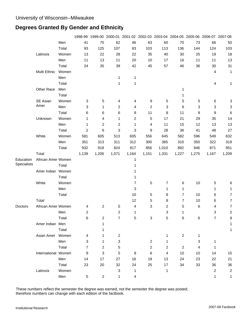#### **Degrees Granted By Gender and Ethnicity**

|             |                     |       |                |                |                           |              |                |       | 1998-99 1999-00 2000-01 2001-02 2002-03 2003-04 2004-05 2005-06 2006-07 2007-08 |       |                |                |
|-------------|---------------------|-------|----------------|----------------|---------------------------|--------------|----------------|-------|---------------------------------------------------------------------------------|-------|----------------|----------------|
|             |                     | Men   | 41             | 75             | 62                        | 46           | 63             | 60    | 70                                                                              | 73    | 66             | 50             |
|             |                     | Total | 93             | 125            | 107                       | 83           | 103            | 113   | 136                                                                             | 144   | 124            | 103            |
|             | Latino/a            | Women | 13             | 22             | 28                        | 22           | 35             | 40    | 30                                                                              | 25    | 19             | 18             |
|             |                     | Men   | 11             | 13             | 11                        | 20           | 10             | 17    | 16                                                                              | 11    | 11             | 13             |
|             |                     | Total | 24             | 35             | 39                        | 42           | 45             | 57    | 46                                                                              | 36    | 30             | 31             |
|             | Multi Ethnic        | Women |                |                |                           |              |                |       |                                                                                 |       | $\overline{4}$ | 1              |
|             |                     | Men   |                |                | 1                         | 1            |                |       |                                                                                 |       |                |                |
|             |                     | Total |                |                | 1                         | 1            |                |       |                                                                                 |       | 4              | 1              |
|             | Other Race          | Men   |                |                |                           |              |                |       | 1                                                                               |       |                |                |
|             |                     | Total |                |                |                           |              |                |       | 1                                                                               |       |                |                |
|             | SE Asian            | Women | 3              | 5              | 4                         | 4            | 9              | 5     | 5                                                                               | 5     | 6              | 3              |
|             | Amer                | Men   | 3              | 1              | 2                         | 4            | $\overline{2}$ | 3     | 6                                                                               | 3     | 3              | 3              |
|             |                     | Total | 6              | 6              | 6                         | 8            | 11             | 8     | 11                                                                              | 8     | 9              | $\,6$          |
|             | Unknown             | Women | 1              | 4              | 1                         | 2            | 5              | 17    | 21                                                                              | 29    | 35             | 14             |
|             |                     | Men   | 1              | $\overline{c}$ | 2                         | 1            | 4              | 11    | 15                                                                              | 12    | 13             | 13             |
|             |                     | Total | $\overline{2}$ | 6              | 3                         | 3            | 9              | 28    | 36                                                                              | 41    | 48             | 27             |
|             | White               | Women | 581            | 605            | 513                       | 605          | 556            | 645   | 582                                                                             | 596   | 549            | 632            |
|             |                     | Men   | 351            | 313            | 311                       | 312          | 300            | 365   | 310                                                                             | 350   | 322            | 319            |
|             |                     | Total | 932            | 918            | 824                       | 917          | 856            | 1,010 | 892                                                                             | 946   | 871            | 951            |
|             | Total               |       | 1,139          | 1,206          | 1,071                     | 1,164        | 1,151          | 1,331 | 1,227                                                                           | 1,275 | 1,167          | 1,209          |
| Education   | African Amer Women  |       |                |                |                           | 1            |                |       |                                                                                 |       |                |                |
| Specialists |                     | Total |                |                |                           | 1            |                |       |                                                                                 |       |                |                |
|             | Amer Indian Women   |       |                |                |                           |              |                |       |                                                                                 |       |                |                |
|             |                     | Total |                |                |                           | 1            |                |       |                                                                                 |       |                |                |
|             | White               | Women |                |                |                           | 7            | $\,$ 5 $\,$    | 7     | 6                                                                               | 10    | 5              | 6              |
|             |                     | Men   |                |                |                           | 3            |                | 1     | 1                                                                               |       | 1              | 1              |
|             |                     | Total |                |                |                           | 10           | 5              | 8     | 7                                                                               | 10    | 6              | 7              |
|             | Total               |       |                |                |                           | 12           | 5              | 8     | 7                                                                               | 10    | 6              | $\overline{7}$ |
| Doctors     | African Amer Women  |       | 4              | $\overline{c}$ | 5                         | 4            | 3              | 2     | 5                                                                               | 6     | 4              | 7              |
|             |                     | Men   | $\overline{c}$ |                | $\overline{c}$            | 1            |                | 3     | 1                                                                               |       | 3              | $\overline{c}$ |
|             |                     | Total | 6              | $\overline{2}$ | 7                         | 5            | 3              | 5     | 6                                                                               | 6     | 7              | 9              |
|             | Amer Indian Men     |       |                | 1              |                           |              |                |       |                                                                                 |       |                | 1              |
|             |                     | Total |                | 1              |                           |              |                |       |                                                                                 |       |                | 1              |
|             | Asian Amer Women    |       | 4              | 1              | $\overline{2}$            |              |                | 1     | $\overline{2}$                                                                  | 1     |                |                |
|             |                     | Men   | 3              | 1              | 3                         |              | $\overline{2}$ | 1     |                                                                                 | 3     | 1              |                |
|             |                     | Total | $\overline{7}$ | 2              | 5                         |              | 2              | 2     | $\overline{2}$                                                                  | 4     | 1              |                |
|             | International Women |       | 9              | 3              | 5                         | 8            | 6              | 4     | 10                                                                              | 10    | 14             | 15             |
|             |                     | Men   | 14             | 17             | 27                        | 16           | 19             | 13    | 24                                                                              | 23    | 22             | 21             |
|             |                     | Total | 23             | 20             | 32                        | 24           | 25             | 17    | 34                                                                              | 33    | 36             | 36             |
|             | Latino/a            | Women |                |                | $\ensuremath{\mathsf{3}}$ | $\mathbf{1}$ |                | 1     |                                                                                 |       | $\overline{2}$ | 2              |
|             |                     | Men   | 5              | $\overline{c}$ | 1                         | 4            |                |       |                                                                                 |       | 1              | 1              |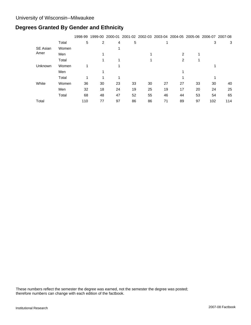# **Degrees Granted By Gender and Ethnicity**

|                 |       | 1998-99 |    | 1999-00 2000-01 |    |    |    | 2001-02 2002-03 2003-04 2004-05 2005-06 2006-07 2007-08 |    |     |     |
|-----------------|-------|---------|----|-----------------|----|----|----|---------------------------------------------------------|----|-----|-----|
|                 | Total | 5       | 2  | 4               | 5  |    |    |                                                         |    | 3   | 3   |
| <b>SE Asian</b> | Women |         |    |                 |    |    |    |                                                         |    |     |     |
| Amer            | Men   |         |    |                 |    |    |    | 2                                                       |    |     |     |
|                 | Total |         |    |                 |    |    |    | 2                                                       |    |     |     |
| Unknown         | Women |         |    |                 |    |    |    |                                                         |    |     |     |
|                 | Men   |         |    |                 |    |    |    |                                                         |    |     |     |
|                 | Total |         |    |                 |    |    |    |                                                         |    |     |     |
| White           | Women | 36      | 30 | 23              | 33 | 30 | 27 | 27                                                      | 33 | 30  | 40  |
|                 | Men   | 32      | 18 | 24              | 19 | 25 | 19 | 17                                                      | 20 | 24  | 25  |
|                 | Total | 68      | 48 | 47              | 52 | 55 | 46 | 44                                                      | 53 | 54  | 65  |
| Total           |       | 110     | 77 | 97              | 86 | 86 | 71 | 89                                                      | 97 | 102 | 114 |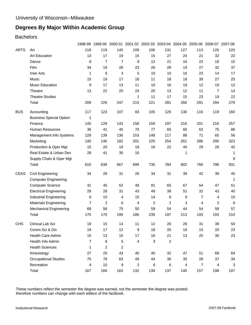#### **Bachelors**

|             |                                | 1998-99        | 1999-00        | 2000-01        |                         |     |     | 2001-02 2002-03 2003-04 2004-05 2005-06 2006-07 2007-08 |                |                |     |
|-------------|--------------------------------|----------------|----------------|----------------|-------------------------|-----|-----|---------------------------------------------------------|----------------|----------------|-----|
| <b>ARTS</b> | Art                            | 118            | 119            | 140            | 109                     | 106 | 131 | 127                                                     | 113            | 126            | 120 |
|             | Art Education                  | 13             | 17             | 19             | 15                      | 15  | 27  | 24                                                      | 21             | 32             | 22  |
|             | Dance                          | 6              | $\overline{7}$ | $\overline{7}$ | 9                       | 12  | 21  | 16                                                      | 22             | 18             | 10  |
|             | Film                           | 34             | 19             | 28             | 23                      | 26  | 28  | 19                                                      | 27             | 32             | 37  |
|             | <b>Inter Arts</b>              | $\mathbf{1}$   | 6              | 3              | 5                       | 10  | 10  | 16                                                      | 23             | 14             | 17  |
|             | Music                          | 15             | 19             | 17             | 18                      | 11  | 18  | 18                                                      | 39             | 27             | 25  |
|             | <b>Music Education</b>         | 9              | 17             | 13             | 11                      | 10  | 16  | 19                                                      | 12             | 19             | 12  |
|             | Theatre                        | 13             | 22             | 20             | 24                      | 20  | 13  | 12                                                      | 11             | $\overline{7}$ | 14  |
|             | <b>Theatre Studies</b>         |                |                |                | 1                       | 11  | 17  | 15                                                      | 23             | 19             | 22  |
|             | Total                          | 209            | 226            | 247            | 215                     | 221 | 281 | 266                                                     | 291            | 294            | 279 |
| <b>BUS</b>  | Accounting                     | 117            | 123            | 107            | 83                      | 105 | 129 | 130                                                     | 116            | 119            | 160 |
|             | <b>Business Special Option</b> | 1              |                |                |                         |     |     |                                                         |                |                |     |
|             | Finance                        | 145            | 129            | 143            | 158                     | 159 | 197 | 216                                                     | 201            | 216            | 257 |
|             | Human Resources                | 36             | 41             | 45             | 70                      | 77  | 65  | 66                                                      | 63             | 75             | 86  |
|             | Management Info Systems        | 128            | 139            | 136            | 153                     | 148 | 117 | 88                                                      | 71             | 65             | 56  |
|             | Marketing                      | 140            | 146            | 182            | 201                     | 225 | 254 | 261                                                     | 286            | 295            | 323 |
|             | Production & Oper Mgt          | 15             | 20             | 19             | 18                      | 16  | 22  | 40                                                      | 29             | 26             | 42  |
|             | Real Estate & Urban Dev        | 28             | 41             | 35             | 16                      |     |     | 1                                                       |                |                | 1   |
|             | Supply Chain & Oper Mgt        |                |                |                |                         |     |     |                                                         |                |                | 6   |
|             | Total                          | 610            | 639            | 667            | 699                     | 730 | 784 | 802                                                     | 766            | 796            | 931 |
| <b>CEAS</b> | Civil Engineering              | 34             | 29             | 31             | 26                      | 34  | 31  | 39                                                      | 42             | 39             | 45  |
|             | <b>Computer Engineering</b>    |                |                |                |                         |     |     |                                                         |                |                | 1   |
|             | <b>Computer Science</b>        | 31             | 45             | 52             | 48                      | 81  | 65  | 67                                                      | 54             | 47             | 51  |
|             | <b>Electrical Engineering</b>  | 29             | 28             | 31             | 43                      | 49  | 39  | 51                                                      | 32             | 43             | 40  |
|             | <b>Industrial Engineering</b>  | 6              | 10             | 4              | 15                      | 14  | 6   | 9                                                       | 7              | 4              | 10  |
|             | <b>Materials Engineering</b>   | $\overline{7}$ | 2              | 6              | 4                       | 2   | 2   | 3                                                       | 4              | 2              | 6   |
|             | <b>Mechanical Engineering</b>  | 68             | 56             | 75             | 50                      | 59  | 54  | 44                                                      | 54             | 58             | 57  |
|             | Total                          | 175            | 170            | 199            | 186                     | 239 | 197 | 213                                                     | 193            | 193            | 210 |
| <b>CHS</b>  | Clinical Lab Sci               | 19             | 15             | 14             | 11                      | 12  | 20  | 28                                                      | 31             | 39             | 50  |
|             | Comm Sci & Dis                 | 19             | 17             | 12             | 9                       | 18  | 20  | 18                                                      | 15             | 20             | 23  |
|             | Health Care Admin              | 15             | 13             | 15             | 17                      | 16  | 21  | 13                                                      | 25             | 30             | 23  |
|             | Health Info Admin              | $\overline{7}$ | 6              | 5              | $\overline{\mathbf{4}}$ | 3   | 2   |                                                         |                |                |     |
|             | <b>Health Sciences</b>         | 1              | 2              | 2              |                         |     |     |                                                         |                |                |     |
|             | Kinesiology                    | 27             | 25             | 43             | 40                      | 40  | 32  | 47                                                      | 51             | 68             | 64  |
|             | <b>Occupational Studies</b>    | 75             | 78             | 63             | 49                      | 44  | 36  | 30                                                      | 28             | 37             | 34  |
|             | Recreation                     | 4              | 10             | 9              | $\overline{c}$          | 6   | 6   | 4                                                       | $\overline{7}$ | $\overline{4}$ | 3   |
|             | Total                          | 167            | 166            | 163            | 132                     | 139 | 137 | 140                                                     | 157            | 198            | 197 |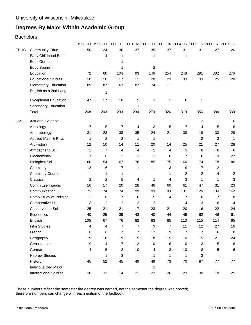#### **Bachelors**

|                              |                                                      |     |                                                                                           |              |                                                                                                                                                              |                                                                                                |     |                                                                                  |                                                                                                      | 2001-02 2002-03 2003-04 2004-05 2005-06 2006-07 2007-08                                                                                                  |
|------------------------------|------------------------------------------------------|-----|-------------------------------------------------------------------------------------------|--------------|--------------------------------------------------------------------------------------------------------------------------------------------------------------|------------------------------------------------------------------------------------------------|-----|----------------------------------------------------------------------------------|------------------------------------------------------------------------------------------------------|----------------------------------------------------------------------------------------------------------------------------------------------------------|
|                              | 50                                                   | 24  | 36                                                                                        | 37           | 35                                                                                                                                                           | 37                                                                                             | 31  | 31                                                                               | 27                                                                                                   | 26                                                                                                                                                       |
| Early Childhood Educ         |                                                      | 4   | 1                                                                                         |              | 1                                                                                                                                                            |                                                                                                | 1   |                                                                                  |                                                                                                      |                                                                                                                                                          |
| Educ German                  |                                                      |     | 1                                                                                         |              |                                                                                                                                                              |                                                                                                |     |                                                                                  |                                                                                                      |                                                                                                                                                          |
| Educ Spanish                 |                                                      |     | 1                                                                                         |              |                                                                                                                                                              |                                                                                                |     |                                                                                  |                                                                                                      |                                                                                                                                                          |
| Education                    | 72                                                   | 60  | 104                                                                                       |              | 146                                                                                                                                                          | 254                                                                                            | 248 | 291                                                                              |                                                                                                      | 276                                                                                                                                                      |
| <b>Educational Studies</b>   | 10                                                   | 10  | 17                                                                                        | 11           | 20                                                                                                                                                           | 23                                                                                             | 33  | 33                                                                               | 25                                                                                                   | 28                                                                                                                                                       |
| <b>Elementary Education</b>  | 89                                                   | 87  | 63                                                                                        |              |                                                                                                                                                              | 11                                                                                             |     |                                                                                  |                                                                                                      |                                                                                                                                                          |
| English as a 2nd Lang        |                                                      | 1   |                                                                                           |              |                                                                                                                                                              |                                                                                                |     |                                                                                  |                                                                                                      |                                                                                                                                                          |
| <b>Exceptional Education</b> | 47                                                   | 17  | 10                                                                                        |              | 1                                                                                                                                                            | 1                                                                                              | 6   | 1                                                                                |                                                                                                      |                                                                                                                                                          |
| Secondary Education          |                                                      |     |                                                                                           | 1            |                                                                                                                                                              |                                                                                                |     |                                                                                  |                                                                                                      |                                                                                                                                                          |
| Total                        | 268                                                  | 203 | 233                                                                                       | 234          | 279                                                                                                                                                          | 326                                                                                            | 319 | 356                                                                              | 384                                                                                                  | 330                                                                                                                                                      |
| <b>Actuarial Science</b>     |                                                      |     |                                                                                           |              |                                                                                                                                                              |                                                                                                |     | 2                                                                                |                                                                                                      | 6                                                                                                                                                        |
| Africology                   | 7                                                    | 5   | 7                                                                                         |              | 3                                                                                                                                                            | 5                                                                                              | 7   | 4                                                                                |                                                                                                      | 8                                                                                                                                                        |
|                              | 31                                                   |     |                                                                                           |              | 24                                                                                                                                                           | 21                                                                                             |     | 19                                                                               |                                                                                                      | 29                                                                                                                                                       |
| Applied Math & Phys          | 1                                                    |     | $\overline{c}$                                                                            | $\mathbf{1}$ | 1                                                                                                                                                            |                                                                                                |     | $\overline{c}$                                                                   |                                                                                                      | 1                                                                                                                                                        |
|                              | 12                                                   |     | 14                                                                                        | 11           | 20                                                                                                                                                           |                                                                                                |     | 21                                                                               |                                                                                                      | 28                                                                                                                                                       |
| Atmospheric Sci              | $\overline{c}$                                       |     | 4                                                                                         |              |                                                                                                                                                              |                                                                                                |     | 8                                                                                | 8                                                                                                    | 6                                                                                                                                                        |
| Biochemistry                 | $\overline{7}$                                       | 6   |                                                                                           |              | 3                                                                                                                                                            |                                                                                                |     | 6                                                                                | 19                                                                                                   | 27                                                                                                                                                       |
| <b>Biological Sci</b>        | 60                                                   | 54  | 67                                                                                        |              | 85                                                                                                                                                           |                                                                                                |     | 74                                                                               |                                                                                                      | 86                                                                                                                                                       |
| Chemistry                    | 12                                                   | 6   | 7                                                                                         | 11           | 11                                                                                                                                                           |                                                                                                | 9   | 7                                                                                |                                                                                                      | 1                                                                                                                                                        |
| <b>Chemistry Course</b>      |                                                      | 1   | 1                                                                                         |              |                                                                                                                                                              | 1                                                                                              |     | 2                                                                                |                                                                                                      | $\overline{c}$                                                                                                                                           |
| Classics                     | 2                                                    |     | 5                                                                                         |              | 1                                                                                                                                                            | 4                                                                                              | 3   | 1                                                                                | 1                                                                                                    | 3                                                                                                                                                        |
| Committee Interdis           | 16                                                   | 17  | 20                                                                                        |              | 46                                                                                                                                                           | 60                                                                                             | 61  | 47                                                                               | 31                                                                                                   | 23                                                                                                                                                       |
| Communication                | 71                                                   | 74  | 74                                                                                        | 99           | 93                                                                                                                                                           | 103                                                                                            | 131 | 126                                                                              |                                                                                                      | 142                                                                                                                                                      |
| Comp Study of Religion       | $\overline{\mathbf{c}}$                              | 6   | 7                                                                                         | 6            | 5                                                                                                                                                            | 4                                                                                              |     | 6                                                                                |                                                                                                      | 8                                                                                                                                                        |
| Comparative Lit              | 3                                                    |     | 2                                                                                         |              | 2                                                                                                                                                            |                                                                                                |     | 3                                                                                |                                                                                                      | 4                                                                                                                                                        |
| Conservation Sci             | 25                                                   | 21  | 21                                                                                        |              | 23                                                                                                                                                           | 21                                                                                             |     | 16                                                                               |                                                                                                      | 24                                                                                                                                                       |
| Economics                    | 40                                                   | 25  | 39                                                                                        |              | 40                                                                                                                                                           | 44                                                                                             | 49  | 62                                                                               | 46                                                                                                   | 61                                                                                                                                                       |
| English                      | 105                                                  | 67  | 76                                                                                        |              | 83                                                                                                                                                           | 85                                                                                             | 113 | 115                                                                              | 114                                                                                                  | 85                                                                                                                                                       |
| <b>Film Studies</b>          |                                                      | 4   |                                                                                           |              | 9                                                                                                                                                            |                                                                                                | 11  | 12                                                                               | 27                                                                                                   | 16                                                                                                                                                       |
| French                       | 6                                                    |     |                                                                                           |              |                                                                                                                                                              | 9                                                                                              |     | $\overline{7}$                                                                   |                                                                                                      | 8                                                                                                                                                        |
| Geography                    | 19                                                   |     |                                                                                           |              |                                                                                                                                                              |                                                                                                |     | 15                                                                               | 21                                                                                                   | 24                                                                                                                                                       |
| Geosciences                  | 9                                                    | 4   |                                                                                           |              |                                                                                                                                                              |                                                                                                |     | 3                                                                                |                                                                                                      | 8                                                                                                                                                        |
| German                       | 4                                                    | 5   | 8                                                                                         |              | 4                                                                                                                                                            | 8                                                                                              |     | 8                                                                                |                                                                                                      | 6                                                                                                                                                        |
| <b>Hebrew Studies</b>        |                                                      | 1   |                                                                                           |              | 1                                                                                                                                                            | $\mathbf{1}$                                                                                   | 1   | 3                                                                                |                                                                                                      |                                                                                                                                                          |
| History                      | 45                                                   |     |                                                                                           |              | 49                                                                                                                                                           |                                                                                                |     | 87                                                                               |                                                                                                      | 77                                                                                                                                                       |
| Individualized Major         |                                                      |     |                                                                                           |              | 1                                                                                                                                                            |                                                                                                |     |                                                                                  |                                                                                                      |                                                                                                                                                          |
| <b>International Studies</b> | 20                                                   |     |                                                                                           | 21           |                                                                                                                                                              |                                                                                                |     |                                                                                  |                                                                                                      | 25                                                                                                                                                       |
|                              | <b>Community Educ</b><br>Anthropology<br>Art History |     | 23<br>$\overline{c}$<br>10<br>$\overline{7}$<br>2<br>2<br>$\overline{4}$<br>6<br>16<br>52 | 38<br>33     | 93<br>87<br>5<br>4<br>35<br>4<br>3<br>3<br>76<br>4<br>28<br>43<br>82<br>$\overline{7}$<br>$\overline{7}$<br>$\overline{7}$<br>19<br>7<br>3<br>45<br>49<br>14 | 2<br>74<br>2<br>$\overline{2}$<br>17<br>$\overline{7}$<br>15<br>18<br>12<br>$10$<br>$10$<br>22 | 12  | 38<br>25<br>14<br>4<br>6<br>75<br>3<br>$\overline{7}$<br>15<br>$\,6$<br>73<br>26 | 3<br>7<br>60<br>$\overline{c}$<br>$\overline{7}$<br>4<br>20<br>7<br>$10$<br>$10$<br>$10$<br>70<br>23 | 332<br>$\mathbf{1}$<br>5<br>33<br>$\overline{c}$<br>27<br>78<br>$\overline{c}$<br>4<br>134<br>$\overline{7}$<br>6<br>22<br>6<br>5<br>5<br>77<br>30<br>18 |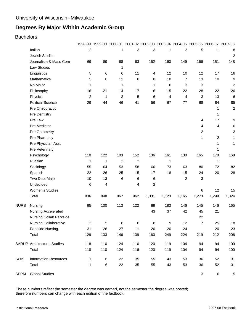#### **Bachelors**

|             |                                    |                         | 1998-99 1999-00 2000-01 2001-02 2002-03 2003-04 2004-05 2005-06 2006-07 2007-08 |                         |     |                         |       |                |                           |                |                  |
|-------------|------------------------------------|-------------------------|---------------------------------------------------------------------------------|-------------------------|-----|-------------------------|-------|----------------|---------------------------|----------------|------------------|
|             | Italian                            | $\overline{\mathbf{c}}$ |                                                                                 | 1                       | 3   | 3                       | 1     | 2              | 5                         | 1              | 8                |
|             | <b>Jewish Studies</b>              |                         |                                                                                 |                         |     |                         |       |                |                           |                | $\overline{2}$   |
|             | Journalism & Mass Com              | 69                      | 89                                                                              | 98                      | 93  | 152                     | 160   | 149            | 166                       | 151            | 148              |
|             | <b>Law Studies</b>                 |                         |                                                                                 | 1                       |     |                         |       |                |                           |                |                  |
|             | Linguistics                        | 5                       | 6                                                                               | 6                       | 11  | 4                       | 12    | 10             | 12                        | 17             | 16               |
|             | Mathematics                        | 5                       | 8                                                                               | 11                      | 8   | 8                       | 10    | 7              | 13                        | 10             | $\boldsymbol{9}$ |
|             | No Major                           | 1                       |                                                                                 | 1                       |     | 1                       | 6     | 3              | $\mathbf{3}$              |                | $\overline{c}$   |
|             | Philosophy                         | 16                      | 21                                                                              | 14                      | 17  | 6                       | 15    | 22             | 28                        | 22             | 26               |
|             | Physics                            | $\overline{c}$          | $\mathbf 1$                                                                     | 3                       | 5   | 6                       | 4     | 4              | 3                         | 13             | $\,6$            |
|             | <b>Political Science</b>           | 29                      | 44                                                                              | 46                      | 41  | 56                      | 67    | 77             | 68                        | 84             | 85               |
|             | Pre Chiropractic                   |                         |                                                                                 |                         |     |                         |       |                |                           | 1              | 2                |
|             | <b>Pre Dentistry</b>               |                         |                                                                                 |                         |     |                         |       |                |                           | 1              |                  |
|             | Pre Law                            |                         |                                                                                 |                         |     |                         |       |                | $\overline{\mathbf{4}}$   | 17             | 9                |
|             | Pre Medicine                       |                         |                                                                                 |                         |     |                         |       |                | 4                         | 4              | 6                |
|             | Pre Optometry                      |                         |                                                                                 |                         |     |                         |       |                | $\overline{c}$            |                | $\sqrt{2}$       |
|             | Pre Pharmacy                       |                         |                                                                                 |                         |     |                         |       |                | 1                         | $\overline{c}$ | 1                |
|             | Pre Physician Asst                 |                         |                                                                                 |                         |     |                         |       |                |                           | 1              | 1                |
|             | Pre Veterinary                     |                         |                                                                                 |                         |     |                         |       |                |                           | 1              |                  |
|             | Psychology                         | 110                     | 122                                                                             | 103                     | 152 | 136                     | 161   | 130            | 165                       | 170            | 168              |
|             | Russian                            | 1                       | 1                                                                               | $\overline{\mathbf{c}}$ | 2   |                         | 1     |                |                           | 1              |                  |
|             | Sociology                          | 55                      | 64                                                                              | 53                      | 58  | 66                      | 73    | 63             | 80                        | 72             | 82               |
|             | Spanish                            | 22                      | 26                                                                              | 25                      | 15  | 17                      | 18    | 15             | 24                        | 20             | 28               |
|             | Two Dept Major                     | 10                      | 13                                                                              | 6                       | 6   | 6                       |       | $\overline{c}$ | $\ensuremath{\mathsf{3}}$ |                |                  |
|             | Undecided                          | 6                       | 4                                                                               |                         | 4   | $\overline{\mathbf{c}}$ |       |                |                           |                |                  |
|             | <b>Women's Studies</b>             |                         |                                                                                 |                         |     |                         |       |                | 6                         | 12             | 15               |
|             | Total                              | 836                     | 848                                                                             | 867                     | 962 | 1,031                   | 1,123 | 1,165          | 1,273                     | 1,299          | 1,324            |
| <b>NURS</b> | Nursing                            | 95                      | 100                                                                             | 113                     | 122 | 89                      | 183   | 146            | 145                       | 146            | 165              |
|             | Nursing Accelerated                |                         |                                                                                 |                         |     | 43                      | 37    | 42             | 45                        | 21             |                  |
|             | Nursing Collab Parkside            |                         |                                                                                 |                         |     |                         |       |                | 22                        |                |                  |
|             | Nursing Collaborative              | 3                       | 5                                                                               | 6                       | 6   | 8                       | 9     | 12             | $\overline{7}$            | 25             | 18               |
|             | Parkside Nursing                   | 31                      | 28                                                                              | 27                      | 11  | 20                      | 20    | 24             |                           | 20             | 23               |
|             | Total                              | 129                     | 133                                                                             | 146                     | 139 | 160                     | 249   | 224            | 219                       | 212            | 206              |
|             | <b>SARUP</b> Architectural Studies | 118                     | 110                                                                             | 124                     | 116 | 120                     | 119   | 104            | 94                        | 94             | 100              |
|             | Total                              | 118                     | 110                                                                             | 124                     | 116 | 120                     | 119   | 104            | 94                        | 94             | 100              |
| SOIS        | <b>Information Resources</b>       | 1                       | $\,6$                                                                           | 22                      | 35  | 55                      | 43    | 53             | 36                        | 52             | 31               |
|             | Total                              | $\mathbf{1}$            | 6                                                                               | 22                      | 35  | 55                      | 43    | 53             | 36                        | 52             | 31               |
| <b>SPPM</b> | <b>Global Studies</b>              |                         |                                                                                 |                         |     |                         |       |                | $\ensuremath{\mathsf{3}}$ | 6              | $\sqrt{5}$       |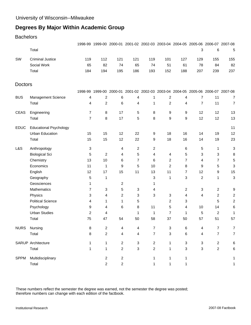#### **Bachelors**

|                |                               |                |                |                         |                |                  |                |                         | 1998-99 1999-00 2000-01 2001-02 2002-03 2003-04 2004-05 2005-06 2006-07 2007-08 |                |                         |
|----------------|-------------------------------|----------------|----------------|-------------------------|----------------|------------------|----------------|-------------------------|---------------------------------------------------------------------------------|----------------|-------------------------|
|                | Total                         |                |                |                         |                |                  |                |                         | 3                                                                               | 6              | 5                       |
| SW             | <b>Criminal Justice</b>       | 119            | 112            | 121                     | 121            | 119              | 101            | 127                     | 129                                                                             | 155            | 155                     |
|                | Social Work                   | 65             | 82             | 74                      | 65             | 74               | 51             | 61                      | 78                                                                              | 84             | 82                      |
|                | Total                         | 184            | 194            | 195                     | 186            | 193              | 152            | 188                     | 207                                                                             | 239            | 237                     |
| <b>Doctors</b> |                               |                |                |                         |                |                  |                |                         |                                                                                 |                |                         |
|                |                               | 1998-99        |                | 1999-00 2000-01         |                |                  |                |                         | 2001-02 2002-03 2003-04 2004-05 2005-06 2006-07 2007-08                         |                |                         |
| <b>BUS</b>     | Management Science            | 4              | $\overline{c}$ | 6                       | 4              | 1                | $\overline{c}$ | 4                       | 7                                                                               | 11             | $\overline{7}$          |
|                | Total                         | 4              | $\overline{c}$ | 6                       | 4              | 1                | $\overline{c}$ | 4                       | $\overline{7}$                                                                  | 11             | 7                       |
| <b>CEAS</b>    | Engineering                   | 7              | 8              | 17                      | 5              | 8                | 9              | 9                       | 12                                                                              | 12             | 13                      |
|                | Total                         | $\overline{7}$ | 8              | 17                      | 5              | 8                | 9              | 9                       | 12                                                                              | 12             | 13                      |
| <b>EDUC</b>    | <b>Educational Psychology</b> |                |                |                         |                |                  |                |                         |                                                                                 |                | 11                      |
|                | <b>Urban Education</b>        | 15             | 15             | 12                      | 22             | 9                | 18             | 16                      | 14                                                                              | 19             | 12                      |
|                | Total                         | 15             | 15             | 12                      | 22             | 9                | 18             | 16                      | 14                                                                              | 19             | 23                      |
| L&S            | Anthropology                  | 3              |                | 4                       | $\overline{c}$ | 2                |                | 6                       | 5                                                                               | 1              | 3                       |
|                | <b>Biological Sci</b>         | 5              | $\overline{c}$ | 4                       | 5              | 4                | 4              | 5                       | 3                                                                               | 3              | 8                       |
|                | Chemistry                     | 13             | 10             | 6                       | $\overline{7}$ | 6                | 2              | $\overline{7}$          | 4                                                                               | $\overline{7}$ | 5                       |
|                | Economics                     | 11             | 1              | 9                       | 5              | 10               | 2              | 8                       | 9                                                                               | 5              | 3                       |
|                | English                       | 12             | 17             | 15                      | 11             | 13               | 11             | $\overline{7}$          | 12                                                                              | 9              | 15                      |
|                | Geography                     | 5              | 1              |                         |                | 3                | 1              | $\mathbf{3}$            | 2                                                                               | 1              | 3                       |
|                | Geosciences                   | 1              |                | 2                       |                | 1                |                |                         |                                                                                 |                |                         |
|                | Mathematics                   | $\overline{7}$ | 3              | 5                       | 3              | 4                |                | $\overline{\mathbf{c}}$ | 3                                                                               | $\overline{c}$ | 9                       |
|                | Physics                       | 3              | 4              | $\overline{\mathbf{c}}$ | 3              | 3                | 3              | 4                       | 4                                                                               | $\overline{2}$ | $\overline{\mathbf{c}}$ |
|                | <b>Political Science</b>      | 4              | 1              | 1                       | 5              |                  | 2              | 3                       |                                                                                 | 5              | 2                       |
|                | Psychology                    | 9              | 4              | 6                       | 8              | 11               | 5              | 4                       | 10                                                                              | 14             | 6                       |
|                | <b>Urban Studies</b>          | $\overline{c}$ | 4              |                         | 1              | 1                | $\overline{7}$ | 1                       | 5                                                                               | 2              | 1                       |
|                | Total                         | 75             | 47             | 54                      | 50             | 58               | 37             | 50                      | 57                                                                              | 51             | 57                      |
| <b>NURS</b>    | Nursing                       | 8              | 2              | 4                       | 4              | 7                | 3              | 6                       | 4                                                                               |                |                         |
|                | Total                         | 8              | $\overline{c}$ | 4                       | 4              | 7                | 3              | 6                       | 4                                                                               | $\overline{7}$ | $\overline{7}$          |
|                | <b>SARUP Architecture</b>     | 1              | 1              | $\overline{c}$          | 3              | $\overline{2}$   | 1              | 3                       | 3                                                                               | $\overline{c}$ | 6                       |
|                | Total                         | 1              | 1              | $\overline{c}$          | 3              | $\boldsymbol{2}$ | 1              | 3                       | 3                                                                               | $\overline{c}$ | 6                       |
| <b>SPPM</b>    | Multidisciplinary             |                | $\overline{c}$ | $\overline{c}$          |                | 1                | 1              | 1                       |                                                                                 |                | 1                       |
|                | Total                         |                | $\overline{c}$ | $\mathbf 2$             |                | 1                | 1              | 1                       |                                                                                 |                | 1                       |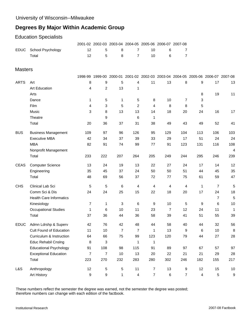# Education Specialists

|                |                                |                |     |                |                |                  | 2001-02 2002-03 2003-04 2004-05 2005-06 2006-07 2007-08                         |                |                         |     |     |
|----------------|--------------------------------|----------------|-----|----------------|----------------|------------------|---------------------------------------------------------------------------------|----------------|-------------------------|-----|-----|
| <b>EDUC</b>    | School Psychology              | 12             | 5   | 8              | 7              | 10               | 6                                                                               | 7              |                         |     |     |
|                | Total                          | 12             | 5   | 8              | $\overline{7}$ | 10               | 6                                                                               | 7              |                         |     |     |
| <b>Masters</b> |                                |                |     |                |                |                  |                                                                                 |                |                         |     |     |
|                |                                |                |     |                |                |                  | 1998-99 1999-00 2000-01 2001-02 2002-03 2003-04 2004-05 2005-06 2006-07 2007-08 |                |                         |     |     |
| <b>ARTS</b>    | Art                            | 8              | 9   | 5              | 4              | 11               | 13                                                                              | 8              | 9                       | 17  | 13  |
|                | Art Education                  | 4              | 2   | 13             | 1              |                  |                                                                                 |                |                         |     |     |
|                | Arts                           |                |     |                |                |                  |                                                                                 |                | 8                       | 19  | 11  |
|                | Dance                          | 1              | 5   | 1              | 5              | 8                | 10                                                                              | 7              | 3                       |     |     |
|                | Film                           | 4              | 3   | 5              | 2              | $\overline{4}$   | 8                                                                               | 8              | 5                       |     |     |
|                | Music                          | 3              | 8   | 13             | 13             | 14               | 18                                                                              | 20             | 24                      | 16  | 17  |
|                | Theatre                        |                | 9   |                | 6              | 1                |                                                                                 |                |                         |     |     |
|                | Total                          | 20             | 36  | 37             | 31             | 38               | 49                                                                              | 43             | 49                      | 52  | 41  |
| <b>BUS</b>     | <b>Business Management</b>     | 109            | 97  | 96             | 126            | 95               | 129                                                                             | 104            | 113                     | 106 | 103 |
|                | <b>Executive MBA</b>           | 42             | 34  | 37             | 39             | 33               | 29                                                                              | 17             | 51                      | 24  | 24  |
|                | <b>MBA</b>                     | 82             | 91  | 74             | 99             | 77               | 91                                                                              | 123            | 131                     | 116 | 108 |
|                | Nonprofit Management           |                |     |                |                |                  |                                                                                 |                |                         |     | 4   |
|                | Total                          | 233            | 222 | 207            | 264            | 205              | 249                                                                             | 244            | 295                     | 246 | 239 |
| <b>CEAS</b>    | <b>Computer Science</b>        | 13             | 24  | 19             | 13             | 22               | 27                                                                              | 24             | 17                      | 14  | 12  |
|                | Engineering                    | 35             | 45  | 37             | 24             | 50               | 50                                                                              | 51             | 44                      | 45  | 35  |
|                | Total                          | 48             | 69  | 56             | 37             | 72               | 77                                                                              | 75             | 61                      | 59  | 47  |
| CHS            | Clinical Lab Sci               | 5              | 5   | 6              | 4              | 4                | 4                                                                               | 4              | 1                       | 7   | 5   |
|                | Comm Sci & Dis                 | 24             | 24  | 25             | 15             | 22               | 18                                                                              | 20             | 17                      | 24  | 18  |
|                | <b>Health Care Informatics</b> |                |     |                |                |                  |                                                                                 |                |                         | 7   | 5   |
|                | Kinesiology                    | 7              | 1   | 3              | 6              | 9                | 10 <sup>1</sup>                                                                 | 5              | 9                       | 6   | 10  |
|                | <b>Occupational Studies</b>    | 1              | 6   | 10             | 11             | 23               | $\overline{7}$                                                                  | 12             | 24                      | 11  | 1   |
|                | Total                          | 37             | 36  | 44             | 36             | 58               | 39                                                                              | 41             | 51                      | 55  | 39  |
| <b>EDUC</b>    | Admn Ldrshp & Superv           | 42             | 76  | 42             | 48             | 44               | 58                                                                              | 40             | 44                      | 32  | 56  |
|                | Cult Found of Education        | 11             | 10  | $\overline{7}$ | $\overline{7}$ | $\mathbf{1}$     | 13                                                                              | 9              | 6                       | 10  | 8   |
|                | Curriculum & Instruction       | 64             | 66  | 75             | 99             | 123              | 120                                                                             | 79             | 44                      | 27  | 28  |
|                | Educ Rehabil Cnslng            | 8              | 3   |                | 1              | 1                |                                                                                 |                |                         |     |     |
|                | <b>Educational Psychology</b>  | 91             | 108 | 98             | 115            | 91               | 89                                                                              | 97             | 67                      | 57  | 97  |
|                | <b>Exceptional Education</b>   | $\overline{7}$ | 7   | 10             | 13             | 20               | 22                                                                              | 21             | 21                      | 29  | 28  |
|                | Total                          | 223            | 270 | 232            | 283            | 280              | 302                                                                             | 246            | 182                     | 155 | 217 |
| L&S            | Anthropology                   | 12             | 5   | $\,$ 5 $\,$    | 11             | $\overline{7}$   | 13                                                                              | 9              | 12                      | 15  | 10  |
|                | Art History                    | 9              | 9   | $\mathbf{1}$   | 4              | $\boldsymbol{7}$ | $\,6$                                                                           | $\overline{7}$ | $\overline{\mathbf{4}}$ | 5   | 9   |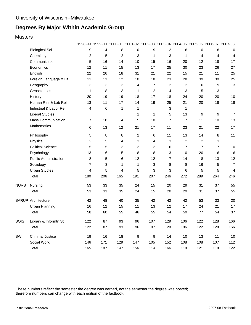**Masters** 

|             |                              |                         |            |                |     |                | 1998-99 1999-00 2000-01 2001-02 2002-03 2003-04 2004-05 2005-06 2006-07 2007-08 |                         |                  |                |                           |
|-------------|------------------------------|-------------------------|------------|----------------|-----|----------------|---------------------------------------------------------------------------------|-------------------------|------------------|----------------|---------------------------|
|             | <b>Biological Sci</b>        | 9                       | 14         | 8              | 10  | 9              | 12                                                                              | 8                       | 10               | 8              | 10                        |
|             | Chemistry                    | $\overline{2}$          | 5          | $\overline{2}$ | 3   | $\mathbf{1}$   | 3                                                                               | 1                       | $\overline{4}$   | 4              | $\overline{4}$            |
|             | Communication                | 5                       | 16         | 14             | 10  | 15             | 16                                                                              | 20                      | 12               | 18             | 17                        |
|             | Economics                    | 12                      | 11         | 15             | 13  | 17             | 25                                                                              | 30                      | 23               | 26             | 27                        |
|             | English                      | 22                      | 26         | 18             | 31  | 21             | 22                                                                              | 15                      | 21               | 11             | 25                        |
|             | Foreign Language & Lit       | 11                      | 13         | 12             | 10  | 18             | 23                                                                              | 28                      | 39               | 39             | 25                        |
|             | Geography                    | 3                       | 3          | 3              | 4   | $\overline{7}$ | $\overline{c}$                                                                  | $\overline{2}$          | 6                | 9              | $\ensuremath{\mathsf{3}}$ |
|             | Geosciences                  | 1                       | 8          | 3              | 1   | $\overline{c}$ | 4                                                                               | 3                       | 5                | 3              | $\mathbf 1$               |
|             | History                      | 20                      | 19         | 19             | 18  | 17             | 18                                                                              | 24                      | 20               | 20             | 10                        |
|             | Human Res & Lab Rel          | 13                      | 11         | 17             | 14  | 19             | 25                                                                              | 21                      | 20               | 18             | 18                        |
|             | Industrial & Labor Rel       | 4                       | $\,6\,$    | 1              | 1   |                | 3                                                                               | 1                       |                  |                |                           |
|             | <b>Liberal Studies</b>       |                         |            |                | 1   | $\mathbf{1}$   | 5                                                                               | 13                      | $\boldsymbol{9}$ | 9              | $\overline{7}$            |
|             | <b>Mass Communication</b>    | $\overline{7}$          | 10         | 4              | 5   | 10             | $\overline{7}$                                                                  | $\overline{7}$          | 11               | 10             | 13                        |
|             | Mathematics                  | 6                       | 13         | 12             | 21  | 17             | 11                                                                              | 23                      | 21               | 22             | 17                        |
|             | Philosophy                   | 5                       | 8          | 8              | 2   | 6              | 11                                                                              | 13                      | 14               | 8              | 11                        |
|             | Physics                      | $\overline{\mathbf{c}}$ | 5          | 4              | 3   | 4              | 3                                                                               | $\overline{\mathbf{c}}$ | $\sqrt{2}$       | 3              |                           |
|             | <b>Political Science</b>     | 5                       | 5          | 3              | 3   | 3              | 6                                                                               | $\overline{7}$          | $\overline{7}$   | $\overline{7}$ | 10                        |
|             | Psychology                   | 13                      | 6          | 5              | 8   | 8              | 13                                                                              | 10                      | 20               | 6              | $\,6\,$                   |
|             | <b>Public Administration</b> | 8                       | $\sqrt{5}$ | 6              | 12  | 12             | $\overline{7}$                                                                  | 14                      | 8                | 13             | 12                        |
|             | Sociology                    | $\overline{7}$          | 3          | 1              | 1   | 3              | 8                                                                               | 8                       | 16               | 5              | $\overline{7}$            |
|             | <b>Urban Studies</b>         | $\overline{4}$          | 5          | $\overline{4}$ | 5   | 3              | 3                                                                               | 6                       | 5                | 5              | $\overline{4}$            |
|             | Total                        | 180                     | 206        | 165            | 191 | 207            | 246                                                                             | 272                     | 289              | 264            | 246                       |
| <b>NURS</b> | Nursing                      | 53                      | 33         | 35             | 24  | 15             | 20                                                                              | 29                      | 31               | 37             | 55                        |
|             | Total                        | 53                      | 33         | 35             | 24  | 15             | 20                                                                              | 29                      | 31               | 37             | 55                        |
|             | <b>SARUP Architecture</b>    | 42                      | 48         | 40             | 35  | 42             | 42                                                                              | 42                      | 53               | 33             | 20                        |
|             | <b>Urban Planning</b>        | 16                      | 12         | 15             | 11  | 13             | 12                                                                              | 17                      | 24               | 21             | 17                        |
|             | Total                        | 58                      | 60         | 55             | 46  | 55             | 54                                                                              | 59                      | 77               | 54             | 37                        |
| SOIS        | Library & Informtn Sci       | 122                     | 87         | 93             | 96  | 107            | 129                                                                             | 106                     | 122              | 128            | 166                       |
|             | Total                        | 122                     | 87         | 93             | 96  | 107            | 129                                                                             | 106                     | 122              | 128            | 166                       |
| SW          | <b>Criminal Justice</b>      | 19                      | 16         | 18             | 9   | 9              | 14                                                                              | 10                      | 13               | 11             | 10                        |
|             | Social Work                  | 146                     | 171        | 129            | 147 | 105            | 152                                                                             | 108                     | 108              | 107            | 112                       |
|             | Total                        | 165                     | 187        | 147            | 156 | 114            | 166                                                                             | 118                     | 121              | 118            | 122                       |

These numbers reflect the semester the degree was earned, not the semester the degree was posted; therefore numbers can change with each edition of the factbook.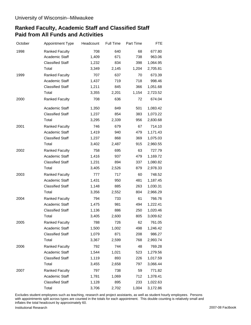# **Ranked Faculty, Academic Staff and Classified Staff Paid from All Funds and Activities**

| October | Appointment Type        | Headcount | Full Time | Part Time | <b>FTE</b> |
|---------|-------------------------|-----------|-----------|-----------|------------|
| 1998    | <b>Ranked Faculty</b>   | 708       | 640       | 68        | 677.80     |
|         | Academic Staff          | 1,409     | 671       | 738       | 963.06     |
|         | <b>Classified Staff</b> | 1,232     | 834       | 398       | 1,064.95   |
|         | Total                   | 3,349     | 2,145     | 1,204     | 2,705.81   |
| 1999    | <b>Ranked Faculty</b>   | 707       | 637       | 70        | 673.39     |
|         | Academic Staff          | 1,437     | 719       | 718       | 998.46     |
|         | <b>Classified Staff</b> | 1,211     | 845       | 366       | 1,051.68   |
|         | Total                   | 3,355     | 2,201     | 1,154     | 2,723.52   |
| 2000    | <b>Ranked Faculty</b>   | 708       | 636       | 72        | 674.04     |
|         | Academic Staff          | 1,350     | 849       | 501       | 1,083.42   |
|         | <b>Classified Staff</b> | 1,237     | 854       | 383       | 1,073.22   |
|         | Total                   | 3,295     | 2,339     | 956       | 2,830.68   |
| 2001    | <b>Ranked Faculty</b>   | 746       | 679       | 67        | 714.10     |
|         | Academic Staff          | 1,419     | 940       | 479       | 1,171.43   |
|         | <b>Classified Staff</b> | 1,237     | 868       | 369       | 1,075.03   |
|         | Total                   | 3,402     | 2,487     | 915       | 2,960.55   |
| 2002    | <b>Ranked Faculty</b>   | 758       | 695       | 63        | 727.79     |
|         | Academic Staff          | 1,416     | 937       | 479       | 1,169.72   |
|         | <b>Classified Staff</b> | 1,231     | 894       | 337       | 1,080.82   |
|         | Total                   | 3,405     | 2,526     | 879       | 2,978.33   |
| 2003    | <b>Ranked Faculty</b>   | 777       | 717       | 60        | 748.52     |
|         | Academic Staff          | 1,431     | 950       | 481       | 1,187.45   |
|         | <b>Classified Staff</b> | 1,148     | 885       | 263       | 1,030.31   |
|         | Total                   | 3,356     | 2,552     | 804       | 2,966.29   |
| 2004    | <b>Ranked Faculty</b>   | 794       | 733       | 61        | 766.76     |
|         | Academic Staff          | 1,475     | 981       | 494       | 1,222.41   |
|         | <b>Classified Staff</b> | 1,136     | 886       | 250       | 1,020.46   |
|         | Total                   | 3,405     | 2,600     | 805       | 3,009.62   |
| 2005    | <b>Ranked Faculty</b>   | 788       | 726       | 62        | 761.05     |
|         | Academic Staff          | 1,500     | 1,002     | 498       | 1,246.42   |
|         | <b>Classified Staff</b> | 1,079     | 871       | 208       | 986.27     |
|         | Total                   | 3,367     | 2,599     | 768       | 2,993.74   |
| 2006    | <b>Ranked Faculty</b>   | 792       | 744       | 48        | 769.28     |
|         | Academic Staff          | 1,544     | 1,021     | 523       | 1,279.56   |
|         | <b>Classified Staff</b> | 1,119     | 893       | 226       | 1,017.59   |
|         | Total                   | 3,455     | 2,658     | 797       | 3,066.44   |
| 2007    | <b>Ranked Faculty</b>   | 797       | 738       | 59        | 771.82     |
|         | Academic Staff          | 1,781     | 1,069     | 712       | 1,378.41   |
|         | <b>Classified Staff</b> | 1,128     | 895       | 233       | 1,022.63   |
|         | Total                   | 3,706     | 2,702     | 1,004     | 3,172.86   |

Excludes student employees such as teaching, research and project assistants, as well as student hourly employees. Persons with appointments split across types are counted in the totals for each appointment. This double counting is relatively small and inflates the total headcount by approximately 60.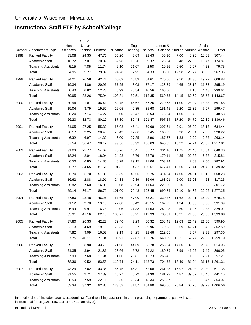# **Instructional Staff FTE by School/College**

|      | October Appointment Type   | Health<br>Sciences | Arch &<br>Urban |       | Planning Business Education | Engi- | neering The Arts | Letters &<br>Science Studies Nursing Welfare | Info  |       | Social | Total          |
|------|----------------------------|--------------------|-----------------|-------|-----------------------------|-------|------------------|----------------------------------------------|-------|-------|--------|----------------|
| 1998 | <b>Ranked Faculty</b>      | 33.08              | 24.35           | 47.76 | 55.20                       | 43.69 | 22.43            | 55.10                                        | 7.00  | 0.20  | 18.63  | 307.44         |
|      | Academic Staff             | 16.72              | 7.07            | 20.39 | 32.98                       | 18.20 | 9.32             | 28.64                                        | 5.48  | 22.60 | 13.47  | 174.87         |
|      | <b>Teaching Assistants</b> | 5.15               | 7.85            | 11.74 | 6.10                        | 21.07 | 2.58             | 19.56                                        | 0.50  | 0.97  | 4.23   | 79.75          |
|      | Total                      | 54.95              | 39.27           | 79.89 | 94.28                       | 82.95 | 34.33            | 103.30                                       | 12.98 | 23.77 | 36.33  | 562.06         |
| 1999 | <b>Ranked Faculty</b>      | 34.21              | 26.58           | 42.71 | 60.63                       | 48.89 | 64.61            | 270.66                                       | 9.50  | 31.36 | 19.72  | 608.88         |
|      | Academic Staff             | 19.34              | 4.86            | 20.96 | 37.25                       | 8.08  | 37.17            | 123.39                                       | 4.65  | 28.16 | 11.33  | 295.19         |
|      | <b>Teaching Assistants</b> | 6.40               | 6.82            | 12.28 | 5.93                        | 25.54 | 10.56            | 166.50                                       |       | 1.10  | 4.48   | 239.61         |
|      | Total                      | 59.95              | 38.26           | 75.94 | 103.81                      | 82.51 | 112.35           | 560.55                                       | 14.15 | 60.62 |        | 35.53 1,143.67 |
| 2000 | <b>Ranked Faculty</b>      | 30.94              | 21.81           | 46.41 | 59.75                       | 46.67 | 57.26            | 270.75                                       | 11.00 | 28.04 | 18.83  | 591.45         |
|      | Academic Staff             | 19.04              | 3.79            | 19.50 | 22.05                       | 9.35  | 35.68            | 151.45                                       | 5.20  | 26.35 | 7.07   | 299.47         |
|      | <b>Teaching Assistants</b> | 6.24               | 7.14            | 14.27 | 6.00                        | 26.42 | 8.53             | 175.04                                       | 1.00  | 0.40  | 3.50   | 248.53         |
|      | Total                      | 56.23              | 32.73           | 80.17 | 87.80                       | 82.44 | 101.47           | 597.24                                       | 17.20 | 54.79 |        | 29.39 1,139.46 |
| 2001 | <b>Ranked Faculty</b>      | 31.05              | 27.25           | 55.32 | 65.08                       | 45.41 | 59.68            | 297.61                                       | 9.91  | 25.00 | 18.13  | 634.44         |
|      | Academic Staff             | 20.17              | 2.25            | 20.48 | 28.49                       | 12.66 | 37.45            | 160.33                                       | 3.98  | 26.84 | 7.56   | 320.22         |
|      | <b>Teaching Assistants</b> | 6.32               | 6.97            | 14.32 | 6.00                        | 27.85 | 8.96             | 187.67                                       | 1.33  | 0.90  | 2.83   | 263.14         |
|      | Total                      | 57.54              | 36.47           | 90.12 | 99.56                       | 85.93 | 106.09           | 645.62                                       | 15.22 | 52.74 |        | 28.52 1,217.81 |
| 2002 | <b>Ranked Faculty</b>      | 31.03              | 25.77           | 54.67 | 70.76                       | 46.41 | 55.77            | 304.16                                       | 11.75 | 24.45 | 15.54  | 640.30         |
|      | Academic Staff             | 18.24              | 2.04            | 18.04 | 24.28                       | 8.76  | 33.78            | 170.11                                       | 4.85  | 29.33 | 6.38   | 315.81         |
|      | <b>Teaching Assistants</b> | 6.50               | 6.85            | 14.80 | 6.28                        | 29.15 | 11.06            | 203.14                                       |       | 2.63  | 2.50   | 282.91         |
|      | Total                      | 55.77              | 34.65           | 87.51 | 101.32                      | 84.32 | 100.61           | 677.41                                       | 16.60 | 56.41 |        | 24.42 1,239.02 |
| 2003 | <b>Ranked Faculty</b>      | 36.70              | 25.70           | 51.86 | 68.59                       | 45.65 | 60.75            | 314.64                                       | 14.00 | 24.31 | 16.10  | 658.28         |
|      | Academic Staff             | 16.62              | 2.88            | 18.91 | 24.33                       | 9.89  | 36.06            | 163.01                                       | 5.00  | 36.03 | 4.53   | 317.25         |
|      | <b>Teaching Assistants</b> | 5.82               | 7.60            | 16.03 | 8.08                        | 23.94 | 11.64            | 222.20                                       | 0.10  | 3.98  | 2.33   | 301.72         |
|      | Total                      | 59.14              | 36.17           | 86.79 | 101.00                      | 79.48 | 108.45           | 699.84                                       | 19.10 | 64.32 | 22.96  | 1,277.25       |
| 2004 | <b>Ranked Faculty</b>      | 37.80              | 28.48           | 46.26 | 67.65                       | 47.00 | 65.21            | 330.37                                       | 11.62 | 29.41 | 16.00  | 679.78         |
|      | Academic Staff             | 21.12              | 2.78            | 19.10 | 27.00                       | 8.42  | 43.15            | 162.22                                       | 4.24  | 38.08 | 5.00   | 331.09         |
|      | <b>Teaching Assistants</b> | 6.99               | 9.91            | 16.78 | 9.06                        | 24.83 | 11.63            | 242.93                                       | 0.50  | 4.05  | 2.33   | 329.01         |
|      | Total                      | 65.91              | 41.16           | 82.15 | 103.71                      | 80.25 | 119.99           | 735.51                                       | 16.35 | 71.53 |        | 23.33 1,339.89 |
| 2005 | Ranked Faculty             | 37.80              | 26.33           | 42.22 | 72.40                       | 47.29 | 60.32            | 258.41                                       | 12.63 | 21.49 | 21.00  | 599.90         |
|      | Academic Staff             | 22.13              | 4.69            | 19.10 | 25.33                       | 8.27  | 59.96            | 170.23                                       | 3.69  | 42.71 | 6.49   | 362.59         |
|      | <b>Teaching Assistants</b> | 7.82               | 9.09            | 16.52 | 9.19                        | 24.25 | 12.48            | 212.05                                       |       | 3.57  | 2.33   | 297.30         |
|      | Total                      | 67.75              | 40.11           | 77.84 | 106.91                      | 79.82 | 132.76           | 640.69                                       | 16.31 | 67.77 |        | 29.82 1,259.79 |
| 2006 | <b>Ranked Faculty</b>      | 39.11              | 28.90           | 43.79 | 71.08                       | 44.59 | 63.78            | 255.24                                       | 14.50 | 32.32 | 20.75  | 614.05         |
|      | Academic Staff             | 21.35              | 3.94            | 21.86 | 28.66                       | 5.72  | 69.22            | 180.89                                       | 3.99  | 46.92 | 7.49   | 390.05         |
|      | <b>Teaching Assistants</b> | 7.90               | 7.68            | 17.94 | 11.00                       | 23.81 | 15.73            | 268.45                                       |       | 1.80  | 2.91   | 357.21         |
|      | Total                      | 68.36              | 40.52           | 83.58 | 110.74                      | 74.11 | 148.73           | 704.58                                       | 18.49 | 81.04 |        | 31.15 1,361.31 |
| 2007 | <b>Ranked Faculty</b>      | 43.29              | 27.02           | 43.35 | 66.75                       | 46.81 | 62.08            | 261.25                                       | 15.97 | 24.03 | 20.80  | 611.35         |
|      | Academic Staff             | 31.55              | 2.71            | 27.39 | 46.27                       | 6.72  | 84.39            | 181.93                                       | 4.87  | 39.87 | 15.46  | 441.15         |
|      | <b>Teaching Assistants</b> | 8.50               | 7.59            | 22.11 | 10.50                       | 28.34 | 18.34            | 252.37                                       |       | 2.85  | 3.47   | 354.07         |
|      | Total                      | 83.34              | 37.32           | 92.85 | 123.52                      | 81.87 | 164.80           | 695.56                                       | 20.84 | 66.75 |        | 39.73 1,406.56 |

Instructional staff includes faculty, academic staff and teaching assistants in credit producing departments paid with state instructional funds (101, 115, 131, 177, 402, activity 2).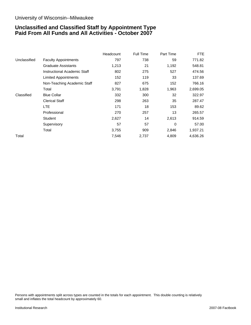#### University of Wisconsin--Milwaukee

### **Unclassified and Classified Staff by Appointment Type Paid From All Funds and All Activities - October 2007**

|              |                              | Headcount | <b>Full Time</b> | Part Time | FTE.     |
|--------------|------------------------------|-----------|------------------|-----------|----------|
| Unclassified | <b>Faculty Appointments</b>  | 797       | 738              | 59        | 771.82   |
|              | <b>Graduate Assistants</b>   | 1,213     | 21               | 1,192     | 548.81   |
|              | Instructional Academic Staff | 802       | 275              | 527       | 474.56   |
|              | <b>Limited Appointments</b>  | 152       | 119              | 33        | 137.69   |
|              | Non-Teaching Academic Staff  | 827       | 675              | 152       | 766.16   |
|              | Total                        | 3,791     | 1,828            | 1,963     | 2,699.05 |
| Classified   | <b>Blue Collar</b>           | 332       | 300              | 32        | 322.97   |
|              | <b>Clerical Staff</b>        | 298       | 263              | 35        | 287.47   |
|              | <b>LTE</b>                   | 171       | 18               | 153       | 89.62    |
|              | Professional                 | 270       | 257              | 13        | 265.57   |
|              | <b>Student</b>               | 2,627     | 14               | 2,613     | 914.59   |
|              | Supervisory                  | 57        | 57               | $\Omega$  | 57.00    |
|              | Total                        | 3,755     | 909              | 2,846     | 1,937.21 |
| Total        |                              | 7,546     | 2,737            | 4,809     | 4,636.26 |

Persons with appointments split across types are counted in the totals for each appointment. This double counting is relatively small and inflates the total headcount by approximately 60.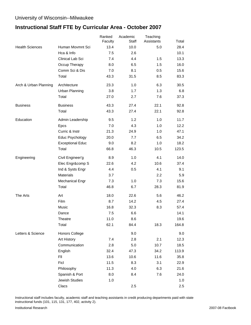### University of Wisconsin--Milwaukee

# **Instructional Staff FTE by Curricular Area - October 2007**

|                        |                         | Ranked  | Academic | Teaching   |       |
|------------------------|-------------------------|---------|----------|------------|-------|
|                        |                         | Faculty | Staff    | Assistants | Total |
| <b>Health Sciences</b> | Human Movmnt Sci        | 13.4    | 10.0     | 5.0        | 28.4  |
|                        | Hca & Info              | 7.5     | 2.6      |            | 10.1  |
|                        | Clinical Lab Sci        | 7.4     | 4.4      | 1.5        | 13.3  |
|                        | Occup Therapy           | 8.0     | 6.5      | 1.5        | 16.0  |
|                        | Comm Sci & Dis          | 7.0     | 8.1      | 0.5        | 15.6  |
|                        | Total                   | 43.3    | 31.5     | 8.5        | 83.3  |
| Arch & Urban Planning  | Architecture            | 23.3    | 1.0      | 6.3        | 30.5  |
|                        | <b>Urban Planning</b>   | 3.8     | 1.7      | 1.3        | 6.8   |
|                        | Total                   | 27.0    | 2.7      | 7.6        | 37.3  |
| <b>Business</b>        | <b>Business</b>         | 43.3    | 27.4     | 22.1       | 92.8  |
|                        | Total                   | 43.3    | 27.4     | 22.1       | 92.8  |
| Education              | Admin Leadership        | 9.5     | 1.2      | 1.0        | 11.7  |
|                        | Epcs                    | 7.0     | 4.3      | 1.0        | 12.2  |
|                        | Curric & Instr          | 21.3    | 24.9     | 1.0        | 47.1  |
|                        | Educ Psychology         | 20.0    | 7.7      | 6.5        | 34.2  |
|                        | <b>Exceptional Educ</b> | 9.0     | 8.2      | 1.0        | 18.2  |
|                        | Total                   | 66.8    | 46.3     | 10.5       | 123.5 |
| Engineering            | Civil Engineer'g        | 8.9     | 1.0      | 4.1        | 14.0  |
|                        | Elec Engr∁ S            | 22.6    | 4.2      | 10.6       | 37.4  |
|                        | Ind & Systs Engr        | 4.4     | 0.5      | 4.1        | 9.1   |
|                        | Materials               | 3.7     |          | $2.2\,$    | 5.9   |
|                        | <b>Mechanical Engr</b>  | 7.3     | 1.0      | 7.3        | 15.6  |
|                        | Total                   | 46.8    | 6.7      | 28.3       | 81.9  |
| The Arts               | Art                     | 18.0    | 22.6     | 5.6        | 46.2  |
|                        | Film                    | 8.7     | 14.2     | 4.5        | 27.4  |
|                        | Music                   | 16.8    | 32.3     | 8.3        | 57.4  |
|                        | Dance                   | 7.5     | 6.6      |            | 14.1  |
|                        | Theatre                 | 11.0    | 8.6      |            | 19.6  |
|                        | Total                   | 62.1    | 84.4     | 18.3       | 164.8 |
| Letters & Science      | <b>Honors College</b>   |         | 9.0      |            | 9.0   |
|                        | Art History             | 7.4     | 2.8      | 2.1        | 12.3  |
|                        | Communication           | 2.8     | 5.0      | 10.7       | 18.5  |
|                        | English                 | 32.4    | 47.3     | 34.2       | 113.9 |
|                        | FII                     | 13.6    | 10.6     | 11.6       | 35.8  |
|                        | Ficl                    | 11.5    | 8.3      | 3.1        | 22.9  |
|                        | Philosophy              | 11.3    | 4.0      | 6.3        | 21.6  |
|                        | Spanish & Port          | 8.0     | 8.4      | 7.6        | 24.0  |
|                        | Jewish Studies          | 1.0     |          |            | 1.0   |
|                        | Clacs                   |         | 2.5      |            | 2.5   |

Instructional staff includes faculty, academic staff and teaching assistants in credit producing departments paid with state instructional funds (101, 115, 131, 177, 402, activity 2).